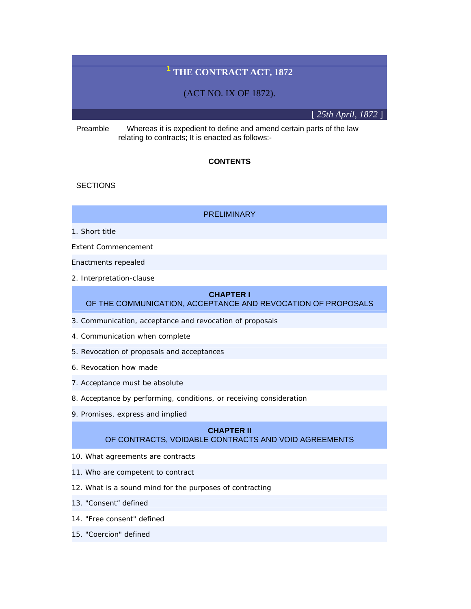# **[1](http://www.bdlaws.gov.bd/print_sections.php?id=26§ions_id=10000000) THE CONTRACT ACT, 1872**

# (ACT NO. IX OF 1872).

[ *25th April, 1872* ]

Preamble Whereas it is expedient to define and amend certain parts of the law relating to contracts; It is enacted as follows:-

## **CONTENTS**

## **SECTIONS**

#### PRELIMINARY

1. Short title

Extent Commencement

Enactments repealed

2. Interpretation-clause

### **CHAPTER I**

## OF THE COMMUNICATION, ACCEPTANCE AND REVOCATION OF PROPOSALS

- 3. Communication, acceptance and revocation of proposals
- 4. Communication when complete
- 5. Revocation of proposals and acceptances
- 6. Revocation how made
- 7. Acceptance must be absolute
- 8. Acceptance by performing, conditions, or receiving consideration
- 9. Promises, express and implied

## **CHAPTER II** OF CONTRACTS, VOIDABLE CONTRACTS AND VOID AGREEMENTS

- 10. What agreements are contracts
- 11. Who are competent to contract
- 12. What is a sound mind for the purposes of contracting
- 13. "Consent" defined
- 14. "Free consent" defined
- 15. "Coercion" defined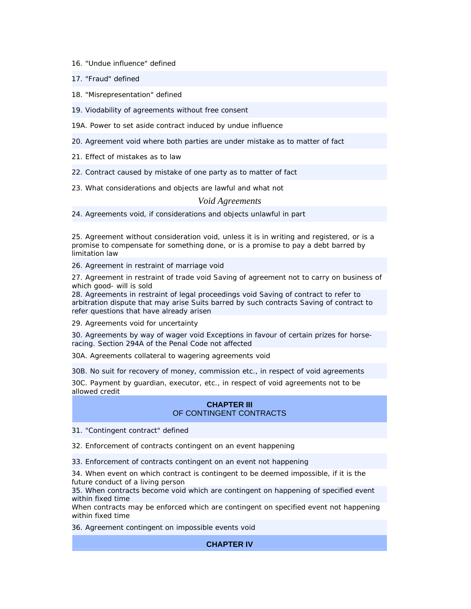16. "Undue influence" defined

17. "Fraud" defined

18. "Misrepresentation" defined

19. Viodability of agreements without free consent

19A. Power to set aside contract induced by undue influence

20. Agreement void where both parties are under mistake as to matter of fact

21. Effect of mistakes as to law

22. Contract caused by mistake of one party as to matter of fact

23. What considerations and objects are lawful and what not

*Void Agreements*

24. Agreements void, if considerations and objects unlawful in part

25. Agreement without consideration void, unless it is in writing and registered, or is a promise to compensate for something done, or is a promise to pay a debt barred by limitation law

26. Agreement in restraint of marriage void

27. Agreement in restraint of trade void Saving of agreement not to carry on business of which good- will is sold

28. Agreements in restraint of legal proceedings void Saving of contract to refer to arbitration dispute that may arise Suits barred by such contracts Saving of contract to refer questions that have already arisen

29. Agreements void for uncertainty

30. Agreements by way of wager void Exceptions in favour of certain prizes for horseracing. Section 294A of the Penal Code not affected

30A. Agreements collateral to wagering agreements void

30B. No suit for recovery of money, commission etc., in respect of void agreements

30C. Payment by guardian, executor, etc., in respect of void agreements not to be allowed credit

#### **CHAPTER III** OF CONTINGENT CONTRACTS

31. "Contingent contract" defined

32. Enforcement of contracts contingent on an event happening

33. Enforcement of contracts contingent on an event not happening

34. When event on which contract is contingent to be deemed impossible, if it is the future conduct of a living person

35. When contracts become void which are contingent on happening of specified event within fixed time

When contracts may be enforced which are contingent on specified event not happening within fixed time

36. Agreement contingent on impossible events void

#### **CHAPTER IV**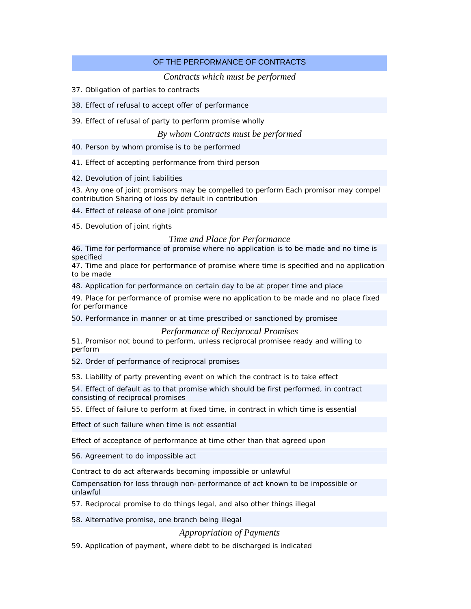## OF THE PERFORMANCE OF CONTRACTS

#### *Contracts which must be performed*

37. Obligation of parties to contracts

38. Effect of refusal to accept offer of performance

39. Effect of refusal of party to perform promise wholly

*By whom Contracts must be performed*

40. Person by whom promise is to be performed

41. Effect of accepting performance from third person

42. Devolution of joint liabilities

43. Any one of joint promisors may be compelled to perform Each promisor may compel contribution Sharing of loss by default in contribution

44. Effect of release of one joint promisor

45. Devolution of joint rights

#### *Time and Place for Performance*

46. Time for performance of promise where no application is to be made and no time is specified

47. Time and place for performance of promise where time is specified and no application to be made

48. Application for performance on certain day to be at proper time and place

49. Place for performance of promise were no application to be made and no place fixed for performance

50. Performance in manner or at time prescribed or sanctioned by promisee

*Performance of Reciprocal Promises*

51. Promisor not bound to perform, unless reciprocal promisee ready and willing to perform

52. Order of performance of reciprocal promises

53. Liability of party preventing event on which the contract is to take effect

54. Effect of default as to that promise which should be first performed, in contract consisting of reciprocal promises

55. Effect of failure to perform at fixed time, in contract in which time is essential

Effect of such failure when time is not essential

Effect of acceptance of performance at time other than that agreed upon

56. Agreement to do impossible act

Contract to do act afterwards becoming impossible or unlawful

Compensation for loss through non-performance of act known to be impossible or unlawful

57. Reciprocal promise to do things legal, and also other things illegal

58. Alternative promise, one branch being illegal

*Appropriation of Payments*

59. Application of payment, where debt to be discharged is indicated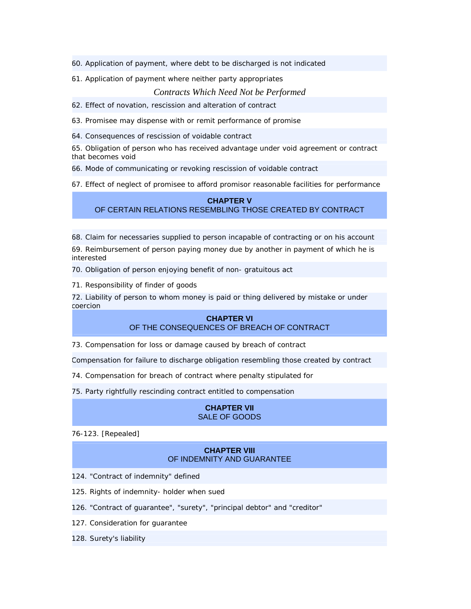- 60. Application of payment, where debt to be discharged is not indicated
- 61. Application of payment where neither party appropriates

## *Contracts Which Need Not be Performed*

62. Effect of novation, rescission and alteration of contract

63. Promisee may dispense with or remit performance of promise

64. Consequences of rescission of voidable contract

65. Obligation of person who has received advantage under void agreement or contract that becomes void

66. Mode of communicating or revoking rescission of voidable contract

67. Effect of neglect of promisee to afford promisor reasonable facilities for performance

## **CHAPTER V** OF CERTAIN RELATIONS RESEMBLING THOSE CREATED BY CONTRACT

68. Claim for necessaries supplied to person incapable of contracting or on his account

69. Reimbursement of person paying money due by another in payment of which he is interested

70. Obligation of person enjoying benefit of non- gratuitous act

71. Responsibility of finder of goods

72. Liability of person to whom money is paid or thing delivered by mistake or under coercion

## **CHAPTER VI** OF THE CONSEQUENCES OF BREACH OF CONTRACT

73. Compensation for loss or damage caused by breach of contract

Compensation for failure to discharge obligation resembling those created by contract

- 74. Compensation for breach of contract where penalty stipulated for
- 75. Party rightfully rescinding contract entitled to compensation

## **CHAPTER VII** SALE OF GOODS

76-123. [Repealed]

#### **CHAPTER VIII** OF INDEMNITY AND GUARANTEE

- 124. "Contract of indemnity" defined
- 125. Rights of indemnity- holder when sued
- 126. "Contract of guarantee", "surety", "principal debtor" and "creditor"
- 127. Consideration for guarantee
- 128. Surety's liability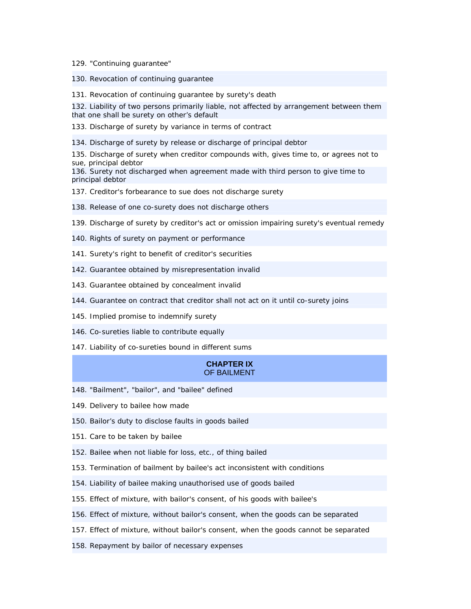#### 129. "Continuing guarantee"

130. Revocation of continuing guarantee

131. Revocation of continuing guarantee by surety's death

132. Liability of two persons primarily liable, not affected by arrangement between them that one shall be surety on other's default

133. Discharge of surety by variance in terms of contract

134. Discharge of surety by release or discharge of principal debtor

135. Discharge of surety when creditor compounds with, gives time to, or agrees not to sue, principal debtor

136. Surety not discharged when agreement made with third person to give time to principal debtor

137. Creditor's forbearance to sue does not discharge surety

138. Release of one co-surety does not discharge others

139. Discharge of surety by creditor's act or omission impairing surety's eventual remedy

- 140. Rights of surety on payment or performance
- 141. Surety's right to benefit of creditor's securities
- 142. Guarantee obtained by misrepresentation invalid
- 143. Guarantee obtained by concealment invalid
- 144. Guarantee on contract that creditor shall not act on it until co-surety joins
- 145. Implied promise to indemnify surety
- 146. Co-sureties liable to contribute equally
- 147. Liability of co-sureties bound in different sums

#### **CHAPTER IX** OF BAILMENT

- 148. "Bailment", "bailor", and "bailee" defined
- 149. Delivery to bailee how made
- 150. Bailor's duty to disclose faults in goods bailed
- 151. Care to be taken by bailee
- 152. Bailee when not liable for loss, etc., of thing bailed
- 153. Termination of bailment by bailee's act inconsistent with conditions
- 154. Liability of bailee making unauthorised use of goods bailed
- 155. Effect of mixture, with bailor's consent, of his goods with bailee's
- 156. Effect of mixture, without bailor's consent, when the goods can be separated
- 157. Effect of mixture, without bailor's consent, when the goods cannot be separated
- 158. Repayment by bailor of necessary expenses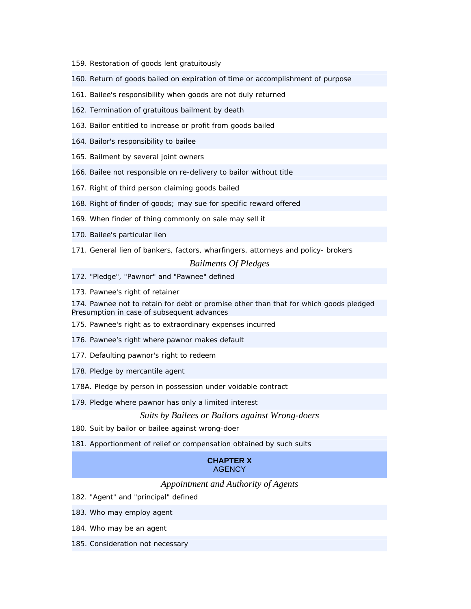- 159. Restoration of goods lent gratuitously
- 160. Return of goods bailed on expiration of time or accomplishment of purpose
- 161. Bailee's responsibility when goods are not duly returned
- 162. Termination of gratuitous bailment by death
- 163. Bailor entitled to increase or profit from goods bailed
- 164. Bailor's responsibility to bailee
- 165. Bailment by several joint owners
- 166. Bailee not responsible on re-delivery to bailor without title
- 167. Right of third person claiming goods bailed
- 168. Right of finder of goods; may sue for specific reward offered
- 169. When finder of thing commonly on sale may sell it
- 170. Bailee's particular lien
- 171. General lien of bankers, factors, wharfingers, attorneys and policy- brokers

#### *Bailments Of Pledges*

172. "Pledge", "Pawnor" and "Pawnee" defined

173. Pawnee's right of retainer

174. Pawnee not to retain for debt or promise other than that for which goods pledged Presumption in case of subsequent advances

- 175. Pawnee's right as to extraordinary expenses incurred
- 176. Pawnee's right where pawnor makes default
- 177. Defaulting pawnor's right to redeem
- 178. Pledge by mercantile agent
- 178A. Pledge by person in possession under voidable contract
- 179. Pledge where pawnor has only a limited interest

#### *Suits by Bailees or Bailors against Wrong-doers*

180. Suit by bailor or bailee against wrong-doer

181. Apportionment of relief or compensation obtained by such suits

## **CHAPTER X AGENCY**

#### *Appointment and Authority of Agents*

182. "Agent" and "principal" defined

- 183. Who may employ agent
- 184. Who may be an agent
- 185. Consideration not necessary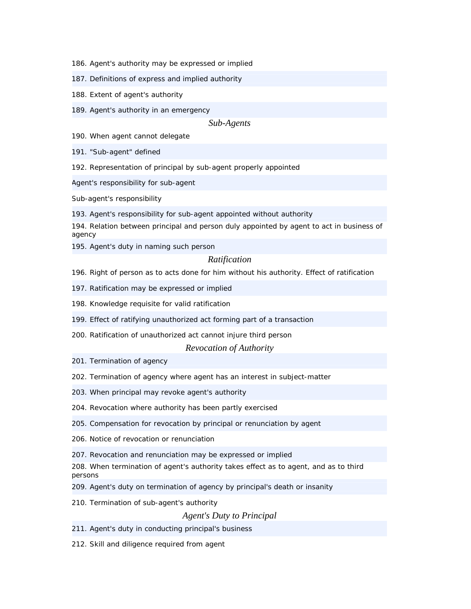- 186. Agent's authority may be expressed or implied
- 187. Definitions of express and implied authority
- 188. Extent of agent's authority
- 189. Agent's authority in an emergency

#### *Sub-Agents*

- 190. When agent cannot delegate
- 191. "Sub-agent" defined
- 192. Representation of principal by sub-agent properly appointed

Agent's responsibility for sub-agent

Sub-agent's responsibility

193. Agent's responsibility for sub-agent appointed without authority

194. Relation between principal and person duly appointed by agent to act in business of agency

195. Agent's duty in naming such person

## *Ratification*

- 196. Right of person as to acts done for him without his authority. Effect of ratification
- 197. Ratification may be expressed or implied
- 198. Knowledge requisite for valid ratification
- 199. Effect of ratifying unauthorized act forming part of a transaction
- 200. Ratification of unauthorized act cannot injure third person

#### *Revocation of Authority*

- 201. Termination of agency
- 202. Termination of agency where agent has an interest in subject-matter
- 203. When principal may revoke agent's authority
- 204. Revocation where authority has been partly exercised
- 205. Compensation for revocation by principal or renunciation by agent
- 206. Notice of revocation or renunciation
- 207. Revocation and renunciation may be expressed or implied

208. When termination of agent's authority takes effect as to agent, and as to third persons

- 209. Agent's duty on termination of agency by principal's death or insanity
- 210. Termination of sub-agent's authority

#### *Agent's Duty to Principal*

- 211. Agent's duty in conducting principal's business
- 212. Skill and diligence required from agent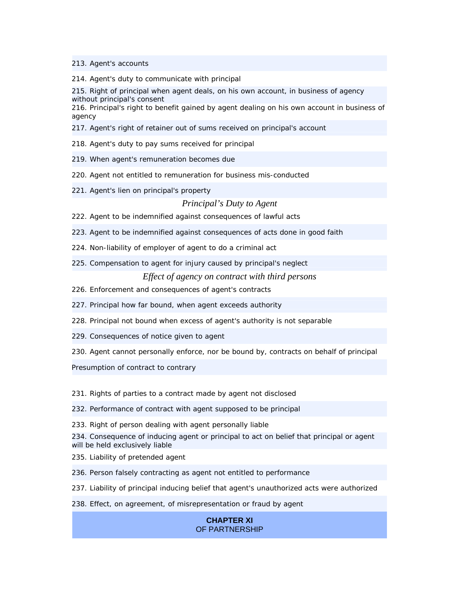#### 213. Agent's accounts

214. Agent's duty to communicate with principal

215. Right of principal when agent deals, on his own account, in business of agency without principal's consent

216. Principal's right to benefit gained by agent dealing on his own account in business of agency

- 217. Agent's right of retainer out of sums received on principal's account
- 218. Agent's duty to pay sums received for principal
- 219. When agent's remuneration becomes due
- 220. Agent not entitled to remuneration for business mis-conducted
- 221. Agent's lien on principal's property

## *Principal's Duty to Agent*

- 222. Agent to be indemnified against consequences of lawful acts
- 223. Agent to be indemnified against consequences of acts done in good faith
- 224. Non-liability of employer of agent to do a criminal act
- 225. Compensation to agent for injury caused by principal's neglect

#### *Effect of agency on contract with third persons*

- 226. Enforcement and consequences of agent's contracts
- 227. Principal how far bound, when agent exceeds authority
- 228. Principal not bound when excess of agent's authority is not separable
- 229. Consequences of notice given to agent
- 230. Agent cannot personally enforce, nor be bound by, contracts on behalf of principal

Presumption of contract to contrary

- 231. Rights of parties to a contract made by agent not disclosed
- 232. Performance of contract with agent supposed to be principal
- 233. Right of person dealing with agent personally liable

234. Consequence of inducing agent or principal to act on belief that principal or agent will be held exclusively liable

- 235. Liability of pretended agent
- 236. Person falsely contracting as agent not entitled to performance
- 237. Liability of principal inducing belief that agent's unauthorized acts were authorized
- 238. Effect, on agreement, of misrepresentation or fraud by agent

#### **CHAPTER XI** OF PARTNERSHIP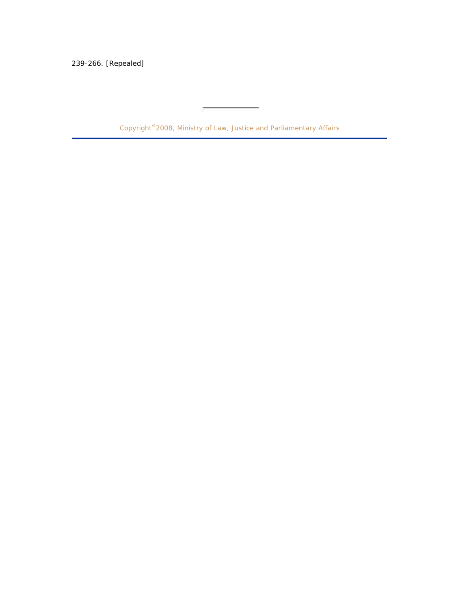239-266. [Repealed]

Copyright®2008, Ministry of Law, Justice and Parliamentary Affairs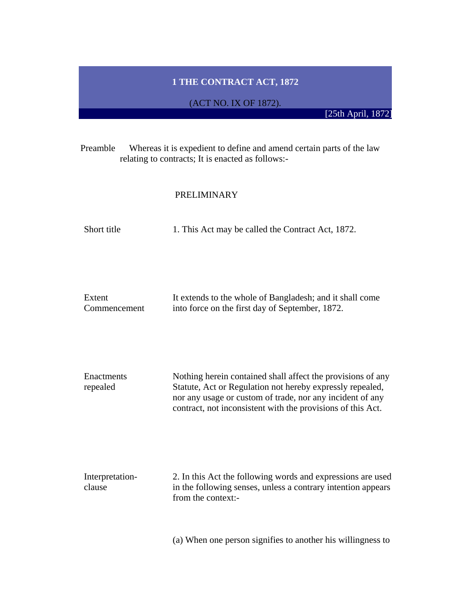# **[1](http://www.bdlaws.gov.bd/print_sections.php?id=26§ions_id=10000000) THE CONTRACT ACT, 1872**

## (ACT NO. IX OF 1872).

[25th April, 1872]

Preamble Whereas it is expedient to define and amend certain parts of the law relating to contracts; It is enacted as follows:-

## PRELIMINARY

Short title 1. This Act may be called the [Contract Act](http://www.bdlaws.gov.bd/pdf_part.php?id=26), 1872.

| Extent       | It extends to the whole of Bangladesh; and it shall come |
|--------------|----------------------------------------------------------|
| Commencement | into force on the first day of September, 1872.          |

 Enactments repealed Nothing herein contained shall affect the provisions of any Statute, Act or Regulation not hereby expressly repealed, nor any usage or custom of trade, nor any incident of any contract, not inconsistent with the provisions of this Act.

 Interpretationclause 2. In this Act the following words and expressions are used in the following senses, unless a contrary intention appears from the context:-

(a) When one person signifies to another his willingness to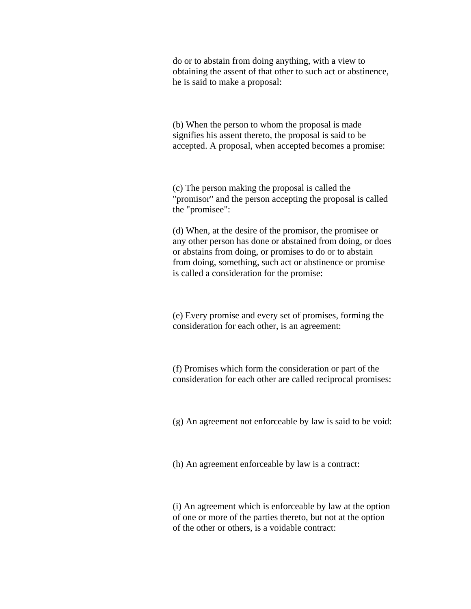do or to abstain from doing anything, with a view to obtaining the assent of that other to such act or abstinence, he is said to make a proposal:

(b) When the person to whom the proposal is made signifies his assent thereto, the proposal is said to be accepted. A proposal, when accepted becomes a promise:

(c) The person making the proposal is called the "promisor" and the person accepting the proposal is called the "promisee":

(d) When, at the desire of the promisor, the promisee or any other person has done or abstained from doing, or does or abstains from doing, or promises to do or to abstain from doing, something, such act or abstinence or promise is called a consideration for the promise:

(e) Every promise and every set of promises, forming the consideration for each other, is an agreement:

(f) Promises which form the consideration or part of the consideration for each other are called reciprocal promises:

(g) An agreement not enforceable by law is said to be void:

(h) An agreement enforceable by law is a contract:

(i) An agreement which is enforceable by law at the option of one or more of the parties thereto, but not at the option of the other or others, is a voidable contract: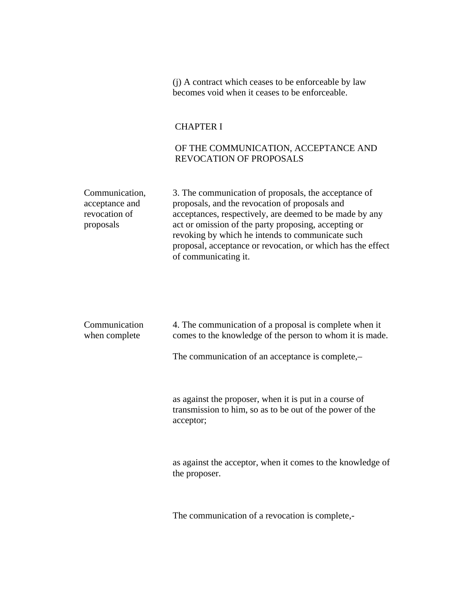(j) A contract which ceases to be enforceable by law becomes void when it ceases to be enforceable.

## CHAPTER I

# OF THE COMMUNICATION, ACCEPTANCE AND REVOCATION OF PROPOSALS

| Communication,<br>acceptance and<br>revocation of<br>proposals | 3. The communication of proposals, the acceptance of<br>proposals, and the revocation of proposals and<br>acceptances, respectively, are deemed to be made by any<br>act or omission of the party proposing, accepting or<br>revoking by which he intends to communicate such<br>proposal, acceptance or revocation, or which has the effect<br>of communicating it. |
|----------------------------------------------------------------|----------------------------------------------------------------------------------------------------------------------------------------------------------------------------------------------------------------------------------------------------------------------------------------------------------------------------------------------------------------------|
| Communication<br>when complete                                 | 4. The communication of a proposal is complete when it<br>comes to the knowledge of the person to whom it is made.<br>The communication of an acceptance is complete,-                                                                                                                                                                                               |
|                                                                | as against the proposer, when it is put in a course of<br>transmission to him, so as to be out of the power of the<br>acceptor;                                                                                                                                                                                                                                      |
|                                                                | as against the acceptor, when it comes to the knowledge of<br>the proposer.                                                                                                                                                                                                                                                                                          |

The communication of a revocation is complete,-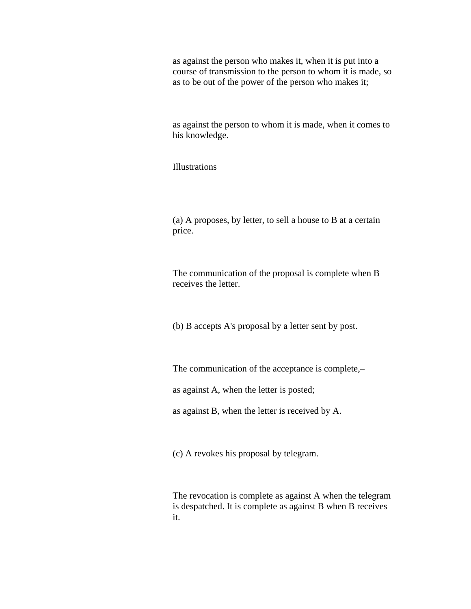as against the person who makes it, when it is put into a course of transmission to the person to whom it is made, so as to be out of the power of the person who makes it;

as against the person to whom it is made, when it comes to his knowledge.

Illustrations

(a) A proposes, by letter, to sell a house to B at a certain price.

The communication of the proposal is complete when B receives the letter.

(b) B accepts A's proposal by a letter sent by post.

The communication of the acceptance is complete,–

as against A, when the letter is posted;

as against B, when the letter is received by A.

(c) A revokes his proposal by telegram.

The revocation is complete as against A when the telegram is despatched. It is complete as against B when B receives it.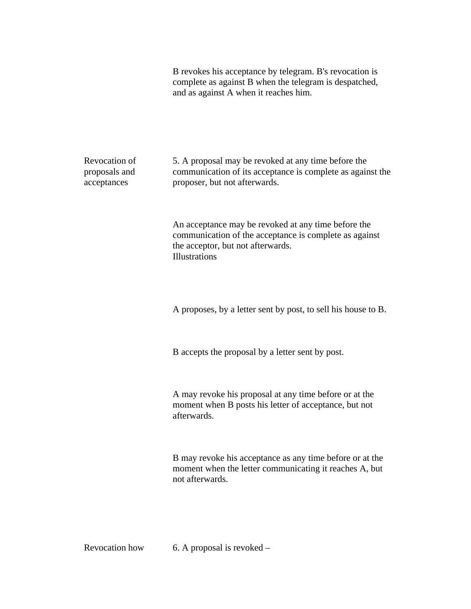B revokes his acceptance by telegram. B's revocation is complete as against B when the telegram is despatched, and as against A when it reaches him.

 Revocation of proposals and acceptances

5. A proposal may be revoked at any time before the communication of its acceptance is complete as against the proposer, but not afterwards.

An acceptance may be revoked at any time before the communication of the acceptance is complete as against the acceptor, but not afterwards. Illustrations

A proposes, by a letter sent by post, to sell his house to B.

B accepts the proposal by a letter sent by post.

A may revoke his proposal at any time before or at the moment when B posts his letter of acceptance, but not afterwards.

B may revoke his acceptance as any time before or at the moment when the letter communicating it reaches A, but not afterwards.

Revocation how 6. A proposal is revoked –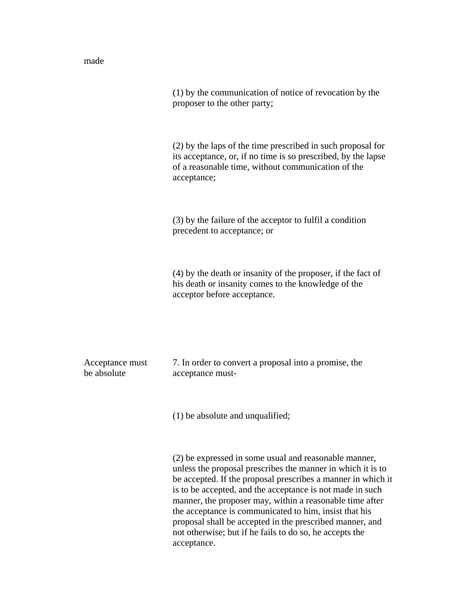(1) by the communication of notice of revocation by the proposer to the other party;

(2) by the laps of the time prescribed in such proposal for its acceptance, or, if no time is so prescribed, by the lapse of a reasonable time, without communication of the acceptance;

(3) by the failure of the acceptor to fulfil a condition precedent to acceptance; or

(4) by the death or insanity of the proposer, if the fact of his death or insanity comes to the knowledge of the acceptor before acceptance.

 Acceptance must be absolute 7. In order to convert a proposal into a promise, the acceptance must-

(1) be absolute and unqualified;

(2) be expressed in some usual and reasonable manner, unless the proposal prescribes the manner in which it is to be accepted. If the proposal prescribes a manner in which it is to be accepted, and the acceptance is not made in such manner, the proposer may, within a reasonable time after the acceptance is communicated to him, insist that his proposal shall be accepted in the prescribed manner, and not otherwise; but if he fails to do so, he accepts the acceptance.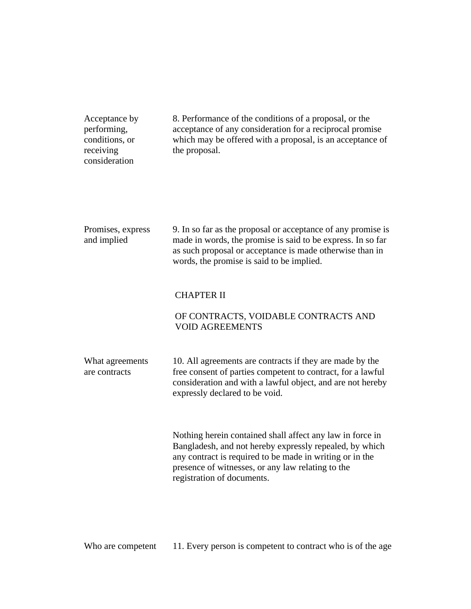Acceptance by performing, conditions, or receiving consideration

8. Performance of the conditions of a proposal, or the acceptance of any consideration for a reciprocal promise which may be offered with a proposal, is an acceptance of the proposal.

 Promises, express and implied 9. In so far as the proposal or acceptance of any promise is made in words, the promise is said to be express. In so far as such proposal or acceptance is made otherwise than in words, the promise is said to be implied.

## CHAPTER II

## OF CONTRACTS, VOIDABLE CONTRACTS AND VOID AGREEMENTS

 What agreements are contracts 10. All agreements are contracts if they are made by the free consent of parties competent to contract, for a lawful consideration and with a lawful object, and are not hereby expressly declared to be void.

> Nothing herein contained shall affect any law in force in Bangladesh, and not hereby expressly repealed, by which any contract is required to be made in writing or in the presence of witnesses, or any law relating to the registration of documents.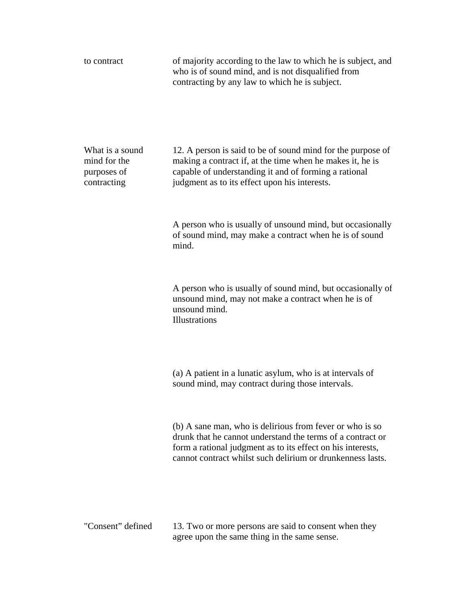to contract of majority according to the law to which he is subject, and who is of sound mind, and is not disqualified from contracting by any law to which he is subject.

 What is a sound mind for the purposes of contracting

12. A person is said to be of sound mind for the purpose of making a contract if, at the time when he makes it, he is capable of understanding it and of forming a rational judgment as to its effect upon his interests.

A person who is usually of unsound mind, but occasionally of sound mind, may make a contract when he is of sound mind.

A person who is usually of sound mind, but occasionally of unsound mind, may not make a contract when he is of unsound mind. Illustrations

(a) A patient in a lunatic asylum, who is at intervals of sound mind, may contract during those intervals.

(b) A sane man, who is delirious from fever or who is so drunk that he cannot understand the terms of a contract or form a rational judgment as to its effect on his interests, cannot contract whilst such delirium or drunkenness lasts.

 "Consent" defined 13. Two or more persons are said to consent when they agree upon the same thing in the same sense.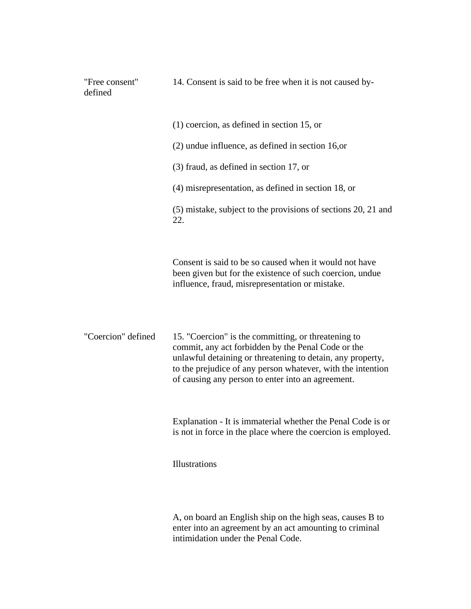| "Free consent"<br>defined | 14. Consent is said to be free when it is not caused by-                                                                                                                                                                                                                                    |
|---------------------------|---------------------------------------------------------------------------------------------------------------------------------------------------------------------------------------------------------------------------------------------------------------------------------------------|
|                           | $(1)$ coercion, as defined in section 15, or                                                                                                                                                                                                                                                |
|                           | $(2)$ undue influence, as defined in section 16, or                                                                                                                                                                                                                                         |
|                           | (3) fraud, as defined in section 17, or                                                                                                                                                                                                                                                     |
|                           | $(4)$ misrepresentation, as defined in section 18, or                                                                                                                                                                                                                                       |
|                           | (5) mistake, subject to the provisions of sections 20, 21 and<br>22.                                                                                                                                                                                                                        |
|                           | Consent is said to be so caused when it would not have<br>been given but for the existence of such coercion, undue<br>influence, fraud, misrepresentation or mistake.                                                                                                                       |
| "Coercion" defined        | 15. "Coercion" is the committing, or threatening to<br>commit, any act forbidden by the Penal Code or the<br>unlawful detaining or threatening to detain, any property,<br>to the prejudice of any person whatever, with the intention<br>of causing any person to enter into an agreement. |
|                           | Explanation - It is immaterial whether the Penal Code is or<br>is not in force in the place where the coercion is employed.                                                                                                                                                                 |
|                           | Illustrations                                                                                                                                                                                                                                                                               |
|                           |                                                                                                                                                                                                                                                                                             |

A, on board an English ship on the high seas, causes B to enter into an agreement by an act amounting to criminal intimidation under th[e Penal Code](http://www.bdlaws.gov.bd/pdf_part.php?id=11).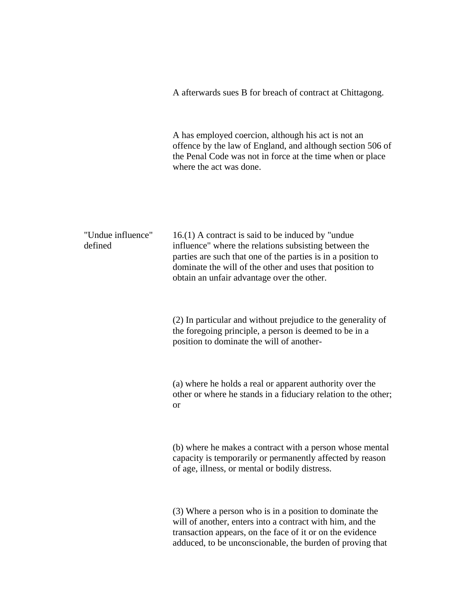|                              | A afterwards sues B for breach of contract at Chittagong.                                                                                                                                                                                                                            |
|------------------------------|--------------------------------------------------------------------------------------------------------------------------------------------------------------------------------------------------------------------------------------------------------------------------------------|
|                              | A has employed coercion, although his act is not an<br>offence by the law of England, and although section 506 of<br>the Penal Code was not in force at the time when or place<br>where the act was done.                                                                            |
| "Undue influence"<br>defined | 16.(1) A contract is said to be induced by "undue<br>influence" where the relations subsisting between the<br>parties are such that one of the parties is in a position to<br>dominate the will of the other and uses that position to<br>obtain an unfair advantage over the other. |
|                              | (2) In particular and without prejudice to the generality of<br>the foregoing principle, a person is deemed to be in a<br>position to dominate the will of another-                                                                                                                  |
|                              | (a) where he holds a real or apparent authority over the<br>other or where he stands in a fiduciary relation to the other;<br><sub>or</sub>                                                                                                                                          |
|                              | (b) where he makes a contract with a person whose mental<br>capacity is temporarily or permanently affected by reason<br>of age, illness, or mental or bodily distress.                                                                                                              |
|                              | (3) Where a person who is in a position to dominate the<br>will of another, enters into a contract with him, and the<br>transaction appears, on the face of it or on the evidence<br>adduced, to be unconscionable, the burden of proving that                                       |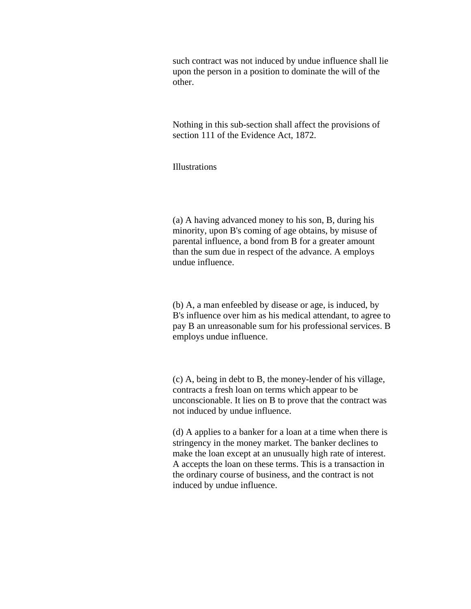such contract was not induced by undue influence shall lie upon the person in a position to dominate the will of the other.

Nothing in this sub-section shall affect the provisions of section 111 of th[e Evidence Act](http://www.bdlaws.gov.bd/pdf_part.php?id=24), 1872.

Illustrations

(a) A having advanced money to his son, B, during his minority, upon B's coming of age obtains, by misuse of parental influence, a bond from B for a greater amount than the sum due in respect of the advance. A employs undue influence.

(b) A, a man enfeebled by disease or age, is induced, by B's influence over him as his medical attendant, to agree to pay B an unreasonable sum for his professional services. B employs undue influence.

(c) A, being in debt to B, the money-lender of his village, contracts a fresh loan on terms which appear to be unconscionable. It lies on B to prove that the contract was not induced by undue influence.

(d) A applies to a banker for a loan at a time when there is stringency in the money market. The banker declines to make the loan except at an unusually high rate of interest. A accepts the loan on these terms. This is a transaction in the ordinary course of business, and the contract is not induced by undue influence.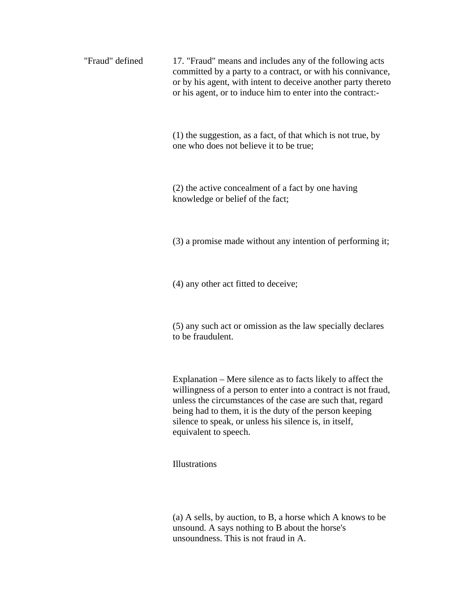"Fraud" defined 17. "Fraud" means and includes any of the following acts committed by a party to a contract, or with his connivance, or by his agent, with intent to deceive another party thereto or his agent, or to induce him to enter into the contract:-

> (1) the suggestion, as a fact, of that which is not true, by one who does not believe it to be true;

(2) the active concealment of a fact by one having knowledge or belief of the fact;

(3) a promise made without any intention of performing it;

(4) any other act fitted to deceive;

(5) any such act or omission as the law specially declares to be fraudulent.

Explanation – Mere silence as to facts likely to affect the willingness of a person to enter into a contract is not fraud, unless the circumstances of the case are such that, regard being had to them, it is the duty of the person keeping silence to speak, or unless his silence is, in itself, equivalent to speech.

Illustrations

(a) A sells, by auction, to B, a horse which A knows to be unsound. A says nothing to B about the horse's unsoundness. This is not fraud in A.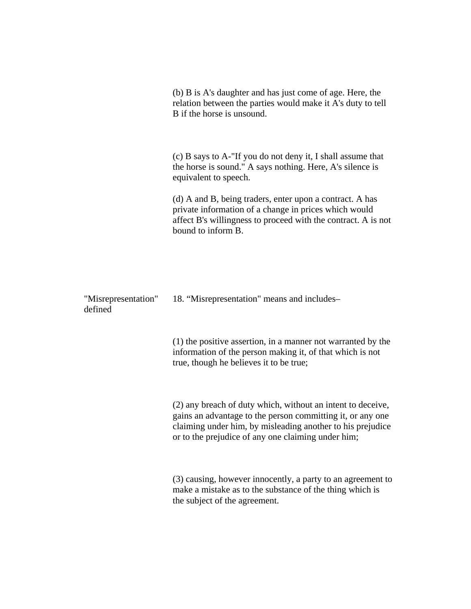(b) B is A's daughter and has just come of age. Here, the relation between the parties would make it A's duty to tell B if the horse is unsound.

(c) B says to A-"If you do not deny it, I shall assume that the horse is sound." A says nothing. Here, A's silence is equivalent to speech.

(d) A and B, being traders, enter upon a contract. A has private information of a change in prices which would affect B's willingness to proceed with the contract. A is not bound to inform B.

 "Misrepresentation" defined 18. "Misrepresentation" means and includes–

> (1) the positive assertion, in a manner not warranted by the information of the person making it, of that which is not true, though he believes it to be true;

> (2) any breach of duty which, without an intent to deceive, gains an advantage to the person committing it, or any one claiming under him, by misleading another to his prejudice or to the prejudice of any one claiming under him;

(3) causing, however innocently, a party to an agreement to make a mistake as to the substance of the thing which is the subject of the agreement.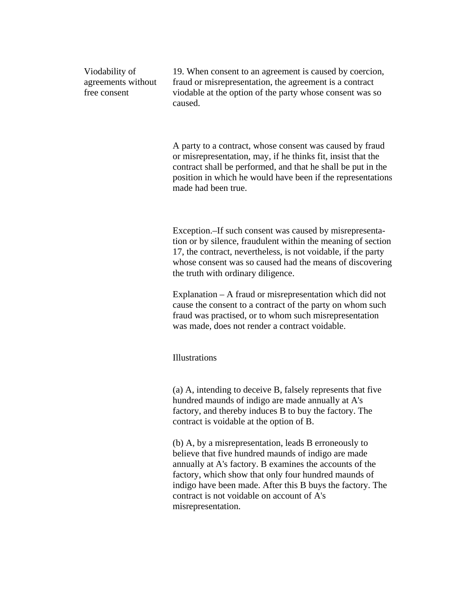Viodability of agreements without free consent

19. When consent to an agreement is caused by coercion, fraud or misrepresentation, the agreement is a contract viodable at the option of the party whose consent was so caused.

A party to a contract, whose consent was caused by fraud or misrepresentation, may, if he thinks fit, insist that the contract shall be performed, and that he shall be put in the position in which he would have been if the representations made had been true.

Exception.–If such consent was caused by misrepresentation or by silence, fraudulent within the meaning of section 17, the contract, nevertheless, is not voidable, if the party whose consent was so caused had the means of discovering the truth with ordinary diligence.

Explanation – A fraud or misrepresentation which did not cause the consent to a contract of the party on whom such fraud was practised, or to whom such misrepresentation was made, does not render a contract voidable.

Illustrations

(a) A, intending to deceive B, falsely represents that five hundred maunds of indigo are made annually at A's factory, and thereby induces B to buy the factory. The contract is voidable at the option of B.

(b) A, by a misrepresentation, leads B erroneously to believe that five hundred maunds of indigo are made annually at A's factory. B examines the accounts of the factory, which show that only four hundred maunds of indigo have been made. After this B buys the factory. The contract is not voidable on account of A's misrepresentation.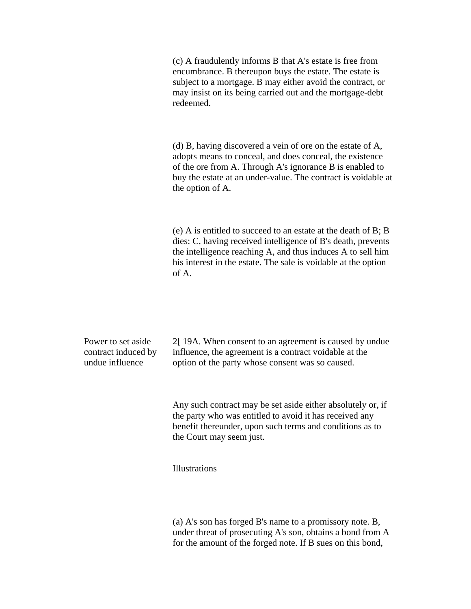(c) A fraudulently informs B that A's estate is free from encumbrance. B thereupon buys the estate. The estate is subject to a mortgage. B may either avoid the contract, or may insist on its being carried out and the mortgage-debt redeemed.

(d) B, having discovered a vein of ore on the estate of A, adopts means to conceal, and does conceal, the existence of the ore from A. Through A's ignorance B is enabled to buy the estate at an under-value. The contract is voidable at the option of A.

(e) A is entitled to succeed to an estate at the death of B; B dies: C, having received intelligence of B's death, prevents the intelligence reaching A, and thus induces A to sell him his interest in the estate. The sale is voidable at the option of A.

| Power to set aside  | 2[19A. When consent to an agreement is caused by undue |
|---------------------|--------------------------------------------------------|
| contract induced by | influence, the agreement is a contract voidable at the |
| undue influence     | option of the party whose consent was so caused.       |

Any such contract may be set aside either absolutely or, if the party who was entitled to avoid it has received any benefit thereunder, upon such terms and conditions as to the Court may seem just.

Illustrations

(a) A's son has forged B's name to a promissory note. B, under threat of prosecuting A's son, obtains a bond from A for the amount of the forged note. If B sues on this bond,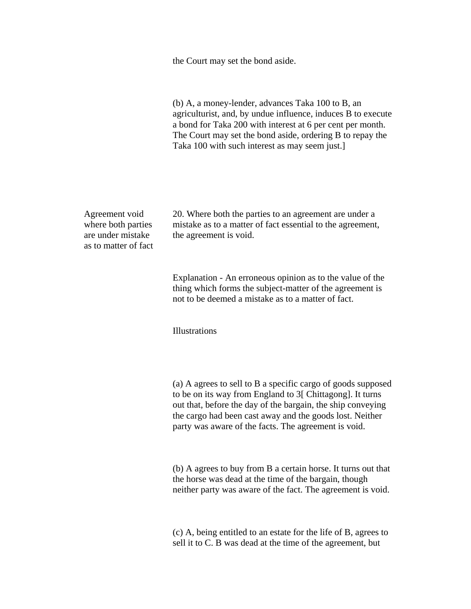the Court may set the bond aside.

(b) A, a money-lender, advances Taka 100 to B, an agriculturist, and, by undue influence, induces B to execute a bond for Taka 200 with interest at 6 per cent per month. The Court may set the bond aside, ordering B to repay the Taka 100 with such interest as may seem just.]

 Agreement void where both parties are under mistake as to matter of fact 20. Where both the parties to an agreement are under a mistake as to a matter of fact essential to the agreement, the agreement is void.

Explanation - An erroneous opinion as to the value of the thing which forms the subject-matter of the agreement is not to be deemed a mistake as to a matter of fact.

Illustrations

(a) A agrees to sell to B a specific cargo of goods supposed to be on its way from England to [3\[](http://www.bdlaws.gov.bd/print_sections.php?id=26&vol=§ions_id=183) Chittagong]. It turns out that, before the day of the bargain, the ship conveying the cargo had been cast away and the goods lost. Neither party was aware of the facts. The agreement is void.

(b) A agrees to buy from B a certain horse. It turns out that the horse was dead at the time of the bargain, though neither party was aware of the fact. The agreement is void.

(c) A, being entitled to an estate for the life of B, agrees to sell it to C. B was dead at the time of the agreement, but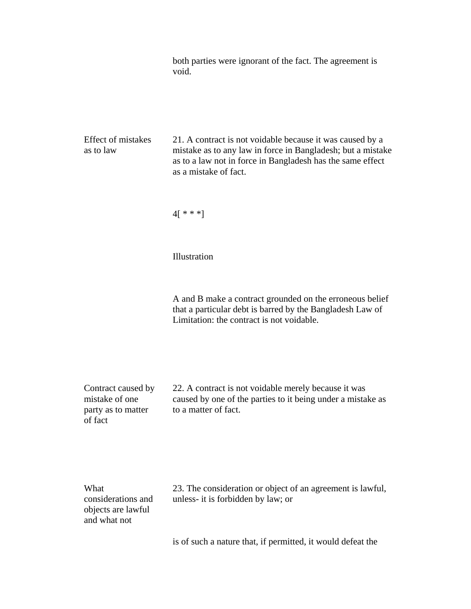both parties were ignorant of the fact. The agreement is void.

 Effect of mistakes as to law 21. A contract is not voidable because it was caused by a mistake as to any law in force in Bangladesh; but a mistake as to a law not in force in Bangladesh has the same effect as a mistake of fact.

 $4$ [ \* \* \*]

Illustration

A and B make a contract grounded on the erroneous belief that a particular debt is barred by the Bangladesh Law of Limitation: the contract is not voidable.

 Contract caused by mistake of one party as to matter of fact 22. A contract is not voidable merely because it was caused by one of the parties to it being under a mistake as to a matter of fact.

 What considerations and objects are lawful and what not

23. The consideration or object of an agreement is lawful, unless- it is forbidden by law; or

is of such a nature that, if permitted, it would defeat the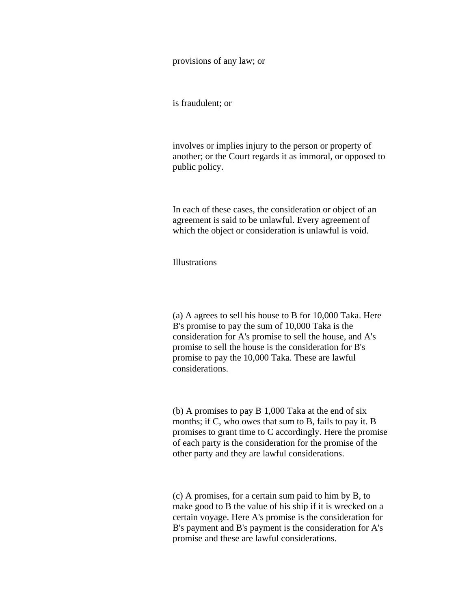provisions of any law; or

is fraudulent; or

involves or implies injury to the person or property of another; or the Court regards it as immoral, or opposed to public policy.

In each of these cases, the consideration or object of an agreement is said to be unlawful. Every agreement of which the object or consideration is unlawful is void.

Illustrations

(a) A agrees to sell his house to B for 10,000 Taka. Here B's promise to pay the sum of 10,000 Taka is the consideration for A's promise to sell the house, and A's promise to sell the house is the consideration for B's promise to pay the 10,000 Taka. These are lawful considerations.

(b) A promises to pay B 1,000 Taka at the end of six months; if C, who owes that sum to B, fails to pay it. B promises to grant time to C accordingly. Here the promise of each party is the consideration for the promise of the other party and they are lawful considerations.

(c) A promises, for a certain sum paid to him by B, to make good to B the value of his ship if it is wrecked on a certain voyage. Here A's promise is the consideration for B's payment and B's payment is the consideration for A's promise and these are lawful considerations.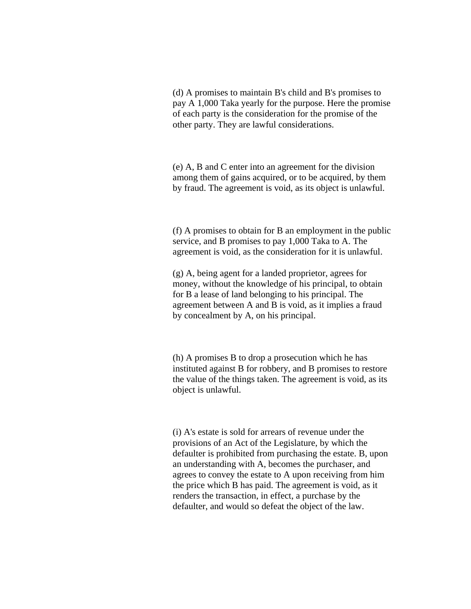(d) A promises to maintain B's child and B's promises to pay A 1,000 Taka yearly for the purpose. Here the promise of each party is the consideration for the promise of the other party. They are lawful considerations.

(e) A, B and C enter into an agreement for the division among them of gains acquired, or to be acquired, by them by fraud. The agreement is void, as its object is unlawful.

(f) A promises to obtain for B an employment in the public service, and B promises to pay 1,000 Taka to A. The agreement is void, as the consideration for it is unlawful.

(g) A, being agent for a landed proprietor, agrees for money, without the knowledge of his principal, to obtain for B a lease of land belonging to his principal. The agreement between A and B is void, as it implies a fraud by concealment by A, on his principal.

(h) A promises B to drop a prosecution which he has instituted against B for robbery, and B promises to restore the value of the things taken. The agreement is void, as its object is unlawful.

(i) A's estate is sold for arrears of revenue under the provisions of an Act of the Legislature, by which the defaulter is prohibited from purchasing the estate. B, upon an understanding with A, becomes the purchaser, and agrees to convey the estate to A upon receiving from him the price which B has paid. The agreement is void, as it renders the transaction, in effect, a purchase by the defaulter, and would so defeat the object of the law.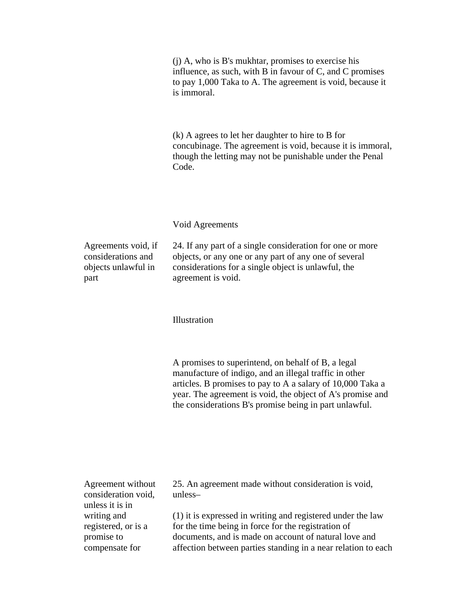(j) A, who is B's mukhtar, promises to exercise his influence, as such, with B in favour of C, and C promises to pay 1,000 Taka to A. The agreement is void, because it is immoral.

(k) A agrees to let her daughter to hire to B for concubinage. The agreement is void, because it is immoral, though the letting may not be punishable under the [Penal](http://www.bdlaws.gov.bd/pdf_part.php?id=11)  [Code.](http://www.bdlaws.gov.bd/pdf_part.php?id=11)

#### Void Agreements

 Agreements void, if considerations and objects unlawful in part 24. If any part of a single consideration for one or more objects, or any one or any part of any one of several considerations for a single object is unlawful, the agreement is void.

## Illustration

A promises to superintend, on behalf of B, a legal manufacture of indigo, and an illegal traffic in other articles. B promises to pay to A a salary of 10,000 Taka a year. The agreement is void, the object of A's promise and the considerations B's promise being in part unlawful.

 Agreement without consideration void, unless it is in writing and registered, or is a promise to compensate for

25. An agreement made without consideration is void, unless–

(1) it is expressed in writing and registered under the law for the time being in force for the registration of documents, and is made on account of natural love and affection between parties standing in a near relation to each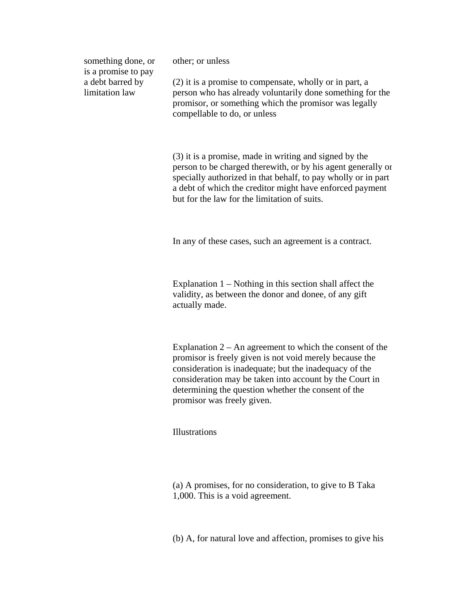something done, or is a promise to pay a debt barred by limitation law

other; or unless

(2) it is a promise to compensate, wholly or in part, a person who has already voluntarily done something for the promisor, or something which the promisor was legally compellable to do, or unless

(3) it is a promise, made in writing and signed by the person to be charged therewith, or by his agent generally or specially authorized in that behalf, to pay wholly or in part a debt of which the creditor might have enforced payment but for the law for the limitation of suits.

In any of these cases, such an agreement is a contract.

Explanation 1 – Nothing in this section shall affect the validity, as between the donor and donee, of any gift actually made.

Explanation  $2 - An$  agreement to which the consent of the promisor is freely given is not void merely because the consideration is inadequate; but the inadequacy of the consideration may be taken into account by the Court in determining the question whether the consent of the promisor was freely given.

Illustrations

(a) A promises, for no consideration, to give to B Taka 1,000. This is a void agreement.

(b) A, for natural love and affection, promises to give his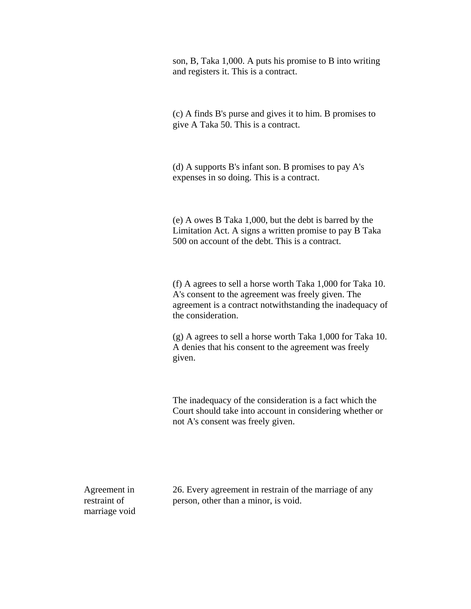son, B, Taka 1,000. A puts his promise to B into writing and registers it. This is a contract.

(c) A finds B's purse and gives it to him. B promises to give A Taka 50. This is a contract.

(d) A supports B's infant son. B promises to pay A's expenses in so doing. This is a contract.

(e) A owes B Taka 1,000, but the debt is barred by th[e](http://www.bdlaws.gov.bd/pdf_part.php?id=88) [Limitation Act.](http://www.bdlaws.gov.bd/pdf_part.php?id=88) A signs a written promise to pay B Taka 500 on account of the debt. This is a contract.

(f) A agrees to sell a horse worth Taka 1,000 for Taka 10. A's consent to the agreement was freely given. The agreement is a contract notwithstanding the inadequacy of the consideration.

(g) A agrees to sell a horse worth Taka 1,000 for Taka 10. A denies that his consent to the agreement was freely given.

The inadequacy of the consideration is a fact which the Court should take into account in considering whether or not A's consent was freely given.

 Agreement in restraint of marriage void

26. Every agreement in restrain of the marriage of any person, other than a minor, is void.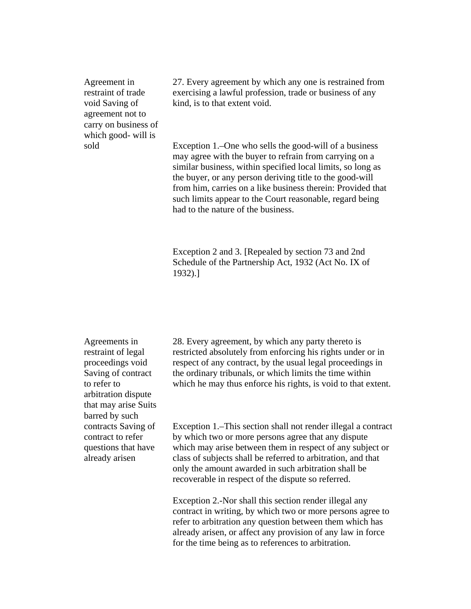Agreement in restraint of trade void Saving of agreement not to carry on business of which good- will is sold

27. Every agreement by which any one is restrained from exercising a lawful profession, trade or business of any kind, is to that extent void.

Exception 1.–One who sells the good-will of a business may agree with the buyer to refrain from carrying on a similar business, within specified local limits, so long as the buyer, or any person deriving title to the good-will from him, carries on a like business therein: Provided that such limits appear to the Court reasonable, regard being had to the nature of the business.

Exception 2 and 3. [Repealed by section 73 and 2nd Schedule of th[e Partnership Act](http://www.bdlaws.gov.bd/pdf_part.php?id=157), 1932 (Act No. IX of 1932).]

 Agreements in restraint of legal proceedings void Saving of contract to refer to arbitration dispute that may arise Suits barred by such contracts Saving of contract to refer questions that have already arisen

28. Every agreement, by which any party thereto is restricted absolutely from enforcing his rights under or in respect of any contract, by the usual legal proceedings in the ordinary tribunals, or which limits the time within which he may thus enforce his rights, is void to that extent.

Exception 1.–This section shall not render illegal a contract by which two or more persons agree that any dispute which may arise between them in respect of any subject or class of subjects shall be referred to arbitration, and that only the amount awarded in such arbitration shall be recoverable in respect of the dispute so referred.

Exception 2.-Nor shall this section render illegal any contract in writing, by which two or more persons agree to refer to arbitration any question between them which has already arisen, or affect any provision of any law in force for the time being as to references to arbitration.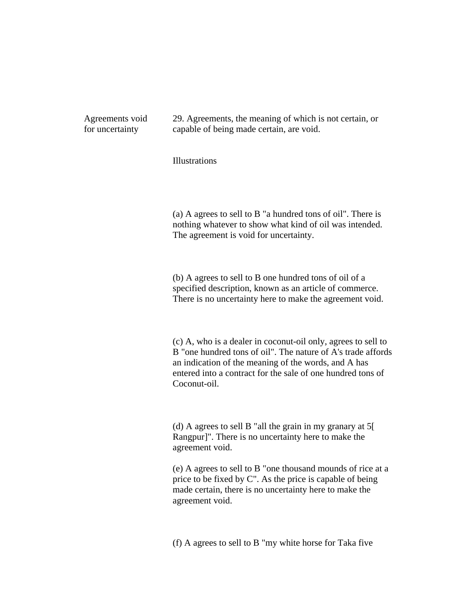Agreements void for uncertainty

29. Agreements, the meaning of which is not certain, or capable of being made certain, are void.

Illustrations

(a) A agrees to sell to B "a hundred tons of oil". There is nothing whatever to show what kind of oil was intended. The agreement is void for uncertainty.

(b) A agrees to sell to B one hundred tons of oil of a specified description, known as an article of commerce. There is no uncertainty here to make the agreement void.

(c) A, who is a dealer in coconut-oil only, agrees to sell to B "one hundred tons of oil". The nature of A's trade affords an indication of the meaning of the words, and A has entered into a contract for the sale of one hundred tons of Coconut-oil.

(d) A agrees to sell B "all the grain in my granary at [5\[](http://www.bdlaws.gov.bd/print_sections.php?id=26&vol=§ions_id=192) Rangpur]". There is no uncertainty here to make the agreement void.

(e) A agrees to sell to B "one thousand mounds of rice at a price to be fixed by C". As the price is capable of being made certain, there is no uncertainty here to make the agreement void.

(f) A agrees to sell to B "my white horse for Taka five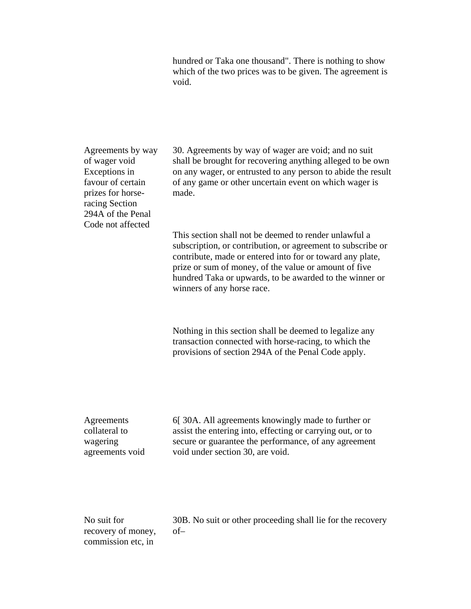hundred or Taka one thousand". There is nothing to show which of the two prices was to be given. The agreement is void.

 Agreements by way of wager void Exceptions in favour of certain prizes for horseracing Section 294A of the Penal Code not affected 30. Agreements by way of wager are void; and no suit shall be brought for recovering anything alleged to be own on any wager, or entrusted to any person to abide the result of any game or other uncertain event on which wager is made. This section shall not be deemed to render unlawful a subscription, or contribution, or agreement to subscribe or contribute, made or entered into for or toward any plate, prize or sum of money, of the value or amount of five hundred Taka or upwards, to be awarded to the winner or winners of any horse race. Nothing in this section shall be deemed to legalize any transaction connected with horse-racing, to which the provisions of section 294A of the [Penal Code](http://www.bdlaws.gov.bd/pdf_part.php?id=11) apply.

 Agreements collateral to wagering agreements void [6\[](http://www.bdlaws.gov.bd/print_sections.php?id=26&vol=§ions_id=194) 30A. All agreements knowingly made to further or assist the entering into, effecting or carrying out, or to secure or guarantee the performance, of any agreement void under section 30, are void.

 No suit for recovery of money, commission etc, in

30B. No suit or other proceeding shall lie for the recovery of–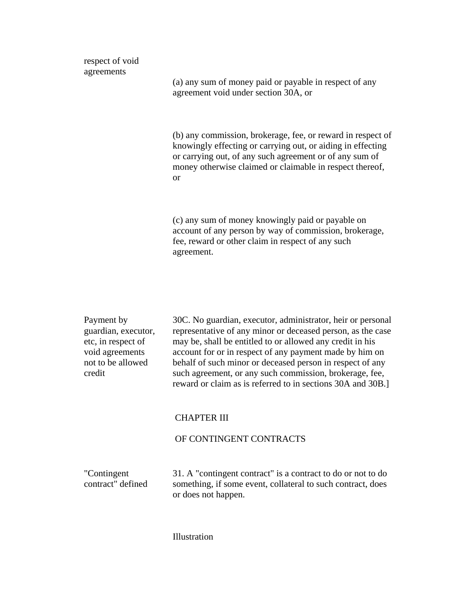respect of void agreements

> (a) any sum of money paid or payable in respect of any agreement void under section 30A, or

(b) any commission, brokerage, fee, or reward in respect of knowingly effecting or carrying out, or aiding in effecting or carrying out, of any such agreement or of any sum of money otherwise claimed or claimable in respect thereof, or

(c) any sum of money knowingly paid or payable on account of any person by way of commission, brokerage, fee, reward or other claim in respect of any such agreement.

 Payment by guardian, executor, etc, in respect of void agreements not to be allowed credit

30C. No guardian, executor, administrator, heir or personal representative of any minor or deceased person, as the case may be, shall be entitled to or allowed any credit in his account for or in respect of any payment made by him on behalf of such minor or deceased person in respect of any such agreement, or any such commission, brokerage, fee, reward or claim as is referred to in sections 30A and 30B.]

## CHAPTER III

## OF CONTINGENT CONTRACTS

 "Contingent contract" defined 31. A "contingent contract" is a contract to do or not to do something, if some event, collateral to such contract, does or does not happen.

Illustration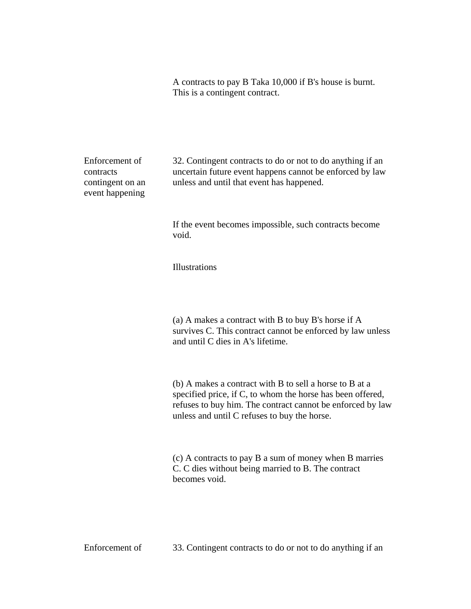A contracts to pay B Taka 10,000 if B's house is burnt. This is a contingent contract.

 Enforcement of contracts contingent on an event happening

32. Contingent contracts to do or not to do anything if an uncertain future event happens cannot be enforced by law unless and until that event has happened.

If the event becomes impossible, such contracts become void.

Illustrations

(a) A makes a contract with B to buy B's horse if A survives C. This contract cannot be enforced by law unless and until C dies in A's lifetime.

(b) A makes a contract with B to sell a horse to B at a specified price, if C, to whom the horse has been offered, refuses to buy him. The contract cannot be enforced by law unless and until C refuses to buy the horse.

(c) A contracts to pay B a sum of money when B marries C. C dies without being married to B. The contract becomes void.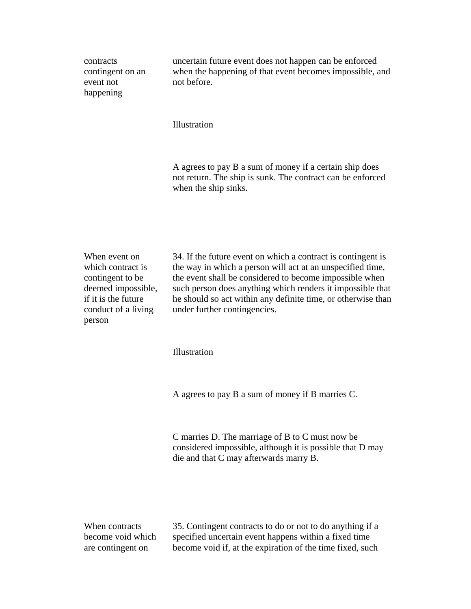contracts contingent on an event not happening

uncertain future event does not happen can be enforced when the happening of that event becomes impossible, and not before.

Illustration

A agrees to pay B a sum of money if a certain ship does not return. The ship is sunk. The contract can be enforced when the ship sinks.

 When event on which contract is contingent to be deemed impossible, if it is the future conduct of a living person

34. If the future event on which a contract is contingent is the way in which a person will act at an unspecified time, the event shall be considered to become impossible when such person does anything which renders it impossible that he should so act within any definite time, or otherwise than under further contingencies.

Illustration

A agrees to pay B a sum of money if B marries C.

C marries D. The marriage of B to C must now be considered impossible, although it is possible that D may die and that C may afterwards marry B.

 When contracts become void which are contingent on

35. Contingent contracts to do or not to do anything if a specified uncertain event happens within a fixed time become void if, at the expiration of the time fixed, such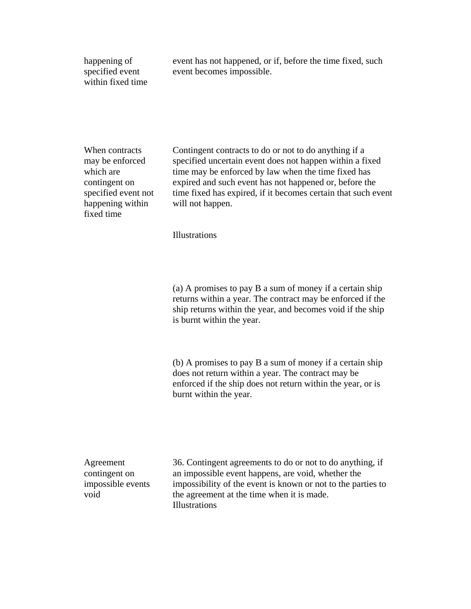happening of specified event within fixed time event has not happened, or if, before the time fixed, such event becomes impossible.

When contracts may be enforced which are contingent on specified event not happening within fixed time

Contingent contracts to do or not to do anything if a specified uncertain event does not happen within a fixed time may be enforced by law when the time fixed has expired and such event has not happened or, before the time fixed has expired, if it becomes certain that such event will not happen.

Illustrations

(a) A promises to pay B a sum of money if a certain ship returns within a year. The contract may be enforced if the ship returns within the year, and becomes void if the ship is burnt within the year.

(b) A promises to pay B a sum of money if a certain ship does not return within a year. The contract may be enforced if the ship does not return within the year, or is burnt within the year.

 Agreement contingent on impossible events void

36. Contingent agreements to do or not to do anything, if an impossible event happens, are void, whether the impossibility of the event is known or not to the parties to the agreement at the time when it is made. Illustrations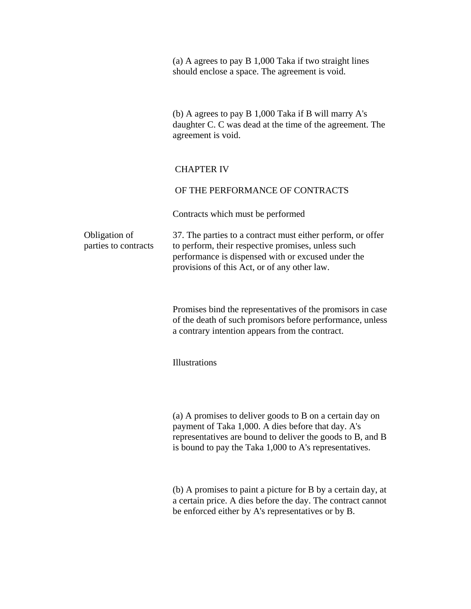|                                       | (a) A agrees to pay B 1,000 Taka if two straight lines<br>should enclose a space. The agreement is void.                                                                                                                |
|---------------------------------------|-------------------------------------------------------------------------------------------------------------------------------------------------------------------------------------------------------------------------|
|                                       | (b) A agrees to pay B $1,000$ Taka if B will marry A's<br>daughter C. C was dead at the time of the agreement. The<br>agreement is void.                                                                                |
|                                       | <b>CHAPTER IV</b>                                                                                                                                                                                                       |
|                                       | OF THE PERFORMANCE OF CONTRACTS                                                                                                                                                                                         |
|                                       | Contracts which must be performed                                                                                                                                                                                       |
| Obligation of<br>parties to contracts | 37. The parties to a contract must either perform, or offer<br>to perform, their respective promises, unless such<br>performance is dispensed with or excused under the<br>provisions of this Act, or of any other law. |
|                                       | Promises bind the representatives of the promisors in case<br>of the death of such promisors before performance, unless<br>a contrary intention appears from the contract.                                              |
|                                       | Illustrations                                                                                                                                                                                                           |
|                                       |                                                                                                                                                                                                                         |

(a) A promises to deliver goods to B on a certain day on payment of Taka 1,000. A dies before that day. A's representatives are bound to deliver the goods to B, and B is bound to pay the Taka 1,000 to A's representatives.

(b) A promises to paint a picture for B by a certain day, at a certain price. A dies before the day. The contract cannot be enforced either by A's representatives or by B.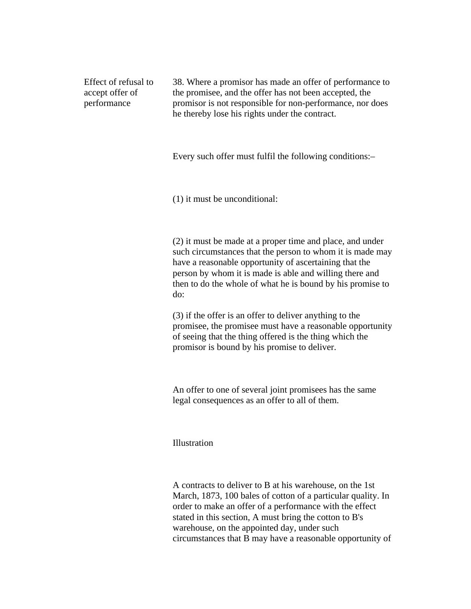Effect of refusal to accept offer of performance

38. Where a promisor has made an offer of performance to the promisee, and the offer has not been accepted, the promisor is not responsible for non-performance, nor does he thereby lose his rights under the contract.

Every such offer must fulfil the following conditions:–

(1) it must be unconditional:

(2) it must be made at a proper time and place, and under such circumstances that the person to whom it is made may have a reasonable opportunity of ascertaining that the person by whom it is made is able and willing there and then to do the whole of what he is bound by his promise to do:

(3) if the offer is an offer to deliver anything to the promisee, the promisee must have a reasonable opportunity of seeing that the thing offered is the thing which the promisor is bound by his promise to deliver.

An offer to one of several joint promisees has the same legal consequences as an offer to all of them.

#### Illustration

A contracts to deliver to B at his warehouse, on the 1st March, 1873, 100 bales of cotton of a particular quality. In order to make an offer of a performance with the effect stated in this section, A must bring the cotton to B's warehouse, on the appointed day, under such circumstances that B may have a reasonable opportunity of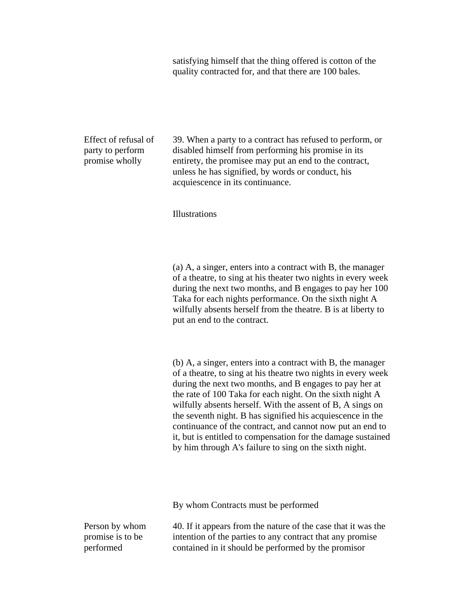satisfying himself that the thing offered is cotton of the quality contracted for, and that there are 100 bales.

 Effect of refusal of party to perform promise wholly

39. When a party to a contract has refused to perform, or disabled himself from performing his promise in its entirety, the promisee may put an end to the contract, unless he has signified, by words or conduct, his acquiescence in its continuance.

**Illustrations** 

(a) A, a singer, enters into a contract with B, the manager of a theatre, to sing at his theater two nights in every week during the next two months, and B engages to pay her 100 Taka for each nights performance. On the sixth night A wilfully absents herself from the theatre. B is at liberty to put an end to the contract.

(b) A, a singer, enters into a contract with B, the manager of a theatre, to sing at his theatre two nights in every week during the next two months, and B engages to pay her at the rate of 100 Taka for each night. On the sixth night A wilfully absents herself. With the assent of B, A sings on the seventh night. B has signified his acquiescence in the continuance of the contract, and cannot now put an end to it, but is entitled to compensation for the damage sustained by him through A's failure to sing on the sixth night.

By whom Contracts must be performed

 Person by whom promise is to be performed

40. If it appears from the nature of the case that it was the intention of the parties to any contract that any promise contained in it should be performed by the promisor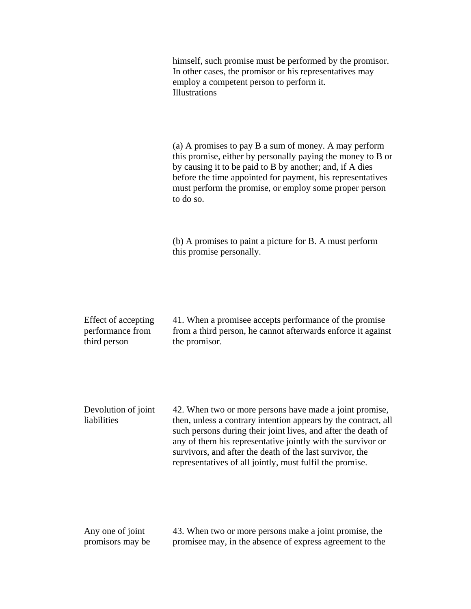himself, such promise must be performed by the promisor. In other cases, the promisor or his representatives may employ a competent person to perform it. Illustrations

(a) A promises to pay B a sum of money. A may perform this promise, either by personally paying the money to B or by causing it to be paid to B by another; and, if A dies before the time appointed for payment, his representatives must perform the promise, or employ some proper person to do so.

(b) A promises to paint a picture for B. A must perform this promise personally.

 Effect of accepting performance from third person 41. When a promisee accepts performance of the promise from a third person, he cannot afterwards enforce it against the promisor.

 Devolution of joint liabilities 42. When two or more persons have made a joint promise, then, unless a contrary intention appears by the contract, all such persons during their joint lives, and after the death of any of them his representative jointly with the survivor or survivors, and after the death of the last survivor, the representatives of all jointly, must fulfil the promise.

 Any one of joint Any one of joint 43. When two or more persons make a joint promise, the promisors may be promisee may, in the absence of express agreement to the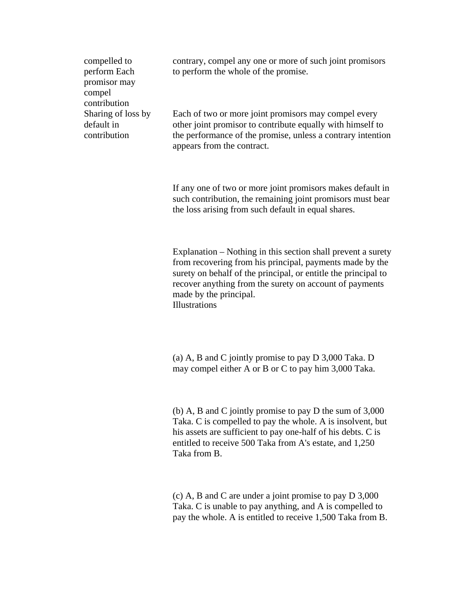compelled to perform Each promisor may compel contribution Sharing of loss by default in contribution

contrary, compel any one or more of such joint promisors to perform the whole of the promise.

Each of two or more joint promisors may compel every other joint promisor to contribute equally with himself to the performance of the promise, unless a contrary intention appears from the contract.

If any one of two or more joint promisors makes default in such contribution, the remaining joint promisors must bear the loss arising from such default in equal shares.

Explanation – Nothing in this section shall prevent a surety from recovering from his principal, payments made by the surety on behalf of the principal, or entitle the principal to recover anything from the surety on account of payments made by the principal. Illustrations

(a) A, B and C jointly promise to pay D 3,000 Taka. D may compel either A or B or C to pay him 3,000 Taka.

(b) A, B and C jointly promise to pay D the sum of 3,000 Taka. C is compelled to pay the whole. A is insolvent, but his assets are sufficient to pay one-half of his debts. C is entitled to receive 500 Taka from A's estate, and 1,250 Taka from B.

(c) A, B and C are under a joint promise to pay D 3,000 Taka. C is unable to pay anything, and A is compelled to pay the whole. A is entitled to receive 1,500 Taka from B.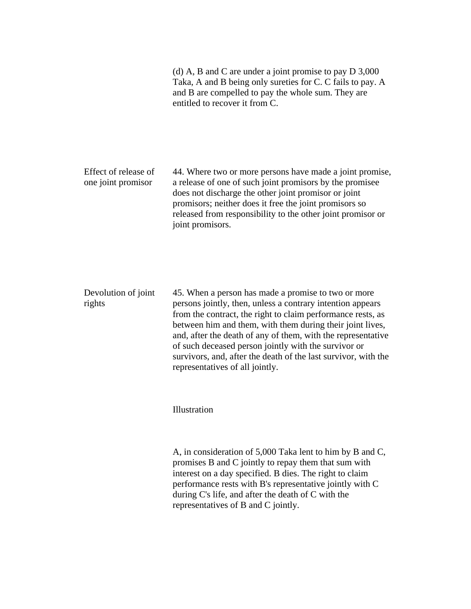|                                            | (d) A, B and C are under a joint promise to pay $D$ 3,000<br>Taka, A and B being only sureties for C. C fails to pay. A<br>and B are compelled to pay the whole sum. They are<br>entitled to recover it from C.                                                                                                                                                                                                                                                            |
|--------------------------------------------|----------------------------------------------------------------------------------------------------------------------------------------------------------------------------------------------------------------------------------------------------------------------------------------------------------------------------------------------------------------------------------------------------------------------------------------------------------------------------|
| Effect of release of<br>one joint promisor | 44. Where two or more persons have made a joint promise,<br>a release of one of such joint promisors by the promisee<br>does not discharge the other joint promisor or joint<br>promisors; neither does it free the joint promisors so<br>released from responsibility to the other joint promisor or<br>joint promisors.                                                                                                                                                  |
| Devolution of joint<br>rights              | 45. When a person has made a promise to two or more<br>persons jointly, then, unless a contrary intention appears<br>from the contract, the right to claim performance rests, as<br>between him and them, with them during their joint lives,<br>and, after the death of any of them, with the representative<br>of such deceased person jointly with the survivor or<br>survivors, and, after the death of the last survivor, with the<br>representatives of all jointly. |
|                                            | Illustration                                                                                                                                                                                                                                                                                                                                                                                                                                                               |
|                                            | A, in consideration of 5,000 Taka lent to him by B and C,<br>promises B and C jointly to repay them that sum with<br>interest on a day specified. B dies. The right to claim<br>performance rests with B's representative jointly with C<br>during C's life, and after the death of C with the<br>representatives of B and C jointly.                                                                                                                                      |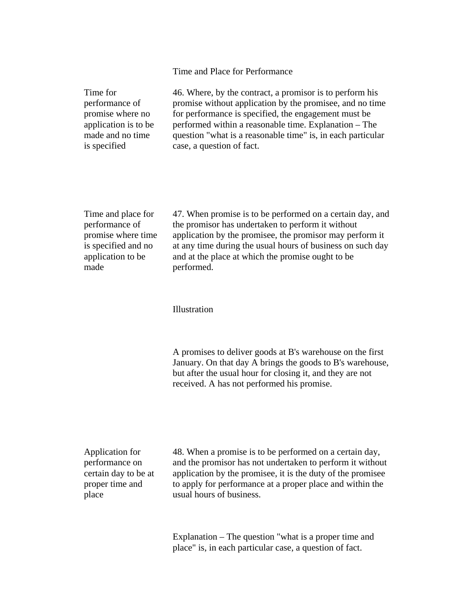#### Time and Place for Performance

 Time for performance of promise where no application is to be made and no time is specified 46. Where, by the contract, a promisor is to perform his promise without application by the promisee, and no time for performance is specified, the engagement must be performed within a reasonable time. Explanation – The question "what is a reasonable time" is, in each particular case, a question of fact.

 Time and place for performance of promise where time is specified and no application to be made

47. When promise is to be performed on a certain day, and the promisor has undertaken to perform it without application by the promisee, the promisor may perform it at any time during the usual hours of business on such day and at the place at which the promise ought to be performed.

Illustration

A promises to deliver goods at B's warehouse on the first January. On that day A brings the goods to B's warehouse, but after the usual hour for closing it, and they are not received. A has not performed his promise.

 Application for performance on certain day to be at proper time and place

48. When a promise is to be performed on a certain day, and the promisor has not undertaken to perform it without application by the promisee, it is the duty of the promisee to apply for performance at a proper place and within the usual hours of business.

Explanation – The question "what is a proper time and place" is, in each particular case, a question of fact.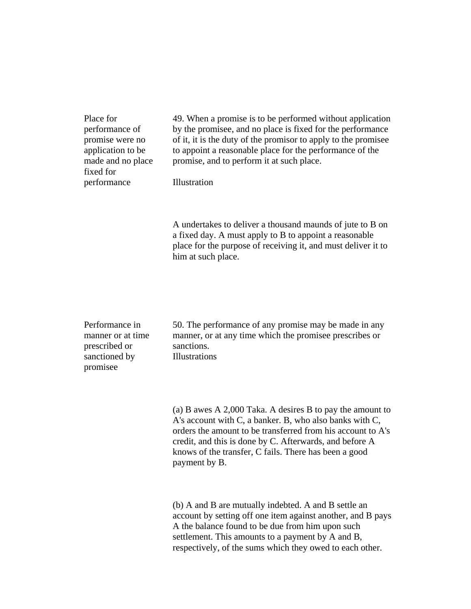Place for performance of promise were no application to be made and no place fixed for performance 49. When a promise is to be performed without application by the promisee, and no place is fixed for the performance of it, it is the duty of the promisor to apply to the promisee to appoint a reasonable place for the performance of the promise, and to perform it at such place. Illustration

> A undertakes to deliver a thousand maunds of jute to B on a fixed day. A must apply to B to appoint a reasonable place for the purpose of receiving it, and must deliver it to him at such place.

 Performance in manner or at time prescribed or sanctioned by promisee

50. The performance of any promise may be made in any manner, or at any time which the promisee prescribes or sanctions. Illustrations

(a) B awes A 2,000 Taka. A desires B to pay the amount to A's account with C, a banker. B, who also banks with C, orders the amount to be transferred from his account to A's credit, and this is done by C. Afterwards, and before A knows of the transfer, C fails. There has been a good payment by B.

(b) A and B are mutually indebted. A and B settle an account by setting off one item against another, and B pays A the balance found to be due from him upon such settlement. This amounts to a payment by A and B, respectively, of the sums which they owed to each other.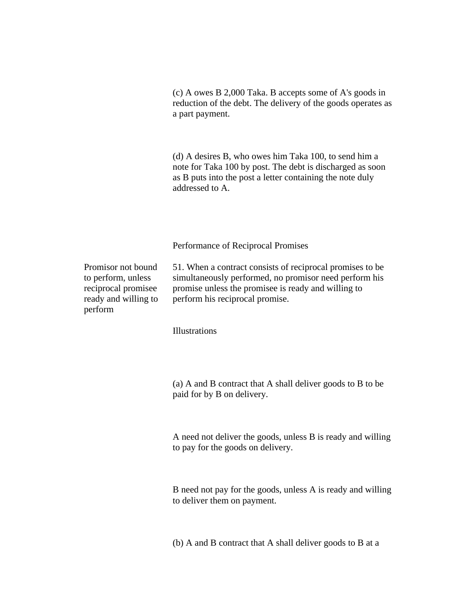(c) A owes B 2,000 Taka. B accepts some of A's goods in reduction of the debt. The delivery of the goods operates as a part payment.

(d) A desires B, who owes him Taka 100, to send him a note for Taka 100 by post. The debt is discharged as soon as B puts into the post a letter containing the note duly addressed to A.

Performance of Reciprocal Promises

 Promisor not bound to perform, unless reciprocal promisee ready and willing to perform 51. When a contract consists of reciprocal promises to be simultaneously performed, no promisor need perform his promise unless the promisee is ready and willing to perform his reciprocal promise.

Illustrations

(a) A and B contract that A shall deliver goods to B to be paid for by B on delivery.

A need not deliver the goods, unless B is ready and willing to pay for the goods on delivery.

B need not pay for the goods, unless A is ready and willing to deliver them on payment.

(b) A and B contract that A shall deliver goods to B at a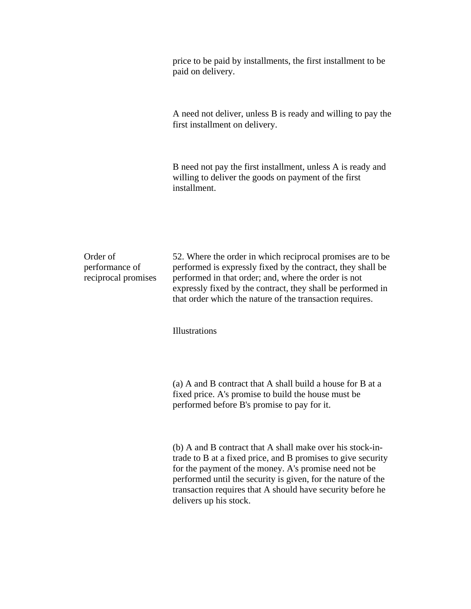price to be paid by installments, the first installment to be paid on delivery.

A need not deliver, unless B is ready and willing to pay the first installment on delivery.

B need not pay the first installment, unless A is ready and willing to deliver the goods on payment of the first installment.

 Order of performance of reciprocal promises 52. Where the order in which reciprocal promises are to be performed is expressly fixed by the contract, they shall be performed in that order; and, where the order is not expressly fixed by the contract, they shall be performed in that order which the nature of the transaction requires.

Illustrations

(a) A and B contract that A shall build a house for B at a fixed price. A's promise to build the house must be performed before B's promise to pay for it.

(b) A and B contract that A shall make over his stock-intrade to B at a fixed price, and B promises to give security for the payment of the money. A's promise need not be performed until the security is given, for the nature of the transaction requires that A should have security before he delivers up his stock.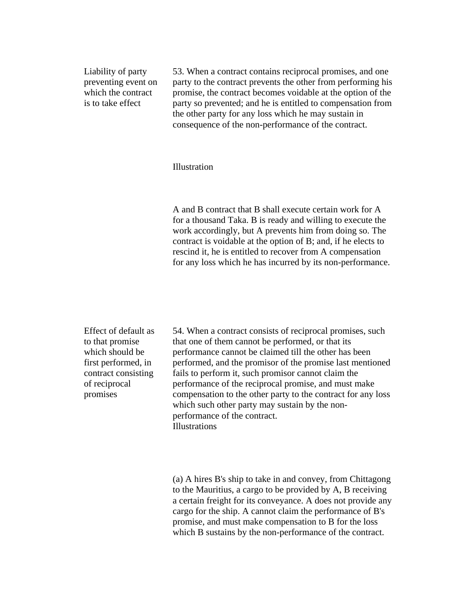Liability of party preventing event on which the contract is to take effect

53. When a contract contains reciprocal promises, and one party to the contract prevents the other from performing his promise, the contract becomes voidable at the option of the party so prevented; and he is entitled to compensation from the other party for any loss which he may sustain in consequence of the non-performance of the contract.

### Illustration

A and B contract that B shall execute certain work for A for a thousand Taka. B is ready and willing to execute the work accordingly, but A prevents him from doing so. The contract is voidable at the option of B; and, if he elects to rescind it, he is entitled to recover from A compensation for any loss which he has incurred by its non-performance.

 Effect of default as to that promise which should be first performed, in contract consisting of reciprocal promises

54. When a contract consists of reciprocal promises, such that one of them cannot be performed, or that its performance cannot be claimed till the other has been performed, and the promisor of the promise last mentioned fails to perform it, such promisor cannot claim the performance of the reciprocal promise, and must make compensation to the other party to the contract for any loss which such other party may sustain by the nonperformance of the contract. Illustrations

(a) A hires B's ship to take in and convey, from Chittagong to the Mauritius, a cargo to be provided by A, B receiving a certain freight for its conveyance. A does not provide any cargo for the ship. A cannot claim the performance of B's promise, and must make compensation to B for the loss which B sustains by the non-performance of the contract.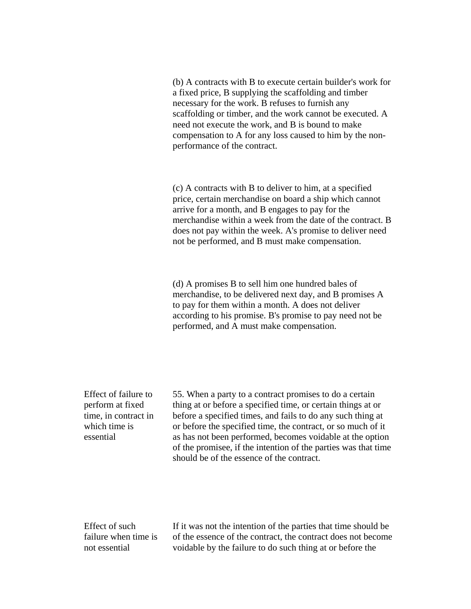(b) A contracts with B to execute certain builder's work for a fixed price, B supplying the scaffolding and timber necessary for the work. B refuses to furnish any scaffolding or timber, and the work cannot be executed. A need not execute the work, and B is bound to make compensation to A for any loss caused to him by the nonperformance of the contract.

(c) A contracts with B to deliver to him, at a specified price, certain merchandise on board a ship which cannot arrive for a month, and B engages to pay for the merchandise within a week from the date of the contract. B does not pay within the week. A's promise to deliver need not be performed, and B must make compensation.

(d) A promises B to sell him one hundred bales of merchandise, to be delivered next day, and B promises A to pay for them within a month. A does not deliver according to his promise. B's promise to pay need not be performed, and A must make compensation.

 Effect of failure to perform at fixed time, in contract in which time is essential

55. When a party to a contract promises to do a certain thing at or before a specified time, or certain things at or before a specified times, and fails to do any such thing at or before the specified time, the contract, or so much of it as has not been performed, becomes voidable at the option of the promisee, if the intention of the parties was that time should be of the essence of the contract.

 Effect of such failure when time is not essential

If it was not the intention of the parties that time should be of the essence of the contract, the contract does not become voidable by the failure to do such thing at or before the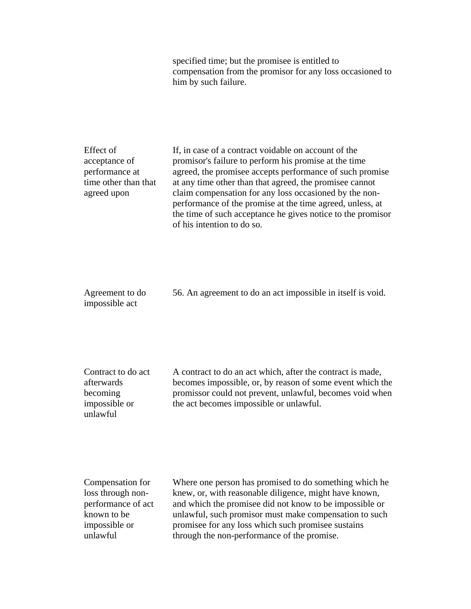specified time; but the promisee is entitled to compensation from the promisor for any loss occasioned to him by such failure.

 Effect of acceptance of performance at time other than that agreed upon

If, in case of a contract voidable on account of the promisor's failure to perform his promise at the time agreed, the promisee accepts performance of such promise at any time other than that agreed, the promisee cannot claim compensation for any loss occasioned by the nonperformance of the promise at the time agreed, unless, at the time of such acceptance he gives notice to the promisor of his intention to do so.

 Agreement to do Agreement to do 56. An agreement to do an act impossible in itself is void.<br>impossible act

 Contract to do act afterwards becoming impossible or unlawful A contract to do an act which, after the contract is made, becomes impossible, or, by reason of some event which the promissor could not prevent, unlawful, becomes void when the act becomes impossible or unlawful.

 Compensation for loss through nonperformance of act known to be impossible or unlawful

Where one person has promised to do something which he knew, or, with reasonable diligence, might have known, and which the promisee did not know to be impossible or unlawful, such promisor must make compensation to such promisee for any loss which such promisee sustains through the non-performance of the promise.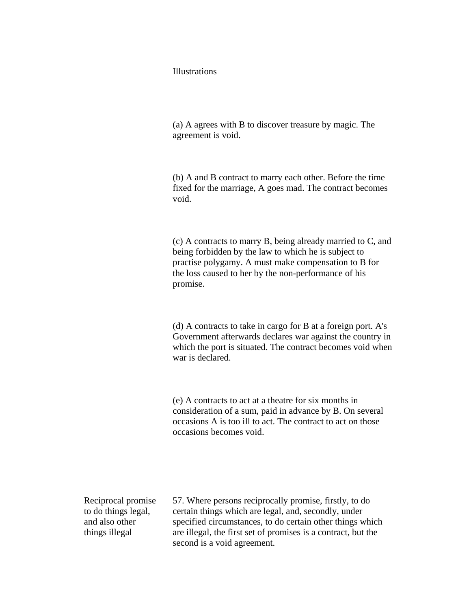Illustrations

(a) A agrees with B to discover treasure by magic. The agreement is void.

(b) A and B contract to marry each other. Before the time fixed for the marriage, A goes mad. The contract becomes void.

(c) A contracts to marry B, being already married to C, and being forbidden by the law to which he is subject to practise polygamy. A must make compensation to B for the loss caused to her by the non-performance of his promise.

(d) A contracts to take in cargo for B at a foreign port. A's Government afterwards declares war against the country in which the port is situated. The contract becomes void when war is declared.

(e) A contracts to act at a theatre for six months in consideration of a sum, paid in advance by B. On several occasions A is too ill to act. The contract to act on those occasions becomes void.

 Reciprocal promise to do things legal, and also other things illegal

57. Where persons reciprocally promise, firstly, to do certain things which are legal, and, secondly, under specified circumstances, to do certain other things which are illegal, the first set of promises is a contract, but the second is a void agreement.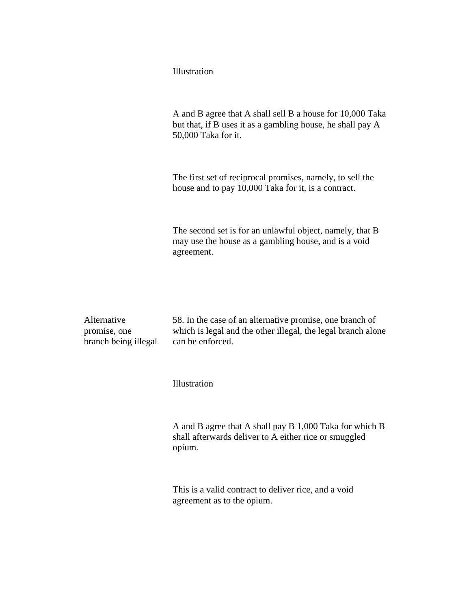Illustration

A and B agree that A shall sell B a house for 10,000 Taka but that, if B uses it as a gambling house, he shall pay A 50,000 Taka for it.

The first set of reciprocal promises, namely, to sell the house and to pay 10,000 Taka for it, is a contract.

The second set is for an unlawful object, namely, that B may use the house as a gambling house, and is a void agreement.

 Alternative promise, one branch being illegal 58. In the case of an alternative promise, one branch of which is legal and the other illegal, the legal branch alone can be enforced.

Illustration

A and B agree that A shall pay B 1,000 Taka for which B shall afterwards deliver to A either rice or smuggled opium.

This is a valid contract to deliver rice, and a void agreement as to the opium.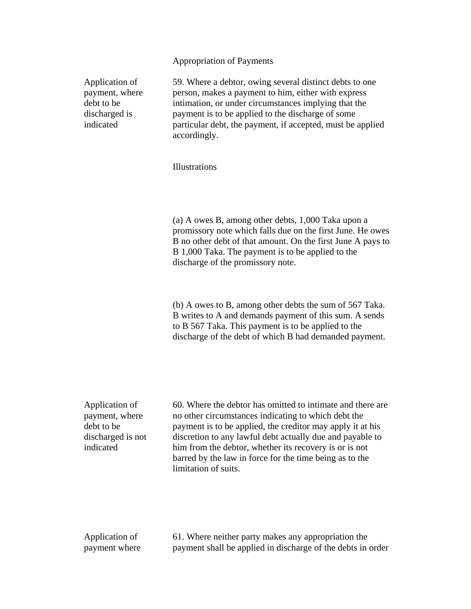Appropriation of Payments

 Application of payment, where debt to be discharged is indicated 59. Where a debtor, owing several distinct debts to one person, makes a payment to him, either with express intimation, or under circumstances implying that the payment is to be applied to the discharge of some particular debt, the payment, if accepted, must be applied accordingly.

Illustrations

(a) A owes B, among other debts, 1,000 Taka upon a promissory note which falls due on the first June. He owes B no other debt of that amount. On the first June A pays to B 1,000 Taka. The payment is to be applied to the discharge of the promissory note.

(b) A owes to B, among other debts the sum of 567 Taka. B writes to A and demands payment of this sum. A sends to B 567 Taka. This payment is to be applied to the discharge of the debt of which B had demanded payment.

 Application of payment, where debt to be discharged is not indicated

60. Where the debtor has omitted to intimate and there are no other circumstances indicating to which debt the payment is to be applied, the creditor may apply it at his discretion to any lawful debt actually due and payable to him from the debtor, whether its recovery is or is not barred by the law in force for the time being as to the limitation of suits.

Application of

Application of 61. Where neither party makes any appropriation the payment where payment shall be applied in discharge of the debts in order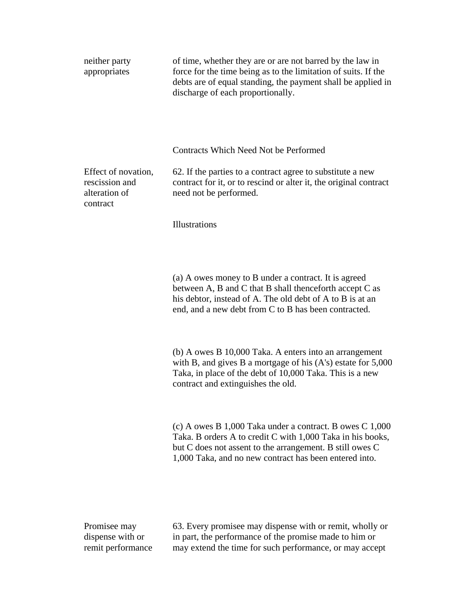| neither party<br>appropriates                                      | of time, whether they are or are not barred by the law in<br>force for the time being as to the limitation of suits. If the<br>debts are of equal standing, the payment shall be applied in<br>discharge of each proportionally.               |
|--------------------------------------------------------------------|------------------------------------------------------------------------------------------------------------------------------------------------------------------------------------------------------------------------------------------------|
|                                                                    | Contracts Which Need Not be Performed                                                                                                                                                                                                          |
| Effect of novation,<br>rescission and<br>alteration of<br>contract | 62. If the parties to a contract agree to substitute a new<br>contract for it, or to rescind or alter it, the original contract<br>need not be performed.                                                                                      |
|                                                                    | <b>Illustrations</b>                                                                                                                                                                                                                           |
|                                                                    | (a) A owes money to B under a contract. It is agreed<br>between A, B and C that B shall thenceforth accept C as<br>his debtor, instead of A. The old debt of A to B is at an<br>end, and a new debt from C to B has been contracted.           |
|                                                                    | (b) A owes B 10,000 Taka. A enters into an arrangement<br>with B, and gives B a mortgage of his $(A's)$ estate for $5,000$<br>Taka, in place of the debt of 10,000 Taka. This is a new<br>contract and extinguishes the old.                   |
|                                                                    | (c) A owes B 1,000 Taka under a contract. B owes C $1,000$<br>Taka. B orders A to credit C with 1,000 Taka in his books,<br>but C does not assent to the arrangement. B still owes C<br>1,000 Taka, and no new contract has been entered into. |
|                                                                    |                                                                                                                                                                                                                                                |

 Promisee may dispense with or remit performance

63. Every promisee may dispense with or remit, wholly or in part, the performance of the promise made to him or may extend the time for such performance, or may accept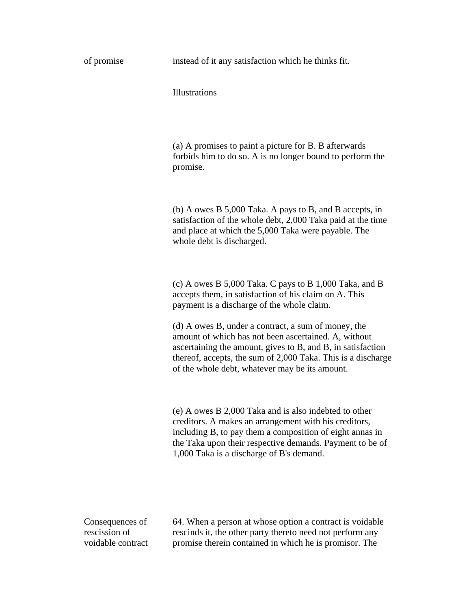of promise instead of it any satisfaction which he thinks fit.

Illustrations

(a) A promises to paint a picture for B. B afterwards forbids him to do so. A is no longer bound to perform the promise.

(b) A owes B 5,000 Taka. A pays to B, and B accepts, in satisfaction of the whole debt, 2,000 Taka paid at the time and place at which the 5,000 Taka were payable. The whole debt is discharged.

 $(c)$  A owes B 5,000 Taka. C pays to B 1,000 Taka, and B accepts them, in satisfaction of his claim on A. This payment is a discharge of the whole claim.

(d) A owes B, under a contract, a sum of money, the amount of which has not been ascertained. A, without ascertaining the amount, gives to B, and B, in satisfaction thereof, accepts, the sum of 2,000 Taka. This is a discharge of the whole debt, whatever may be its amount.

(e) A owes B 2,000 Taka and is also indebted to other creditors. A makes an arrangement with his creditors, including B, to pay them a composition of eight annas in the Taka upon their respective demands. Payment to be of 1,000 Taka is a discharge of B's demand.

 Consequences of rescission of voidable contract 64. When a person at whose option a contract is voidable rescinds it, the other party thereto need not perform any promise therein contained in which he is promisor. The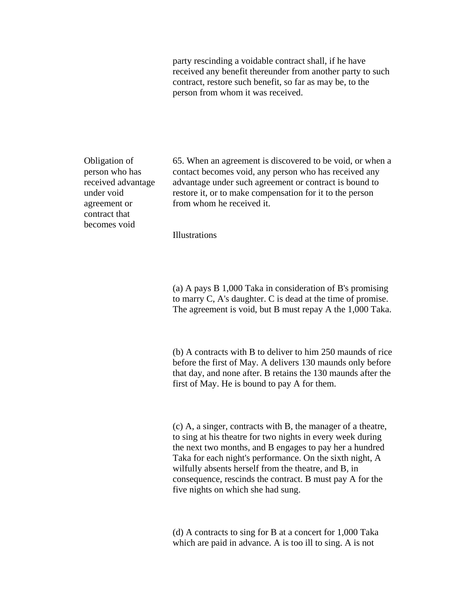party rescinding a voidable contract shall, if he have received any benefit thereunder from another party to such contract, restore such benefit, so far as may be, to the person from whom it was received.

 Obligation of person who has received advantage under void agreement or contract that becomes void

65. When an agreement is discovered to be void, or when a contact becomes void, any person who has received any advantage under such agreement or contract is bound to restore it, or to make compensation for it to the person from whom he received it.

Illustrations

(a) A pays B 1,000 Taka in consideration of B's promising to marry C, A's daughter. C is dead at the time of promise. The agreement is void, but B must repay A the 1,000 Taka.

(b) A contracts with B to deliver to him 250 maunds of rice before the first of May. A delivers 130 maunds only before that day, and none after. B retains the 130 maunds after the first of May. He is bound to pay A for them.

(c) A, a singer, contracts with B, the manager of a theatre, to sing at his theatre for two nights in every week during the next two months, and B engages to pay her a hundred Taka for each night's performance. On the sixth night, A wilfully absents herself from the theatre, and B, in consequence, rescinds the contract. B must pay A for the five nights on which she had sung.

(d) A contracts to sing for B at a concert for 1,000 Taka which are paid in advance. A is too ill to sing. A is not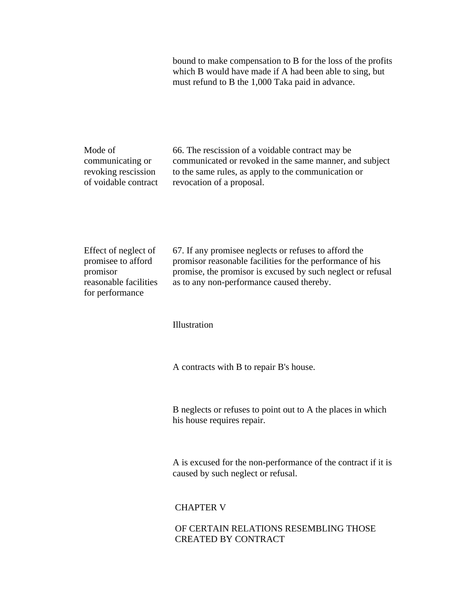bound to make compensation to B for the loss of the profits which B would have made if A had been able to sing, but must refund to B the 1,000 Taka paid in advance.

 Mode of communicating or revoking rescission of voidable contract

66. The rescission of a voidable contract may be communicated or revoked in the same manner, and subject to the same rules, as apply to the communication or revocation of a proposal.

 Effect of neglect of promisee to afford promisor reasonable facilities for performance 67. If any promisee neglects or refuses to afford the promisor reasonable facilities for the performance of his promise, the promisor is excused by such neglect or refusal as to any non-performance caused thereby.

Illustration

A contracts with B to repair B's house.

B neglects or refuses to point out to A the places in which his house requires repair.

A is excused for the non-performance of the contract if it is caused by such neglect or refusal.

## CHAPTER V

OF CERTAIN RELATIONS RESEMBLING THOSE CREATED BY CONTRACT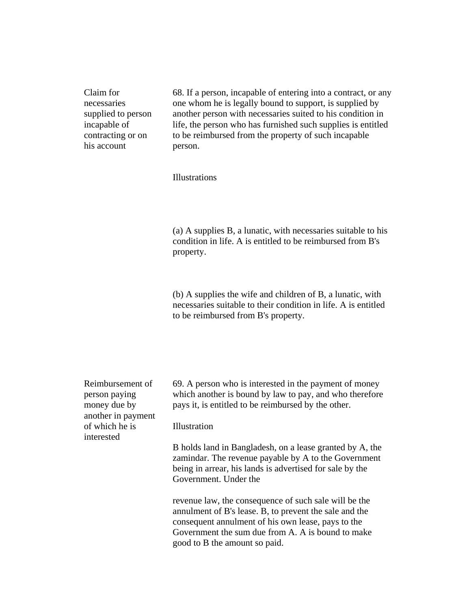Claim for necessaries supplied to person incapable of contracting or on his account

68. If a person, incapable of entering into a contract, or any one whom he is legally bound to support, is supplied by another person with necessaries suited to his condition in life, the person who has furnished such supplies is entitled to be reimbursed from the property of such incapable person.

Illustrations

(a) A supplies B, a lunatic, with necessaries suitable to his condition in life. A is entitled to be reimbursed from B's property.

(b) A supplies the wife and children of B, a lunatic, with necessaries suitable to their condition in life. A is entitled to be reimbursed from B's property.

| Reimbursement of<br>person paying<br>money due by<br>another in payment | 69. A person who is interested in the payment of money<br>which another is bound by law to pay, and who therefore<br>pays it, is entitled to be reimbursed by the other.                                                   |
|-------------------------------------------------------------------------|----------------------------------------------------------------------------------------------------------------------------------------------------------------------------------------------------------------------------|
| of which he is<br>interested                                            | Illustration                                                                                                                                                                                                               |
|                                                                         | B holds land in Bangladesh, on a lease granted by A, the<br>zamindar. The revenue payable by A to the Government<br>being in arrear, his lands is advertised for sale by the<br>Government. Under the                      |
|                                                                         | revenue law, the consequence of such sale will be the<br>annulment of B's lease. B, to prevent the sale and the<br>consequent annulment of his own lease, pays to the<br>Government the sum due from A. A is bound to make |
|                                                                         | good to B the amount so paid.                                                                                                                                                                                              |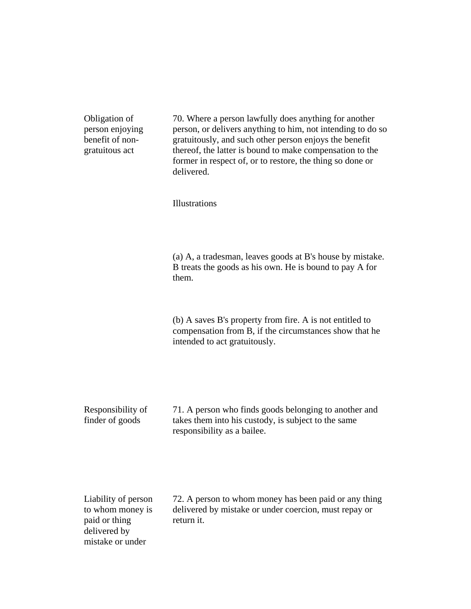| Obligation of<br>person enjoying<br>benefit of non-<br>gratuitous act | 70. Where a person lawfully does anything for another<br>person, or delivers anything to him, not intending to do so<br>gratuitously, and such other person enjoys the benefit<br>thereof, the latter is bound to make compensation to the<br>former in respect of, or to restore, the thing so done or<br>delivered. |
|-----------------------------------------------------------------------|-----------------------------------------------------------------------------------------------------------------------------------------------------------------------------------------------------------------------------------------------------------------------------------------------------------------------|
|                                                                       | Illustrations                                                                                                                                                                                                                                                                                                         |
|                                                                       | (a) A, a tradesman, leaves goods at B's house by mistake.<br>B treats the goods as his own. He is bound to pay A for<br>them.                                                                                                                                                                                         |
|                                                                       | (b) A saves B's property from fire. A is not entitled to<br>compensation from B, if the circumstances show that he<br>intended to act gratuitously.                                                                                                                                                                   |
| Responsibility of<br>finder of goods                                  | 71. A person who finds goods belonging to another and<br>takes them into his custody, is subject to the same<br>responsibility as a bailee.                                                                                                                                                                           |
| Liability of person<br>to whom money is<br>paid or thing              | 72. A person to whom money has been paid or any thing<br>delivered by mistake or under coercion, must repay or<br>return it.                                                                                                                                                                                          |

delivered by mistake or under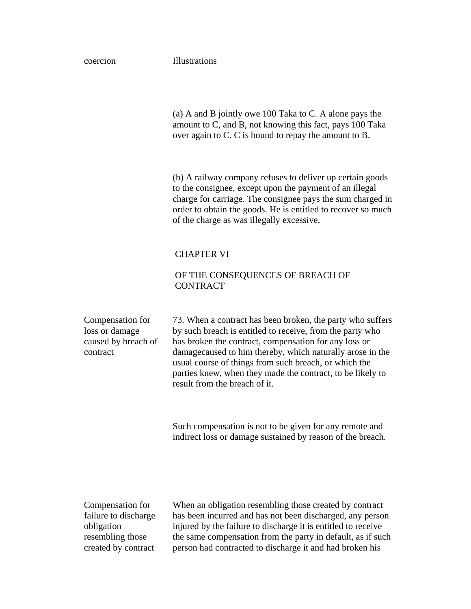coercion Illustrations

(a) A and B jointly owe 100 Taka to C. A alone pays the amount to C, and B, not knowing this fact, pays 100 Taka over again to C. C is bound to repay the amount to B.

(b) A railway company refuses to deliver up certain goods to the consignee, except upon the payment of an illegal charge for carriage. The consignee pays the sum charged in order to obtain the goods. He is entitled to recover so much of the charge as was illegally excessive.

#### CHAPTER VI

## OF THE CONSEQUENCES OF BREACH OF **CONTRACT**

 Compensation for loss or damage caused by breach of contract 73. When a contract has been broken, the party who suffers by such breach is entitled to receive, from the party who has broken the contract, compensation for any loss or damagecaused to him thereby, which naturally arose in the usual course of things from such breach, or which the parties knew, when they made the contract, to be likely to result from the breach of it.

> Such compensation is not to be given for any remote and indirect loss or damage sustained by reason of the breach.

 Compensation for failure to discharge obligation resembling those created by contract

When an obligation resembling those created by contract has been incurred and has not been discharged, any person injured by the failure to discharge it is entitled to receive the same compensation from the party in default, as if such person had contracted to discharge it and had broken his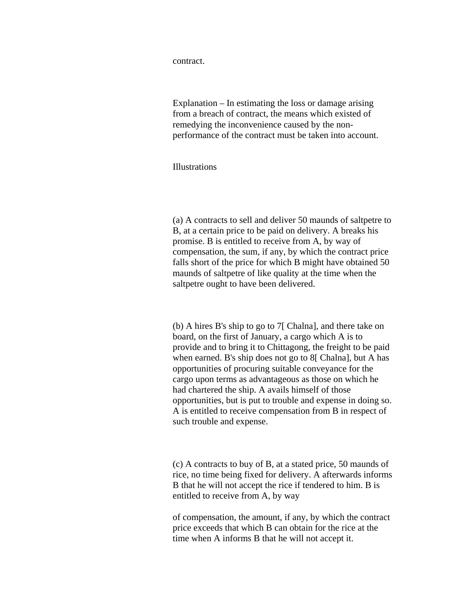contract.

Explanation – In estimating the loss or damage arising from a breach of contract, the means which existed of remedying the inconvenience caused by the nonperformance of the contract must be taken into account.

Illustrations

(a) A contracts to sell and deliver 50 maunds of saltpetre to B, at a certain price to be paid on delivery. A breaks his promise. B is entitled to receive from A, by way of compensation, the sum, if any, by which the contract price falls short of the price for which B might have obtained 50 maunds of saltpetre of like quality at the time when the saltpetre ought to have been delivered.

(b) A hires B's ship to go to [7\[](http://www.bdlaws.gov.bd/print_sections.php?id=26&vol=§ions_id=260) Chalna], and there take on board, on the first of January, a cargo which A is to provide and to bring it to Chittagong, the freight to be paid when earned. B's ship does not go to [8\[](http://www.bdlaws.gov.bd/print_sections.php?id=26&vol=§ions_id=260) Chalna], but A has opportunities of procuring suitable conveyance for the cargo upon terms as advantageous as those on which he had chartered the ship. A avails himself of those opportunities, but is put to trouble and expense in doing so. A is entitled to receive compensation from B in respect of such trouble and expense.

(c) A contracts to buy of B, at a stated price, 50 maunds of rice, no time being fixed for delivery. A afterwards informs B that he will not accept the rice if tendered to him. B is entitled to receive from A, by way

of compensation, the amount, if any, by which the contract price exceeds that which B can obtain for the rice at the time when A informs B that he will not accept it.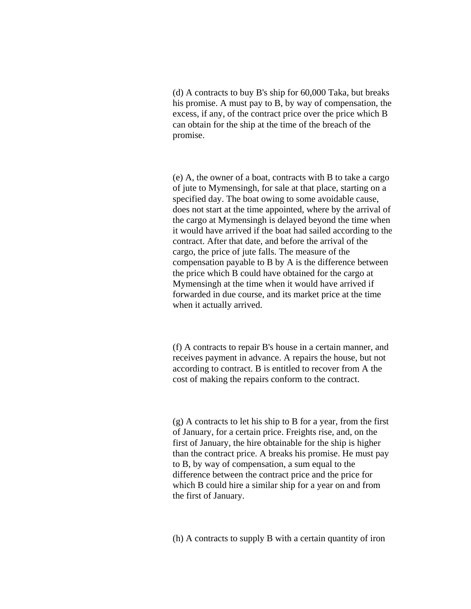(d) A contracts to buy B's ship for 60,000 Taka, but breaks his promise. A must pay to B, by way of compensation, the excess, if any, of the contract price over the price which B can obtain for the ship at the time of the breach of the promise.

(e) A, the owner of a boat, contracts with B to take a cargo of jute to Mymensingh, for sale at that place, starting on a specified day. The boat owing to some avoidable cause, does not start at the time appointed, where by the arrival of the cargo at Mymensingh is delayed beyond the time when it would have arrived if the boat had sailed according to the contract. After that date, and before the arrival of the cargo, the price of jute falls. The measure of the compensation payable to B by A is the difference between the price which B could have obtained for the cargo at Mymensingh at the time when it would have arrived if forwarded in due course, and its market price at the time when it actually arrived.

(f) A contracts to repair B's house in a certain manner, and receives payment in advance. A repairs the house, but not according to contract. B is entitled to recover from A the cost of making the repairs conform to the contract.

(g) A contracts to let his ship to B for a year, from the first of January, for a certain price. Freights rise, and, on the first of January, the hire obtainable for the ship is higher than the contract price. A breaks his promise. He must pay to B, by way of compensation, a sum equal to the difference between the contract price and the price for which B could hire a similar ship for a year on and from the first of January.

(h) A contracts to supply B with a certain quantity of iron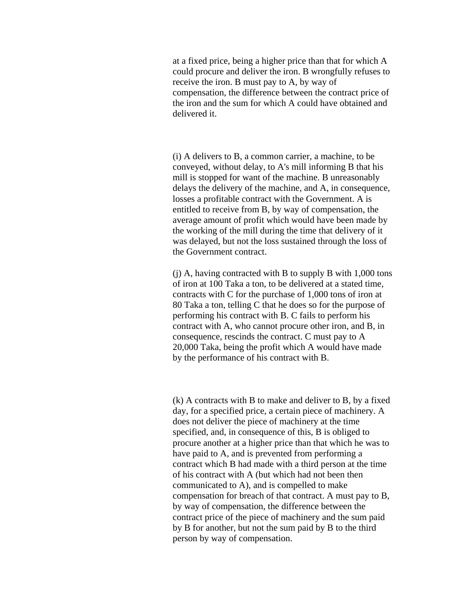at a fixed price, being a higher price than that for which A could procure and deliver the iron. B wrongfully refuses to receive the iron. B must pay to A, by way of compensation, the difference between the contract price of the iron and the sum for which A could have obtained and delivered it.

(i) A delivers to B, a common carrier, a machine, to be conveyed, without delay, to A's mill informing B that his mill is stopped for want of the machine. B unreasonably delays the delivery of the machine, and A, in consequence, losses a profitable contract with the Government. A is entitled to receive from B, by way of compensation, the average amount of profit which would have been made by the working of the mill during the time that delivery of it was delayed, but not the loss sustained through the loss of the Government contract.

(j) A, having contracted with B to supply B with 1,000 tons of iron at 100 Taka a ton, to be delivered at a stated time, contracts with C for the purchase of 1,000 tons of iron at 80 Taka a ton, telling C that he does so for the purpose of performing his contract with B. C fails to perform his contract with A, who cannot procure other iron, and B, in consequence, rescinds the contract. C must pay to A 20,000 Taka, being the profit which A would have made by the performance of his contract with B.

(k) A contracts with B to make and deliver to B, by a fixed day, for a specified price, a certain piece of machinery. A does not deliver the piece of machinery at the time specified, and, in consequence of this, B is obliged to procure another at a higher price than that which he was to have paid to A, and is prevented from performing a contract which B had made with a third person at the time of his contract with A (but which had not been then communicated to A), and is compelled to make compensation for breach of that contract. A must pay to B, by way of compensation, the difference between the contract price of the piece of machinery and the sum paid by B for another, but not the sum paid by B to the third person by way of compensation.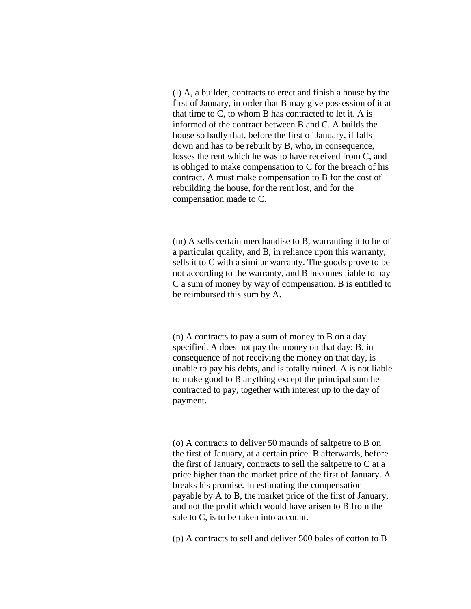(l) A, a builder, contracts to erect and finish a house by the first of January, in order that B may give possession of it at that time to C, to whom B has contracted to let it. A is informed of the contract between B and C. A builds the house so badly that, before the first of January, if falls down and has to be rebuilt by B, who, in consequence, losses the rent which he was to have received from C, and is obliged to make compensation to C for the breach of his contract. A must make compensation to B for the cost of rebuilding the house, for the rent lost, and for the compensation made to C.

(m) A sells certain merchandise to B, warranting it to be of a particular quality, and B, in reliance upon this warranty, sells it to C with a similar warranty. The goods prove to be not according to the warranty, and B becomes liable to pay C a sum of money by way of compensation. B is entitled to be reimbursed this sum by A.

(n) A contracts to pay a sum of money to B on a day specified. A does not pay the money on that day; B, in consequence of not receiving the money on that day, is unable to pay his debts, and is totally ruined. A is not liable to make good to B anything except the principal sum he contracted to pay, together with interest up to the day of payment.

(o) A contracts to deliver 50 maunds of saltpetre to B on the first of January, at a certain price. B afterwards, before the first of January, contracts to sell the saltpetre to C at a price higher than the market price of the first of January. A breaks his promise. In estimating the compensation payable by A to B, the market price of the first of January, and not the profit which would have arisen to B from the sale to C, is to be taken into account.

(p) A contracts to sell and deliver 500 bales of cotton to B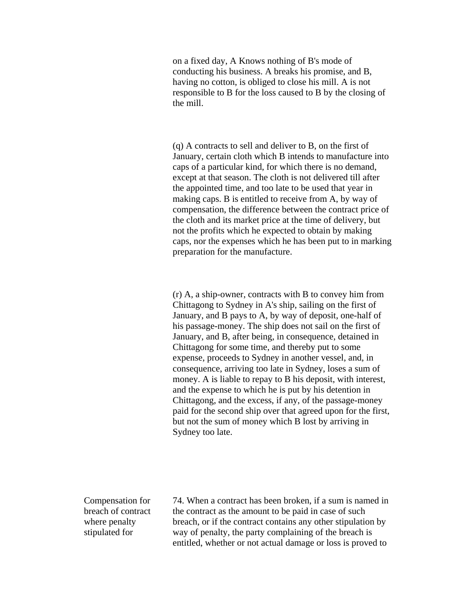on a fixed day, A Knows nothing of B's mode of conducting his business. A breaks his promise, and B, having no cotton, is obliged to close his mill. A is not responsible to B for the loss caused to B by the closing of the mill.

(q) A contracts to sell and deliver to B, on the first of January, certain cloth which B intends to manufacture into caps of a particular kind, for which there is no demand, except at that season. The cloth is not delivered till after the appointed time, and too late to be used that year in making caps. B is entitled to receive from A, by way of compensation, the difference between the contract price of the cloth and its market price at the time of delivery, but not the profits which he expected to obtain by making caps, nor the expenses which he has been put to in marking preparation for the manufacture.

(r) A, a ship-owner, contracts with B to convey him from Chittagong to Sydney in A's ship, sailing on the first of January, and B pays to A, by way of deposit, one-half of his passage-money. The ship does not sail on the first of January, and B, after being, in consequence, detained in Chittagong for some time, and thereby put to some expense, proceeds to Sydney in another vessel, and, in consequence, arriving too late in Sydney, loses a sum of money. A is liable to repay to B his deposit, with interest, and the expense to which he is put by his detention in Chittagong, and the excess, if any, of the passage-money paid for the second ship over that agreed upon for the first, but not the sum of money which B lost by arriving in Sydney too late.

 Compensation for breach of contract where penalty stipulated for

74. When a contract has been broken, if a sum is named in the contract as the amount to be paid in case of such breach, or if the contract contains any other stipulation by way of penalty, the party complaining of the breach is entitled, whether or not actual damage or loss is proved to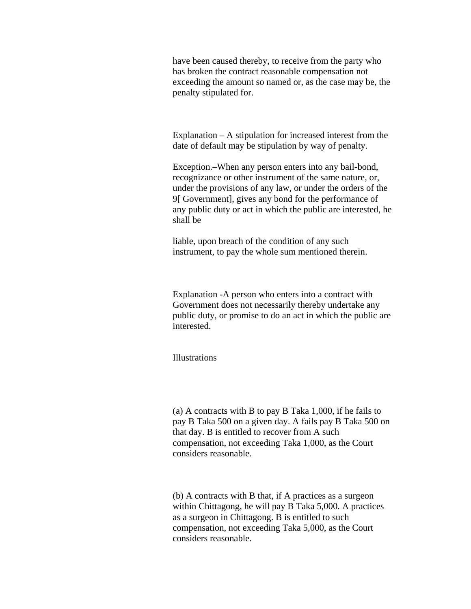have been caused thereby, to receive from the party who has broken the contract reasonable compensation not exceeding the amount so named or, as the case may be, the penalty stipulated for.

Explanation – A stipulation for increased interest from the date of default may be stipulation by way of penalty.

Exception.–When any person enters into any bail-bond, recognizance or other instrument of the same nature, or, under the provisions of any law, or under the orders of the [9\[](http://www.bdlaws.gov.bd/print_sections.php?id=26&vol=§ions_id=5640) Government], gives any bond for the performance of any public duty or act in which the public are interested, he shall be

liable, upon breach of the condition of any such instrument, to pay the whole sum mentioned therein.

Explanation -A person who enters into a contract with Government does not necessarily thereby undertake any public duty, or promise to do an act in which the public are interested.

Illustrations

(a) A contracts with B to pay B Taka 1,000, if he fails to pay B Taka 500 on a given day. A fails pay B Taka 500 on that day. B is entitled to recover from A such compensation, not exceeding Taka 1,000, as the Court considers reasonable.

(b) A contracts with B that, if A practices as a surgeon within Chittagong, he will pay B Taka 5,000. A practices as a surgeon in Chittagong. B is entitled to such compensation, not exceeding Taka 5,000, as the Court considers reasonable.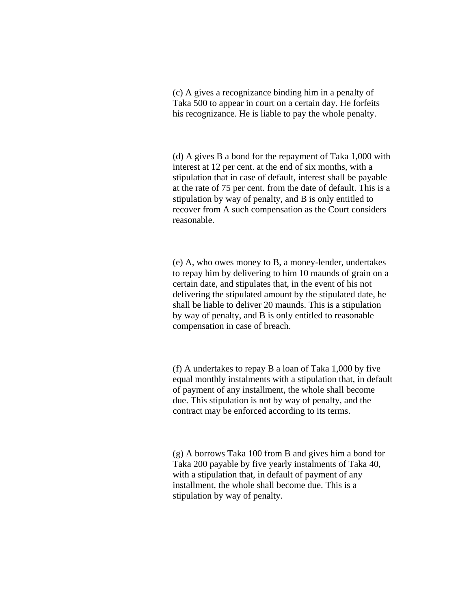(c) A gives a recognizance binding him in a penalty of Taka 500 to appear in court on a certain day. He forfeits his recognizance. He is liable to pay the whole penalty.

(d) A gives B a bond for the repayment of Taka 1,000 with interest at 12 per cent. at the end of six months, with a stipulation that in case of default, interest shall be payable at the rate of 75 per cent. from the date of default. This is a stipulation by way of penalty, and B is only entitled to recover from A such compensation as the Court considers reasonable.

(e) A, who owes money to B, a money-lender, undertakes to repay him by delivering to him 10 maunds of grain on a certain date, and stipulates that, in the event of his not delivering the stipulated amount by the stipulated date, he shall be liable to deliver 20 maunds. This is a stipulation by way of penalty, and B is only entitled to reasonable compensation in case of breach.

(f) A undertakes to repay B a loan of Taka 1,000 by five equal monthly instalments with a stipulation that, in default of payment of any installment, the whole shall become due. This stipulation is not by way of penalty, and the contract may be enforced according to its terms.

(g) A borrows Taka 100 from B and gives him a bond for Taka 200 payable by five yearly instalments of Taka 40, with a stipulation that, in default of payment of any installment, the whole shall become due. This is a stipulation by way of penalty.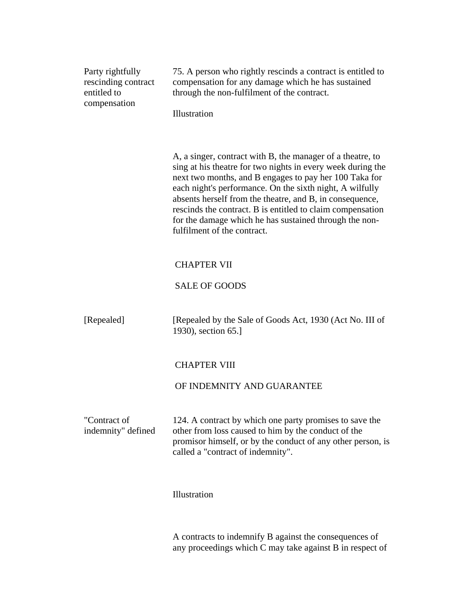| Party rightfully<br>rescinding contract<br>entitled to<br>compensation | 75. A person who rightly rescinds a contract is entitled to<br>compensation for any damage which he has sustained<br>through the non-fulfilment of the contract.<br>Illustration                                                                                                                                                                                                                                                                                   |
|------------------------------------------------------------------------|--------------------------------------------------------------------------------------------------------------------------------------------------------------------------------------------------------------------------------------------------------------------------------------------------------------------------------------------------------------------------------------------------------------------------------------------------------------------|
|                                                                        | A, a singer, contract with B, the manager of a theatre, to<br>sing at his theatre for two nights in every week during the<br>next two months, and B engages to pay her 100 Taka for<br>each night's performance. On the sixth night, A wilfully<br>absents herself from the theatre, and B, in consequence,<br>rescinds the contract. B is entitled to claim compensation<br>for the damage which he has sustained through the non-<br>fulfilment of the contract. |
|                                                                        | <b>CHAPTER VII</b>                                                                                                                                                                                                                                                                                                                                                                                                                                                 |
|                                                                        | <b>SALE OF GOODS</b>                                                                                                                                                                                                                                                                                                                                                                                                                                               |
| [Repealed]                                                             | [Repealed by the Sale of Goods Act, 1930 (Act No. III of<br>1930), section 65.]                                                                                                                                                                                                                                                                                                                                                                                    |
|                                                                        | <b>CHAPTER VIII</b>                                                                                                                                                                                                                                                                                                                                                                                                                                                |
|                                                                        | OF INDEMNITY AND GUARANTEE                                                                                                                                                                                                                                                                                                                                                                                                                                         |
| "Contract of<br>indemnity" defined                                     | 124. A contract by which one party promises to save the<br>other from loss caused to him by the conduct of the<br>promisor himself, or by the conduct of any other person, is<br>called a "contract of indemnity".                                                                                                                                                                                                                                                 |
|                                                                        | Illustration                                                                                                                                                                                                                                                                                                                                                                                                                                                       |

A contracts to indemnify B against the consequences of any proceedings which C may take against B in respect of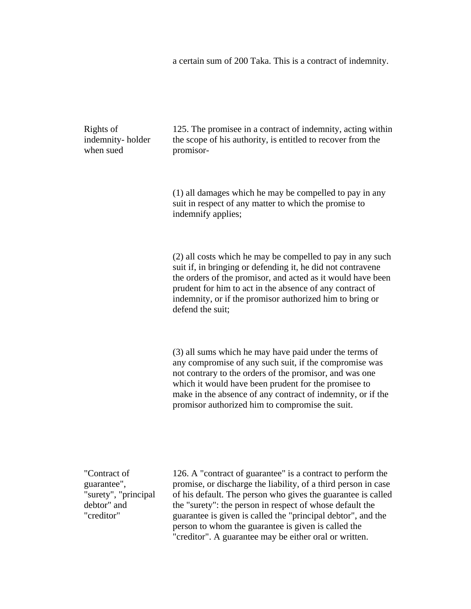a certain sum of 200 Taka. This is a contract of indemnity.

 Rights of indemnity- holder when sued

125. The promisee in a contract of indemnity, acting within the scope of his authority, is entitled to recover from the promisor-

(1) all damages which he may be compelled to pay in any suit in respect of any matter to which the promise to indemnify applies;

(2) all costs which he may be compelled to pay in any such suit if, in bringing or defending it, he did not contravene the orders of the promisor, and acted as it would have been prudent for him to act in the absence of any contract of indemnity, or if the promisor authorized him to bring or defend the suit;

(3) all sums which he may have paid under the terms of any compromise of any such suit, if the compromise was not contrary to the orders of the promisor, and was one which it would have been prudent for the promisee to make in the absence of any contract of indemnity, or if the promisor authorized him to compromise the suit.

 "Contract of guarantee", "surety", "principal debtor" and "creditor"

126. A "contract of guarantee" is a contract to perform the promise, or discharge the liability, of a third person in case of his default. The person who gives the guarantee is called the "surety": the person in respect of whose default the guarantee is given is called the "principal debtor", and the person to whom the guarantee is given is called the "creditor". A guarantee may be either oral or written.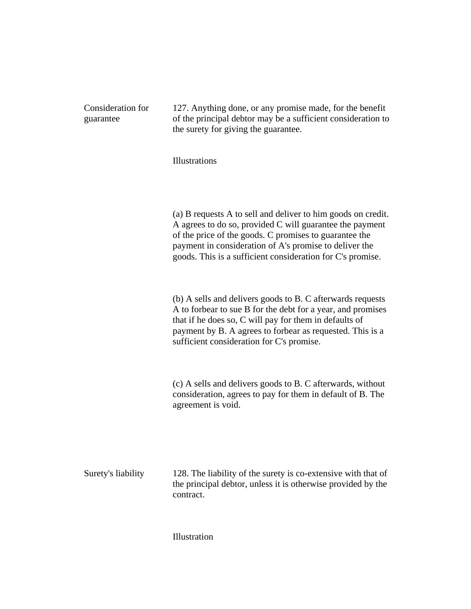# Consideration for guarantee

127. Anything done, or any promise made, for the benefit of the principal debtor may be a sufficient consideration to the surety for giving the guarantee.

Illustrations

(a) B requests A to sell and deliver to him goods on credit. A agrees to do so, provided C will guarantee the payment of the price of the goods. C promises to guarantee the payment in consideration of A's promise to deliver the goods. This is a sufficient consideration for C's promise.

(b) A sells and delivers goods to B. C afterwards requests A to forbear to sue B for the debt for a year, and promises that if he does so, C will pay for them in defaults of payment by B. A agrees to forbear as requested. This is a sufficient consideration for C's promise.

(c) A sells and delivers goods to B. C afterwards, without consideration, agrees to pay for them in default of B. The agreement is void.

 Surety's liability 128. The liability of the surety is co-extensive with that of the principal debtor, unless it is otherwise provided by the contract.

## Illustration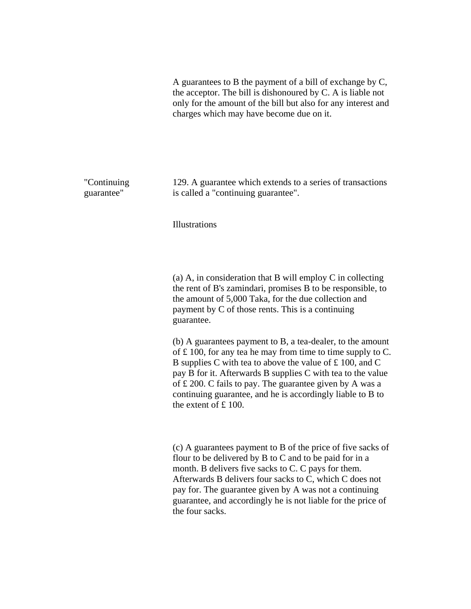A guarantees to B the payment of a bill of exchange by C, the acceptor. The bill is dishonoured by C. A is liable not only for the amount of the bill but also for any interest and charges which may have become due on it.

 "Continuing guarantee" 129. A guarantee which extends to a series of transactions is called a "continuing guarantee".

Illustrations

(a) A, in consideration that B will employ C in collecting the rent of B's zamindari, promises B to be responsible, to the amount of 5,000 Taka, for the due collection and payment by C of those rents. This is a continuing guarantee.

(b) A guarantees payment to B, a tea-dealer, to the amount of  $£$  100, for any tea he may from time to time supply to  $C$ . B supplies C with tea to above the value of £ 100, and C pay B for it. Afterwards B supplies C with tea to the value of £ 200. C fails to pay. The guarantee given by A was a continuing guarantee, and he is accordingly liable to B to the extent of £ 100.

(c) A guarantees payment to B of the price of five sacks of flour to be delivered by B to C and to be paid for in a month. B delivers five sacks to C. C pays for them. Afterwards B delivers four sacks to C, which C does not pay for. The guarantee given by A was not a continuing guarantee, and accordingly he is not liable for the price of the four sacks.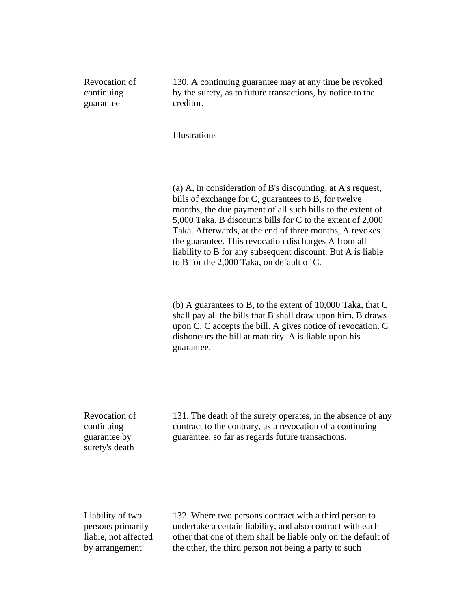Revocation of continuing guarantee

130. A continuing guarantee may at any time be revoked by the surety, as to future transactions, by notice to the creditor.

Illustrations

(a) A, in consideration of B's discounting, at A's request, bills of exchange for C, guarantees to B, for twelve months, the due payment of all such bills to the extent of 5,000 Taka. B discounts bills for C to the extent of 2,000 Taka. Afterwards, at the end of three months, A revokes the guarantee. This revocation discharges A from all liability to B for any subsequent discount. But A is liable to B for the 2,000 Taka, on default of C.

(b) A guarantees to B, to the extent of 10,000 Taka, that C shall pay all the bills that B shall draw upon him. B draws upon C. C accepts the bill. A gives notice of revocation. C dishonours the bill at maturity. A is liable upon his guarantee.

 Revocation of continuing guarantee by surety's death

131. The death of the surety operates, in the absence of any contract to the contrary, as a revocation of a continuing guarantee, so far as regards future transactions.

 Liability of two persons primarily liable, not affected by arrangement

132. Where two persons contract with a third person to undertake a certain liability, and also contract with each other that one of them shall be liable only on the default of the other, the third person not being a party to such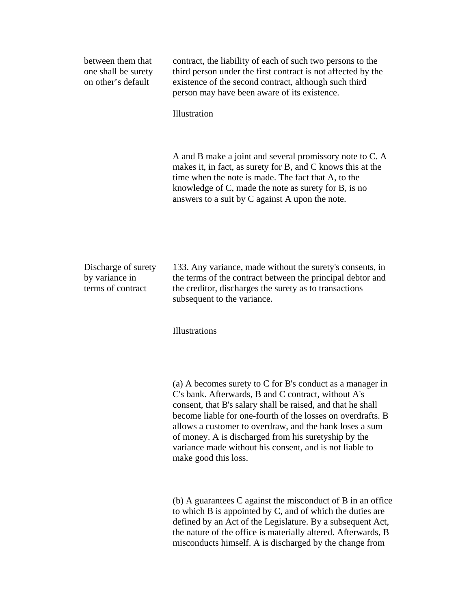| between them that<br>one shall be surety<br>on other's default | contract, the liability of each of such two persons to the<br>third person under the first contract is not affected by the<br>existence of the second contract, although such third<br>person may have been aware of its existence.                                                             |
|----------------------------------------------------------------|-------------------------------------------------------------------------------------------------------------------------------------------------------------------------------------------------------------------------------------------------------------------------------------------------|
|                                                                | Illustration                                                                                                                                                                                                                                                                                    |
|                                                                | A and B make a joint and several promissory note to C. A<br>makes it, in fact, as surety for B, and C knows this at the<br>time when the note is made. The fact that A, to the<br>knowledge of $C$ , made the note as surety for $B$ , is no<br>answers to a suit by C against A upon the note. |
| Discharge of surety<br>by variance in<br>terms of contract     | 133. Any variance, made without the surety's consents, in<br>the terms of the contract between the principal debtor and<br>the creditor, discharges the surety as to transactions<br>subsequent to the variance.                                                                                |
|                                                                | <b>Illustrations</b>                                                                                                                                                                                                                                                                            |

(a) A becomes surety to C for B's conduct as a manager in C's bank. Afterwards, B and C contract, without A's consent, that B's salary shall be raised, and that he shall become liable for one-fourth of the losses on overdrafts. B allows a customer to overdraw, and the bank loses a sum of money. A is discharged from his suretyship by the variance made without his consent, and is not liable to make good this loss.

(b) A guarantees C against the misconduct of B in an office to which B is appointed by C, and of which the duties are defined by an Act of the Legislature. By a subsequent Act, the nature of the office is materially altered. Afterwards, B misconducts himself. A is discharged by the change from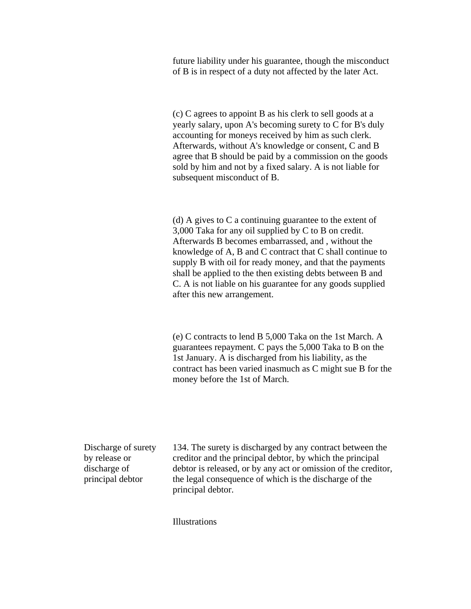future liability under his guarantee, though the misconduct of B is in respect of a duty not affected by the later Act.

(c) C agrees to appoint B as his clerk to sell goods at a yearly salary, upon A's becoming surety to C for B's duly accounting for moneys received by him as such clerk. Afterwards, without A's knowledge or consent, C and B agree that B should be paid by a commission on the goods sold by him and not by a fixed salary. A is not liable for subsequent misconduct of B.

(d) A gives to C a continuing guarantee to the extent of 3,000 Taka for any oil supplied by C to B on credit. Afterwards B becomes embarrassed, and , without the knowledge of A, B and C contract that C shall continue to supply B with oil for ready money, and that the payments shall be applied to the then existing debts between B and C. A is not liable on his guarantee for any goods supplied after this new arrangement.

(e) C contracts to lend B 5,000 Taka on the 1st March. A guarantees repayment. C pays the 5,000 Taka to B on the 1st January. A is discharged from his liability, as the contract has been varied inasmuch as C might sue B for the money before the 1st of March.

 Discharge of surety by release or discharge of principal debtor

134. The surety is discharged by any contract between the creditor and the principal debtor, by which the principal debtor is released, or by any act or omission of the creditor, the legal consequence of which is the discharge of the principal debtor.

Illustrations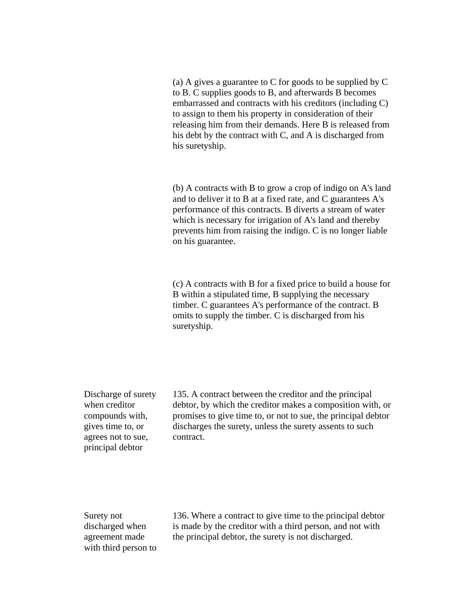(a) A gives a guarantee to C for goods to be supplied by C to B. C supplies goods to B, and afterwards B becomes embarrassed and contracts with his creditors (including C) to assign to them his property in consideration of their releasing him from their demands. Here B is released from his debt by the contract with C, and A is discharged from his suretyship.

(b) A contracts with B to grow a crop of indigo on A's land and to deliver it to B at a fixed rate, and C guarantees A's performance of this contracts. B diverts a stream of water which is necessary for irrigation of A's land and thereby prevents him from raising the indigo. C is no longer liable on his guarantee.

(c) A contracts with B for a fixed price to build a house for B within a stipulated time, B supplying the necessary timber. C guarantees A's performance of the contract. B omits to supply the timber. C is discharged from his suretyship.

 Discharge of surety when creditor compounds with, gives time to, or agrees not to sue, principal debtor

135. A contract between the creditor and the principal debtor, by which the creditor makes a composition with, or promises to give time to, or not to sue, the principal debtor discharges the surety, unless the surety assents to such contract.

 Surety not discharged when agreement made with third person to

136. Where a contract to give time to the principal debtor is made by the creditor with a third person, and not with the principal debtor, the surety is not discharged.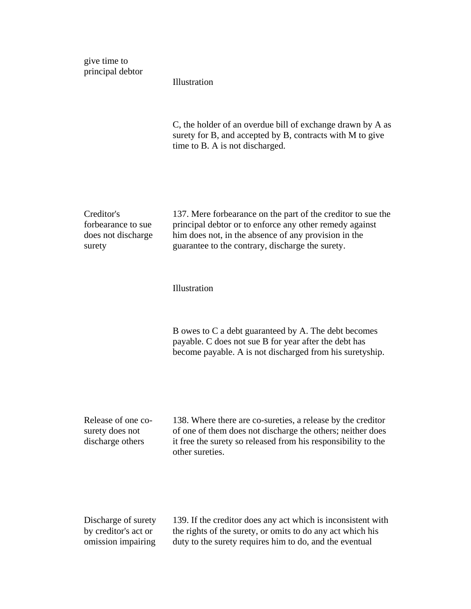give time to principal debtor

Illustration

C, the holder of an overdue bill of exchange drawn by A as surety for B, and accepted by B, contracts with M to give time to B. A is not discharged.

 Creditor's forbearance to sue does not discharge surety 137. Mere forbearance on the part of the creditor to sue the principal debtor or to enforce any other remedy against him does not, in the absence of any provision in the guarantee to the contrary, discharge the surety.

Illustration

B owes to C a debt guaranteed by A. The debt becomes payable. C does not sue B for year after the debt has become payable. A is not discharged from his suretyship.

 Release of one cosurety does not discharge others 138. Where there are co-sureties, a release by the creditor of one of them does not discharge the others; neither does it free the surety so released from his responsibility to the other sureties.

 Discharge of surety by creditor's act or omission impairing 139. If the creditor does any act which is inconsistent with the rights of the surety, or omits to do any act which his duty to the surety requires him to do, and the eventual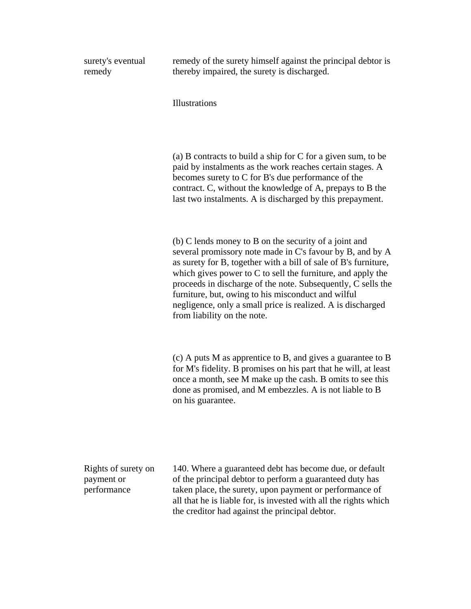surety's eventual remedy

remedy of the surety himself against the principal debtor is thereby impaired, the surety is discharged.

**Illustrations** 

(a) B contracts to build a ship for C for a given sum, to be paid by instalments as the work reaches certain stages. A becomes surety to C for B's due performance of the contract. C, without the knowledge of A, prepays to B the last two instalments. A is discharged by this prepayment.

(b) C lends money to B on the security of a joint and several promissory note made in C's favour by B, and by A as surety for B, together with a bill of sale of B's furniture, which gives power to C to sell the furniture, and apply the proceeds in discharge of the note. Subsequently, C sells the furniture, but, owing to his misconduct and wilful negligence, only a small price is realized. A is discharged from liability on the note.

(c) A puts M as apprentice to B, and gives a guarantee to B for M's fidelity. B promises on his part that he will, at least once a month, see M make up the cash. B omits to see this done as promised, and M embezzles. A is not liable to B on his guarantee.

 Rights of surety on payment or performance

140. Where a guaranteed debt has become due, or default of the principal debtor to perform a guaranteed duty has taken place, the surety, upon payment or performance of all that he is liable for, is invested with all the rights which the creditor had against the principal debtor.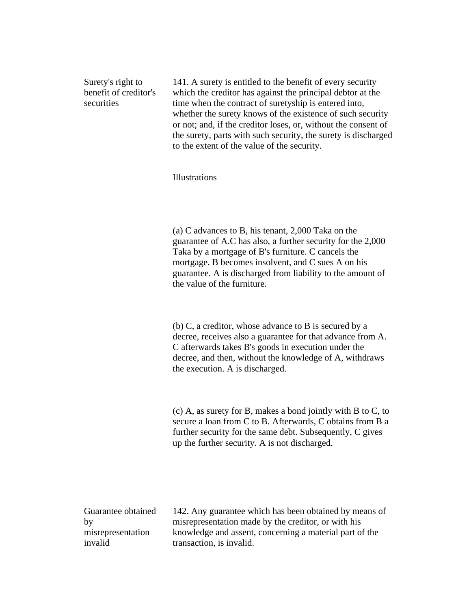Surety's right to benefit of creditor's securities

141. A surety is entitled to the benefit of every security which the creditor has against the principal debtor at the time when the contract of suretyship is entered into, whether the surety knows of the existence of such security or not; and, if the creditor loses, or, without the consent of the surety, parts with such security, the surety is discharged to the extent of the value of the security.

Illustrations

(a) C advances to B, his tenant, 2,000 Taka on the guarantee of A.C has also, a further security for the 2,000 Taka by a mortgage of B's furniture. C cancels the mortgage. B becomes insolvent, and C sues A on his guarantee. A is discharged from liability to the amount of the value of the furniture.

(b) C, a creditor, whose advance to B is secured by a decree, receives also a guarantee for that advance from A. C afterwards takes B's goods in execution under the decree, and then, without the knowledge of A, withdraws the execution. A is discharged.

(c) A, as surety for B, makes a bond jointly with B to C, to secure a loan from C to B. Afterwards, C obtains from B a further security for the same debt. Subsequently, C gives up the further security. A is not discharged.

 Guarantee obtained by misrepresentation invalid

142. Any guarantee which has been obtained by means of misrepresentation made by the creditor, or with his knowledge and assent, concerning a material part of the transaction, is invalid.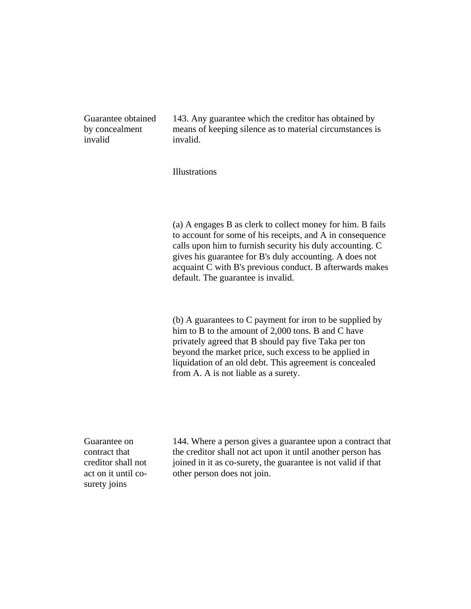Guarantee obtained by concealment invalid

143. Any guarantee which the creditor has obtained by means of keeping silence as to material circumstances is invalid.

Illustrations

(a) A engages B as clerk to collect money for him. B fails to account for some of his receipts, and A in consequence calls upon him to furnish security his duly accounting. C gives his guarantee for B's duly accounting. A does not acquaint C with B's previous conduct. B afterwards makes default. The guarantee is invalid.

(b) A guarantees to C payment for iron to be supplied by him to B to the amount of 2,000 tons. B and C have privately agreed that B should pay five Taka per ton beyond the market price, such excess to be applied in liquidation of an old debt. This agreement is concealed from A. A is not liable as a surety.

 Guarantee on contract that creditor shall not act on it until cosurety joins

144. Where a person gives a guarantee upon a contract that the creditor shall not act upon it until another person has joined in it as co-surety, the guarantee is not valid if that other person does not join.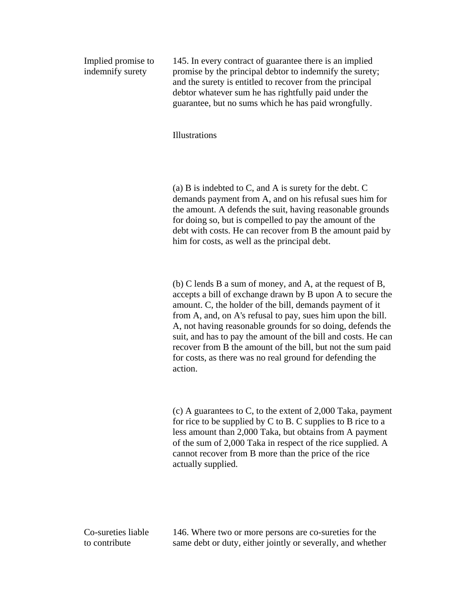Implied promise to indemnify surety 145. In every contract of guarantee there is an implied promise by the principal debtor to indemnify the surety; and the surety is entitled to recover from the principal debtor whatever sum he has rightfully paid under the guarantee, but no sums which he has paid wrongfully.

Illustrations

(a) B is indebted to C, and A is surety for the debt. C demands payment from A, and on his refusal sues him for the amount. A defends the suit, having reasonable grounds for doing so, but is compelled to pay the amount of the debt with costs. He can recover from B the amount paid by him for costs, as well as the principal debt.

(b) C lends B a sum of money, and A, at the request of B, accepts a bill of exchange drawn by B upon A to secure the amount. C, the holder of the bill, demands payment of it from A, and, on A's refusal to pay, sues him upon the bill. A, not having reasonable grounds for so doing, defends the suit, and has to pay the amount of the bill and costs. He can recover from B the amount of the bill, but not the sum paid for costs, as there was no real ground for defending the action.

(c) A guarantees to C, to the extent of 2,000 Taka, payment for rice to be supplied by C to B. C supplies to B rice to a less amount than 2,000 Taka, but obtains from A payment of the sum of 2,000 Taka in respect of the rice supplied. A cannot recover from B more than the price of the rice actually supplied.

Co-sureties liable

Co-sureties liable 146. Where two or more persons are co-sureties for the to contribute same debt or duty, either jointly or severally, and whether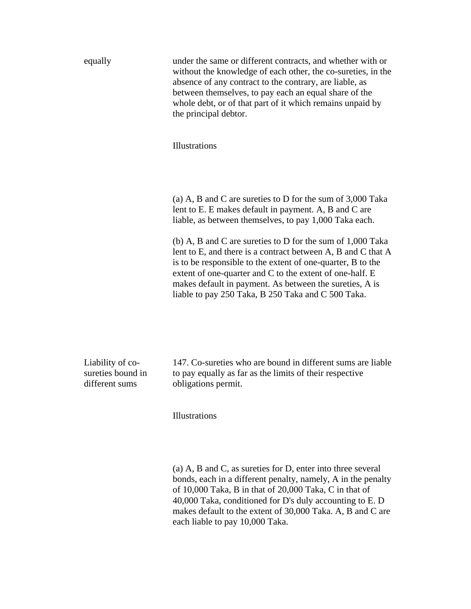equally under the same or different contracts, and whether with or without the knowledge of each other, the co-sureties, in the absence of any contract to the contrary, are liable, as between themselves, to pay each an equal share of the whole debt, or of that part of it which remains unpaid by the principal debtor.

Illustrations

(a) A, B and C are sureties to D for the sum of 3,000 Taka lent to E. E makes default in payment. A, B and C are liable, as between themselves, to pay 1,000 Taka each.

(b) A, B and C are sureties to D for the sum of 1,000 Taka lent to E, and there is a contract between A, B and C that A is to be responsible to the extent of one-quarter, B to the extent of one-quarter and C to the extent of one-half. E makes default in payment. As between the sureties, A is liable to pay 250 Taka, B 250 Taka and C 500 Taka.

 Liability of cosureties bound in different sums

147. Co-sureties who are bound in different sums are liable to pay equally as far as the limits of their respective obligations permit.

Illustrations

(a) A, B and C, as sureties for D, enter into three several bonds, each in a different penalty, namely, A in the penalty of 10,000 Taka, B in that of 20,000 Taka, C in that of 40,000 Taka, conditioned for D's duly accounting to E. D makes default to the extent of 30,000 Taka. A, B and C are each liable to pay 10,000 Taka.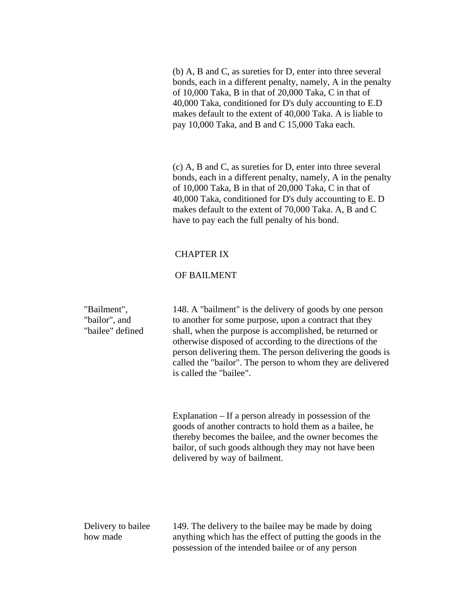(b) A, B and C, as sureties for D, enter into three several bonds, each in a different penalty, namely, A in the penalty of 10,000 Taka, B in that of 20,000 Taka, C in that of 40,000 Taka, conditioned for D's duly accounting to E.D makes default to the extent of 40,000 Taka. A is liable to pay 10,000 Taka, and B and C 15,000 Taka each.

(c) A, B and C, as sureties for D, enter into three several bonds, each in a different penalty, namely, A in the penalty of 10,000 Taka, B in that of 20,000 Taka, C in that of 40,000 Taka, conditioned for D's duly accounting to E. D makes default to the extent of 70,000 Taka. A, B and C have to pay each the full penalty of his bond.

# CHAPTER IX

## OF BAILMENT

| "Bailment",<br>"bailor", and<br>"bailee" defined | 148. A "bailment" is the delivery of goods by one person<br>to another for some purpose, upon a contract that they<br>shall, when the purpose is accomplished, be returned or<br>otherwise disposed of according to the directions of the<br>person delivering them. The person delivering the goods is<br>called the "bailor". The person to whom they are delivered<br>is called the "bailee". |
|--------------------------------------------------|--------------------------------------------------------------------------------------------------------------------------------------------------------------------------------------------------------------------------------------------------------------------------------------------------------------------------------------------------------------------------------------------------|
|                                                  | Explanation $-$ If a person already in possession of the<br>goods of another contracts to hold them as a bailee, he<br>thereby becomes the bailee, and the owner becomes the<br>bailor, of such goods although they may not have been<br>delivered by way of bailment.                                                                                                                           |
| Delivery to bailee<br>how made                   | 149. The delivery to the bailee may be made by doing<br>anything which has the effect of putting the goods in the<br>possession of the intended bailee or of any person                                                                                                                                                                                                                          |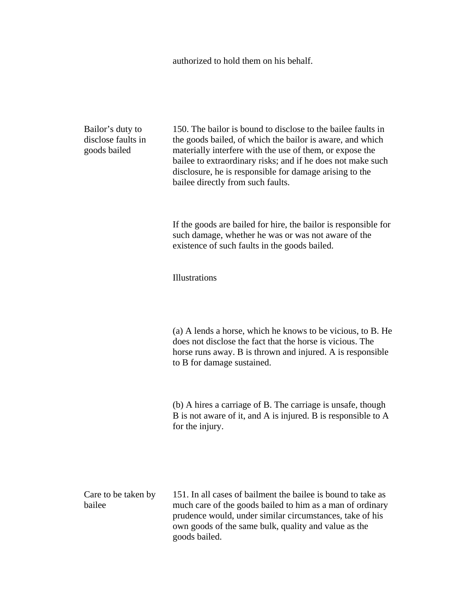authorized to hold them on his behalf.

 Bailor's duty to disclose faults in goods bailed

150. The bailor is bound to disclose to the bailee faults in the goods bailed, of which the bailor is aware, and which materially interfere with the use of them, or expose the bailee to extraordinary risks; and if he does not make such disclosure, he is responsible for damage arising to the bailee directly from such faults.

If the goods are bailed for hire, the bailor is responsible for such damage, whether he was or was not aware of the existence of such faults in the goods bailed.

Illustrations

(a) A lends a horse, which he knows to be vicious, to B. He does not disclose the fact that the horse is vicious. The horse runs away. B is thrown and injured. A is responsible to B for damage sustained.

(b) A hires a carriage of B. The carriage is unsafe, though B is not aware of it, and A is injured. B is responsible to A for the injury.

 Care to be taken by bailee

151. In all cases of bailment the bailee is bound to take as much care of the goods bailed to him as a man of ordinary prudence would, under similar circumstances, take of his own goods of the same bulk, quality and value as the goods bailed.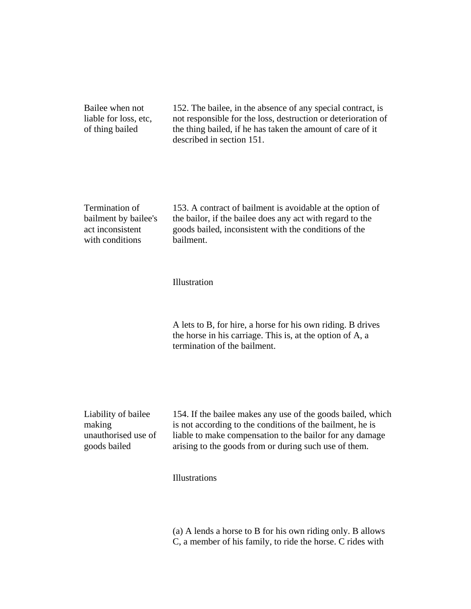Bailee when not liable for loss, etc, of thing bailed

152. The bailee, in the absence of any special contract, is not responsible for the loss, destruction or deterioration of the thing bailed, if he has taken the amount of care of it described in section 151.

 Termination of bailment by bailee's act inconsistent with conditions

153. A contract of bailment is avoidable at the option of the bailor, if the bailee does any act with regard to the goods bailed, inconsistent with the conditions of the bailment.

Illustration

A lets to B, for hire, a horse for his own riding. B drives the horse in his carriage. This is, at the option of A, a termination of the bailment.

 Liability of bailee making unauthorised use of goods bailed 154. If the bailee makes any use of the goods bailed, which is not according to the conditions of the bailment, he is liable to make compensation to the bailor for any damage arising to the goods from or during such use of them.

Illustrations

(a) A lends a horse to B for his own riding only. B allows C, a member of his family, to ride the horse. C rides with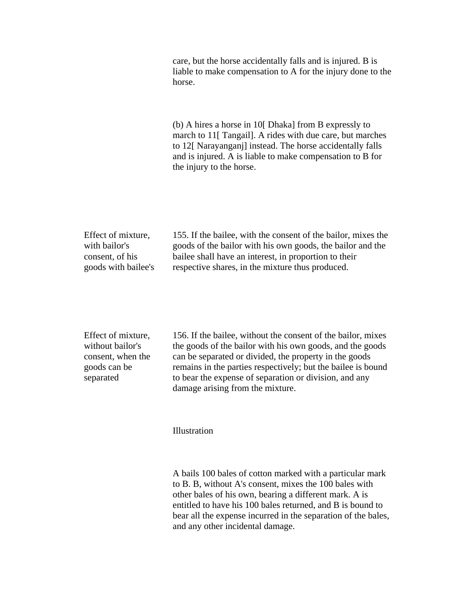care, but the horse accidentally falls and is injured. B is liable to make compensation to A for the injury done to the horse.

(b) A hires a horse in [10\[](http://www.bdlaws.gov.bd/print_sections.php?id=26&vol=§ions_id=294) Dhaka] from B expressly to march to [11\[](http://www.bdlaws.gov.bd/print_sections.php?id=26&vol=§ions_id=294) Tangail]. A rides with due care, but marches to [12\[](http://www.bdlaws.gov.bd/print_sections.php?id=26&vol=§ions_id=294) Narayanganj] instead. The horse accidentally falls and is injured. A is liable to make compensation to B for the injury to the horse.

| Effect of mixture,  | 155. If the bailee, with the consent of the bailor, mixes the |
|---------------------|---------------------------------------------------------------|
| with bailor's       | goods of the bailor with his own goods, the bailor and the    |
| consent, of his     | bailee shall have an interest, in proportion to their         |
| goods with bailee's | respective shares, in the mixture thus produced.              |

 Effect of mixture, without bailor's consent, when the goods can be separated

156. If the bailee, without the consent of the bailor, mixes the goods of the bailor with his own goods, and the goods can be separated or divided, the property in the goods remains in the parties respectively; but the bailee is bound to bear the expense of separation or division, and any damage arising from the mixture.

#### Illustration

A bails 100 bales of cotton marked with a particular mark to B. B, without A's consent, mixes the 100 bales with other bales of his own, bearing a different mark. A is entitled to have his 100 bales returned, and B is bound to bear all the expense incurred in the separation of the bales, and any other incidental damage.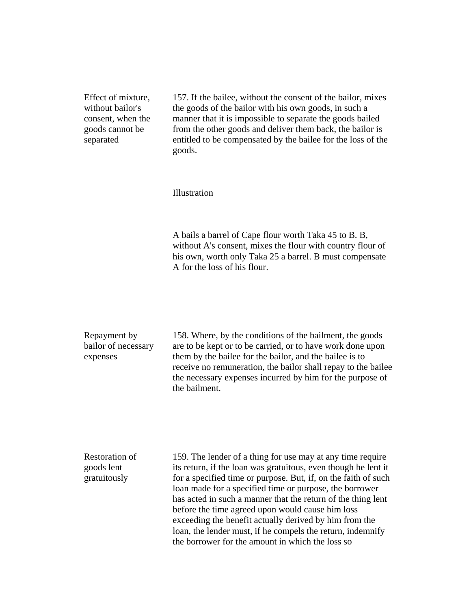Effect of mixture, without bailor's consent, when the goods cannot be separated

157. If the bailee, without the consent of the bailor, mixes the goods of the bailor with his own goods, in such a manner that it is impossible to separate the goods bailed from the other goods and deliver them back, the bailor is entitled to be compensated by the bailee for the loss of the goods.

#### Illustration

A bails a barrel of Cape flour worth Taka 45 to B. B, without A's consent, mixes the flour with country flour of his own, worth only Taka 25 a barrel. B must compensate A for the loss of his flour.

| Repayment by        | 158. Where, by the conditions of the bailment, the goods      |
|---------------------|---------------------------------------------------------------|
| bailor of necessary | are to be kept or to be carried, or to have work done upon    |
| expenses            | them by the bailee for the bailor, and the bailee is to       |
|                     | receive no remuneration, the bailor shall repay to the bailee |
|                     | the necessary expenses incurred by him for the purpose of     |
|                     | the bailment.                                                 |

 Restoration of goods lent gratuitously 159. The lender of a thing for use may at any time require its return, if the loan was gratuitous, even though he lent it for a specified time or purpose. But, if, on the faith of such loan made for a specified time or purpose, the borrower has acted in such a manner that the return of the thing lent before the time agreed upon would cause him loss exceeding the benefit actually derived by him from the loan, the lender must, if he compels the return, indemnify the borrower for the amount in which the loss so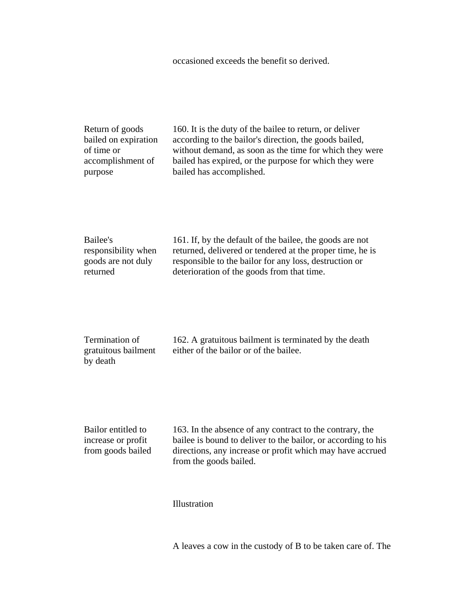occasioned exceeds the benefit so derived.

| Return of goods      | 160. It is the duty of the bailee to return, or deliver |
|----------------------|---------------------------------------------------------|
| bailed on expiration | according to the bailor's direction, the goods bailed,  |
| of time or           | without demand, as soon as the time for which they were |
| accomplishment of    | bailed has expired, or the purpose for which they were  |
| purpose              | bailed has accomplished.                                |

| Bailee's            | 161. If, by the default of the bailee, the goods are not  |
|---------------------|-----------------------------------------------------------|
| responsibility when | returned, delivered or tendered at the proper time, he is |
| goods are not duly  | responsible to the bailor for any loss, destruction or    |
| returned            | deterioration of the goods from that time.                |

| Termination of      | 162. A gratuitous bailment is terminated by the death |
|---------------------|-------------------------------------------------------|
| gratuitous bailment | either of the bailor or of the bailee.                |
| by death            |                                                       |

 Bailor entitled to increase or profit from goods bailed 163. In the absence of any contract to the contrary, the bailee is bound to deliver to the bailor, or according to his directions, any increase or profit which may have accrued from the goods bailed.

# Illustration

A leaves a cow in the custody of B to be taken care of. The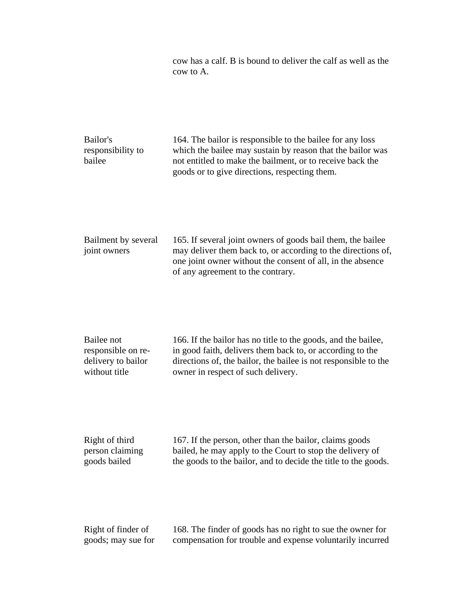|                                         | cow to A.                                                                                                                                                                                                                             |
|-----------------------------------------|---------------------------------------------------------------------------------------------------------------------------------------------------------------------------------------------------------------------------------------|
| Bailor's<br>responsibility to<br>bailee | 164. The bailor is responsible to the bailee for any loss<br>which the bailee may sustain by reason that the bailor was<br>not entitled to make the bailment, or to receive back the<br>goods or to give directions, respecting them. |
| Bailment by several<br>joint owners     | 165. If several joint owners of goods bail them, the bailee<br>may deliver them back to, or according to the directions of,<br>one joint owner without the consent of all, in the absence<br>of any agreement to the contrary.        |
| Bailee not                              | 166. If the bailor has no title to the goods, and the bailee,                                                                                                                                                                         |
| responsible on re-                      | in good faith, delivers them back to, or according to the                                                                                                                                                                             |
| delivery to bailor                      | directions of, the bailor, the bailee is not responsible to the                                                                                                                                                                       |
| without title                           | owner in respect of such delivery.                                                                                                                                                                                                    |
| Right of third                          | 167. If the person, other than the bailor, claims goods                                                                                                                                                                               |
| person claiming                         | bailed, he may apply to the Court to stop the delivery of                                                                                                                                                                             |
| goods bailed                            | the goods to the bailor, and to decide the title to the goods.                                                                                                                                                                        |
| Right of finder of                      | 168. The finder of goods has no right to sue the owner for                                                                                                                                                                            |
| goods; may sue for                      | compensation for trouble and expense voluntarily incurred                                                                                                                                                                             |

cow has a calf. B is bound to deliver the calf as well as the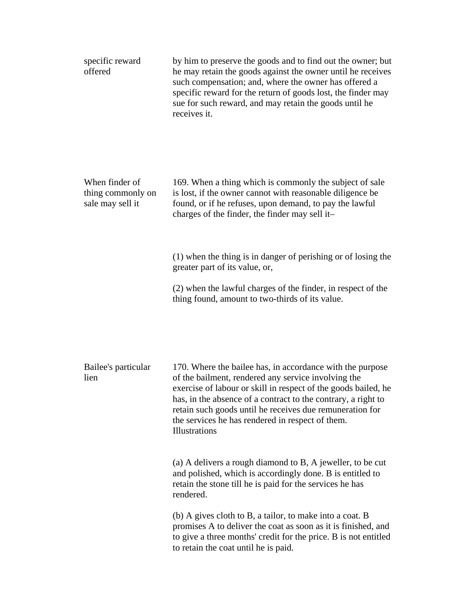| specific reward<br>offered                              | by him to preserve the goods and to find out the owner; but<br>he may retain the goods against the owner until he receives<br>such compensation; and, where the owner has offered a<br>specific reward for the return of goods lost, the finder may<br>sue for such reward, and may retain the goods until he<br>receives it.                                                        |
|---------------------------------------------------------|--------------------------------------------------------------------------------------------------------------------------------------------------------------------------------------------------------------------------------------------------------------------------------------------------------------------------------------------------------------------------------------|
| When finder of<br>thing commonly on<br>sale may sell it | 169. When a thing which is commonly the subject of sale<br>is lost, if the owner cannot with reasonable diligence be<br>found, or if he refuses, upon demand, to pay the lawful<br>charges of the finder, the finder may sell it-                                                                                                                                                    |
|                                                         | (1) when the thing is in danger of perishing or of losing the<br>greater part of its value, or,                                                                                                                                                                                                                                                                                      |
|                                                         | (2) when the lawful charges of the finder, in respect of the<br>thing found, amount to two-thirds of its value.                                                                                                                                                                                                                                                                      |
| Bailee's particular<br>lien                             | 170. Where the bailee has, in accordance with the purpose<br>of the bailment, rendered any service involving the<br>exercise of labour or skill in respect of the goods bailed, he<br>has, in the absence of a contract to the contrary, a right to<br>retain such goods until he receives due remuneration for<br>the services he has rendered in respect of them.<br>Illustrations |
|                                                         | (a) A delivers a rough diamond to B, A jeweller, to be cut<br>and polished, which is accordingly done. B is entitled to<br>retain the stone till he is paid for the services he has<br>rendered.                                                                                                                                                                                     |
|                                                         | (b) A gives cloth to B, a tailor, to make into a coat. B<br>promises A to deliver the coat as soon as it is finished, and<br>to give a three months' credit for the price. B is not entitled<br>to retain the coat until he is paid.                                                                                                                                                 |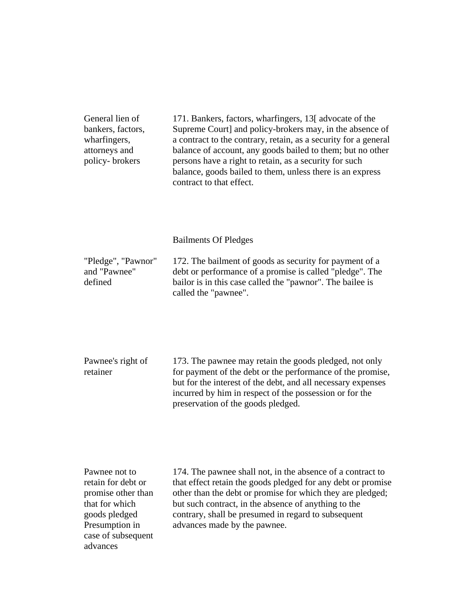| General lien of<br>bankers, factors,<br>wharfingers,<br>attorneys and<br>policy-brokers                                                          | 171. Bankers, factors, wharfingers, 13 <sup>[</sup> advocate of the<br>Supreme Court] and policy-brokers may, in the absence of<br>a contract to the contrary, retain, as a security for a general<br>balance of account, any goods bailed to them; but no other<br>persons have a right to retain, as a security for such<br>balance, goods bailed to them, unless there is an express<br>contract to that effect. |
|--------------------------------------------------------------------------------------------------------------------------------------------------|---------------------------------------------------------------------------------------------------------------------------------------------------------------------------------------------------------------------------------------------------------------------------------------------------------------------------------------------------------------------------------------------------------------------|
|                                                                                                                                                  | <b>Bailments Of Pledges</b>                                                                                                                                                                                                                                                                                                                                                                                         |
| "Pledge", "Pawnor"<br>and "Pawnee"<br>defined                                                                                                    | 172. The bailment of goods as security for payment of a<br>debt or performance of a promise is called "pledge". The<br>bailor is in this case called the "pawnor". The bailee is<br>called the "pawnee".                                                                                                                                                                                                            |
| Pawnee's right of<br>retainer                                                                                                                    | 173. The pawnee may retain the goods pledged, not only<br>for payment of the debt or the performance of the promise,<br>but for the interest of the debt, and all necessary expenses<br>incurred by him in respect of the possession or for the<br>preservation of the goods pledged.                                                                                                                               |
| Pawnee not to<br>retain for debt or<br>promise other than<br>that for which<br>goods pledged<br>Presumption in<br>case of subsequent<br>advances | 174. The pawnee shall not, in the absence of a contract to<br>that effect retain the goods pledged for any debt or promise<br>other than the debt or promise for which they are pledged;<br>but such contract, in the absence of anything to the<br>contrary, shall be presumed in regard to subsequent<br>advances made by the pawnee.                                                                             |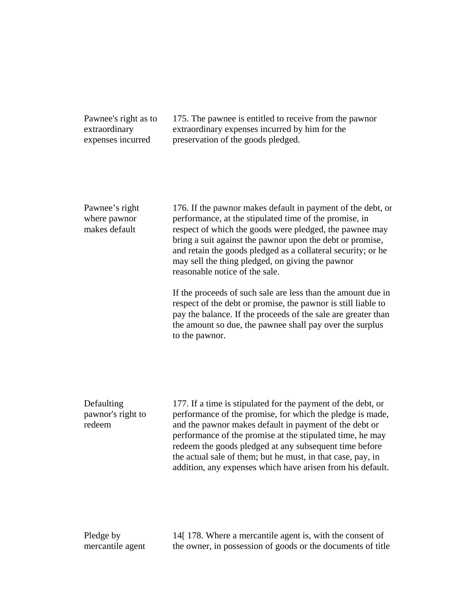Pawnee's right as to extraordinary expenses incurred

175. The pawnee is entitled to receive from the pawnor extraordinary expenses incurred by him for the preservation of the goods pledged.

 Pawnee's right where pawnor makes default 176. If the pawnor makes default in payment of the debt, or performance, at the stipulated time of the promise, in respect of which the goods were pledged, the pawnee may bring a suit against the pawnor upon the debt or promise, and retain the goods pledged as a collateral security; or he may sell the thing pledged, on giving the pawnor reasonable notice of the sale. If the proceeds of such sale are less than the amount due in respect of the debt or promise, the pawnor is still liable to pay the balance. If the proceeds of the sale are greater than the amount so due, the pawnee shall pay over the surplus to the pawnor. Defaulting 177. If a time is stipulated for the payment of the debt, or

pawnor's right to redeem performance of the promise, for which the pledge is made, and the pawnor makes default in payment of the debt or performance of the promise at the stipulated time, he may redeem the goods pledged at any subsequent time before the actual sale of them; but he must, in that case, pay, in addition, any expenses which have arisen from his default.

Pledge by [14\[](http://www.bdlaws.gov.bd/print_sections.php?id=26&vol=§ions_id=318) 178. Where a mercantile agent is, with the consent of mercantile agent the owner, in possession of goods or the documents of title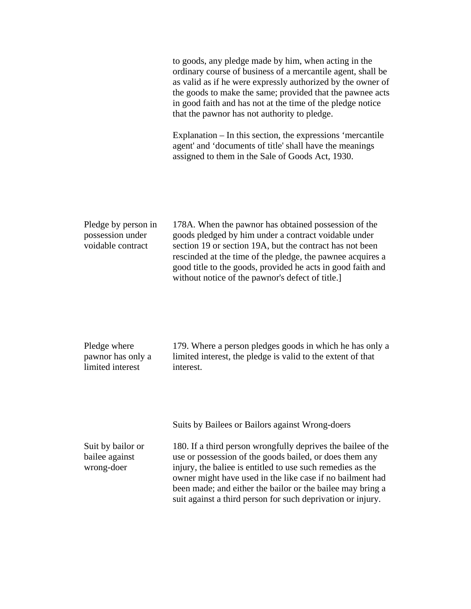|                                                              | to goods, any pledge made by him, when acting in the<br>ordinary course of business of a mercantile agent, shall be<br>as valid as if he were expressly authorized by the owner of<br>the goods to make the same; provided that the pawnee acts<br>in good faith and has not at the time of the pledge notice<br>that the pawnor has not authority to pledge.                   |
|--------------------------------------------------------------|---------------------------------------------------------------------------------------------------------------------------------------------------------------------------------------------------------------------------------------------------------------------------------------------------------------------------------------------------------------------------------|
|                                                              | Explanation – In this section, the expressions 'mercantile<br>agent' and 'documents of title' shall have the meanings<br>assigned to them in the Sale of Goods Act, 1930.                                                                                                                                                                                                       |
| Pledge by person in<br>possession under<br>voidable contract | 178A. When the pawnor has obtained possession of the<br>goods pledged by him under a contract voidable under<br>section 19 or section 19A, but the contract has not been<br>rescinded at the time of the pledge, the pawnee acquires a<br>good title to the goods, provided he acts in good faith and<br>without notice of the pawnor's defect of title.]                       |
| Pledge where<br>pawnor has only a<br>limited interest        | 179. Where a person pledges goods in which he has only a<br>limited interest, the pledge is valid to the extent of that<br>interest.                                                                                                                                                                                                                                            |
|                                                              | Suits by Bailees or Bailors against Wrong-doers                                                                                                                                                                                                                                                                                                                                 |
| Suit by bailor or<br>bailee against<br>wrong-doer            | 180. If a third person wrongfully deprives the bailee of the<br>use or possession of the goods bailed, or does them any<br>injury, the baliee is entitled to use such remedies as the<br>owner might have used in the like case if no bailment had<br>been made; and either the bailor or the bailee may bring a<br>suit against a third person for such deprivation or injury. |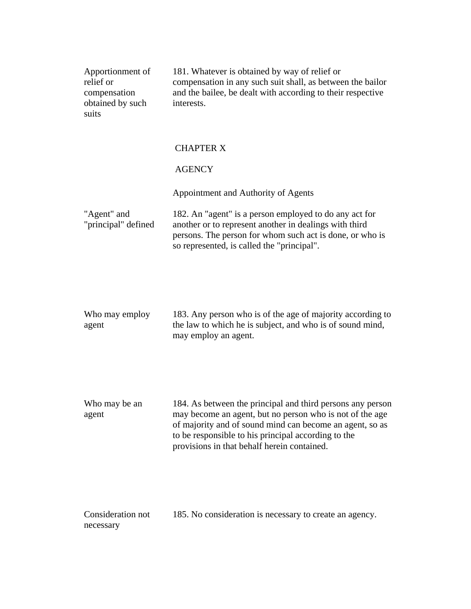| Apportionment of<br>relief or<br>compensation<br>obtained by such<br>suits | 181. Whatever is obtained by way of relief or<br>compensation in any such suit shall, as between the bailor<br>and the bailee, be dealt with according to their respective<br>interests.                                                                                                 |
|----------------------------------------------------------------------------|------------------------------------------------------------------------------------------------------------------------------------------------------------------------------------------------------------------------------------------------------------------------------------------|
|                                                                            | <b>CHAPTER X</b>                                                                                                                                                                                                                                                                         |
|                                                                            | <b>AGENCY</b>                                                                                                                                                                                                                                                                            |
|                                                                            | Appointment and Authority of Agents                                                                                                                                                                                                                                                      |
| "Agent" and<br>"principal" defined                                         | 182. An "agent" is a person employed to do any act for<br>another or to represent another in dealings with third<br>persons. The person for whom such act is done, or who is<br>so represented, is called the "principal".                                                               |
| Who may employ<br>agent                                                    | 183. Any person who is of the age of majority according to<br>the law to which he is subject, and who is of sound mind,<br>may employ an agent.                                                                                                                                          |
|                                                                            |                                                                                                                                                                                                                                                                                          |
| Who may be an<br>agent                                                     | 184. As between the principal and third persons any person<br>may become an agent, but no person who is not of the age<br>of majority and of sound mind can become an agent, so as<br>to be responsible to his principal according to the<br>provisions in that behalf herein contained. |
|                                                                            |                                                                                                                                                                                                                                                                                          |
| <b>Consideration not</b><br>necessary                                      | 185. No consideration is necessary to create an agency.                                                                                                                                                                                                                                  |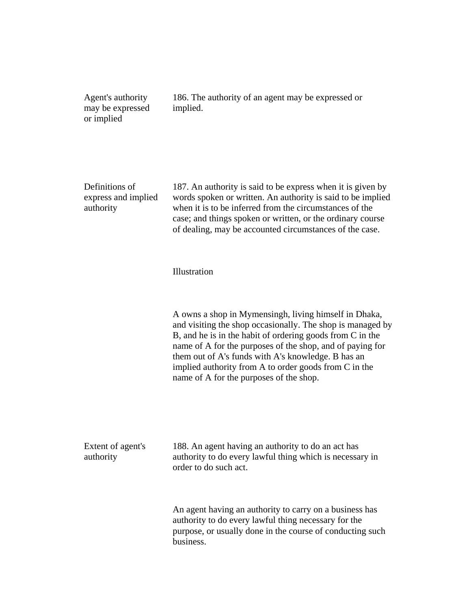Agent's authority may be expressed or implied 186. The authority of an agent may be expressed or implied.

 Definitions of express and implied authority

187. An authority is said to be express when it is given by words spoken or written. An authority is said to be implied when it is to be inferred from the circumstances of the case; and things spoken or written, or the ordinary course of dealing, may be accounted circumstances of the case.

## Illustration

A owns a shop in Mymensingh, living himself in Dhaka, and visiting the shop occasionally. The shop is managed by B, and he is in the habit of ordering goods from C in the name of A for the purposes of the shop, and of paying for them out of A's funds with A's knowledge. B has an implied authority from A to order goods from C in the name of A for the purposes of the shop.

| Extent of agent's | 188. An agent having an authority to do an act has       |
|-------------------|----------------------------------------------------------|
| authority         | authority to do every lawful thing which is necessary in |
|                   | order to do such act.                                    |

An agent having an authority to carry on a business has authority to do every lawful thing necessary for the purpose, or usually done in the course of conducting such business.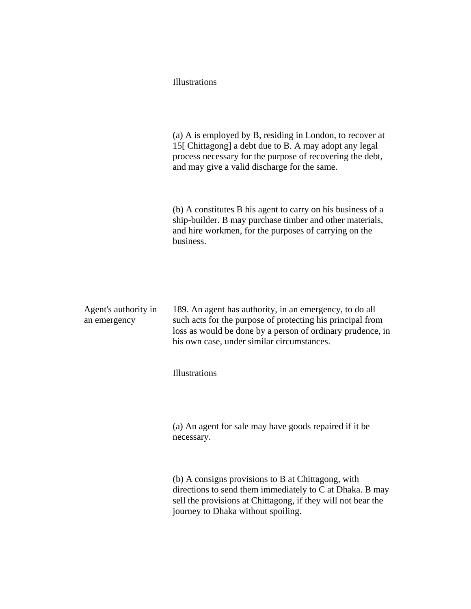# Illustrations

|                                      | (a) A is employed by B, residing in London, to recover at<br>15[ Chittagong] a debt due to B. A may adopt any legal<br>process necessary for the purpose of recovering the debt,<br>and may give a valid discharge for the same.  |
|--------------------------------------|-----------------------------------------------------------------------------------------------------------------------------------------------------------------------------------------------------------------------------------|
|                                      | (b) A constitutes B his agent to carry on his business of a<br>ship-builder. B may purchase timber and other materials,<br>and hire workmen, for the purposes of carrying on the<br>business.                                     |
|                                      |                                                                                                                                                                                                                                   |
| Agent's authority in<br>an emergency | 189. An agent has authority, in an emergency, to do all<br>such acts for the purpose of protecting his principal from<br>loss as would be done by a person of ordinary prudence, in<br>his own case, under similar circumstances. |
|                                      | Illustrations                                                                                                                                                                                                                     |
|                                      |                                                                                                                                                                                                                                   |
|                                      | (a) An agent for sale may have goods repaired if it be<br>necessary.                                                                                                                                                              |
|                                      |                                                                                                                                                                                                                                   |
|                                      | (b) A consigns provisions to B at Chittagong, with<br>directions to send them immediately to C at Dhaka. B may<br>sell the provisions at Chittagong, if they will not bear the                                                    |

journey to Dhaka without spoiling.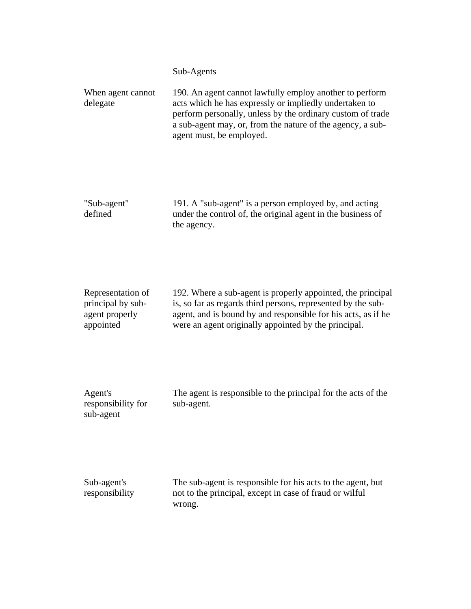Sub-Agents

| When agent cannot<br>delegate                                         | 190. An agent cannot lawfully employ another to perform<br>acts which he has expressly or impliedly undertaken to<br>perform personally, unless by the ordinary custom of trade<br>a sub-agent may, or, from the nature of the agency, a sub-<br>agent must, be employed. |
|-----------------------------------------------------------------------|---------------------------------------------------------------------------------------------------------------------------------------------------------------------------------------------------------------------------------------------------------------------------|
| "Sub-agent"<br>defined                                                | 191. A "sub-agent" is a person employed by, and acting<br>under the control of, the original agent in the business of<br>the agency.                                                                                                                                      |
| Representation of<br>principal by sub-<br>agent properly<br>appointed | 192. Where a sub-agent is properly appointed, the principal<br>is, so far as regards third persons, represented by the sub-<br>agent, and is bound by and responsible for his acts, as if he<br>were an agent originally appointed by the principal.                      |
| Agent's<br>responsibility for<br>sub-agent                            | The agent is responsible to the principal for the acts of the<br>sub-agent.                                                                                                                                                                                               |
| Sub-agent's<br>responsibility                                         | The sub-agent is responsible for his acts to the agent, but<br>not to the principal, except in case of fraud or wilful<br>wrong.                                                                                                                                          |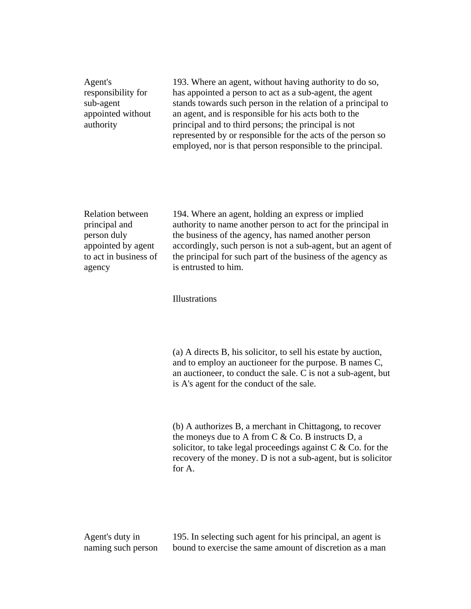Agent's responsibility for sub-agent appointed without authority

193. Where an agent, without having authority to do so, has appointed a person to act as a sub-agent, the agent stands towards such person in the relation of a principal to an agent, and is responsible for his acts both to the principal and to third persons; the principal is not represented by or responsible for the acts of the person so employed, nor is that person responsible to the principal.

 Relation between principal and person duly appointed by agent to act in business of agency

194. Where an agent, holding an express or implied authority to name another person to act for the principal in the business of the agency, has named another person accordingly, such person is not a sub-agent, but an agent of the principal for such part of the business of the agency as is entrusted to him.

Illustrations

(a) A directs B, his solicitor, to sell his estate by auction, and to employ an auctioneer for the purpose. B names C, an auctioneer, to conduct the sale. C is not a sub-agent, but is A's agent for the conduct of the sale.

(b) A authorizes B, a merchant in Chittagong, to recover the moneys due to A from  $C & Co$ . B instructs D, a solicitor, to take legal proceedings against  $C & Co$  for the recovery of the money. D is not a sub-agent, but is solicitor for A.

 Agent's duty in Agent's duty in 195. In selecting such agent for his principal, an agent is naming such person bound to exercise the same amount of discretion as a man bound to exercise the same amount of discretion as a man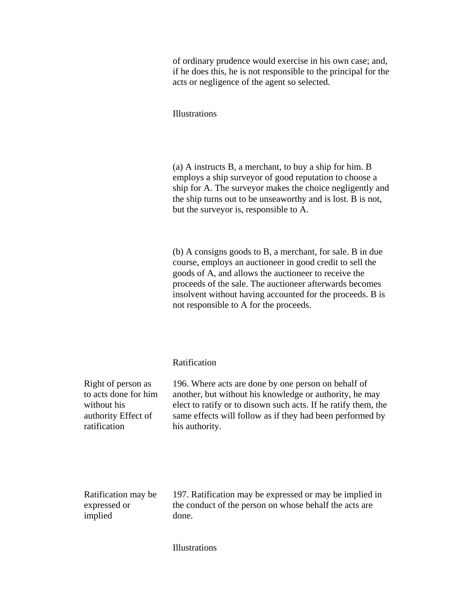of ordinary prudence would exercise in his own case; and, if he does this, he is not responsible to the principal for the acts or negligence of the agent so selected.

Illustrations

(a) A instructs B, a merchant, to buy a ship for him. B employs a ship surveyor of good reputation to choose a ship for A. The surveyor makes the choice negligently and the ship turns out to be unseaworthy and is lost. B is not, but the surveyor is, responsible to A.

(b) A consigns goods to B, a merchant, for sale. B in due course, employs an auctioneer in good credit to sell the goods of A, and allows the auctioneer to receive the proceeds of the sale. The auctioneer afterwards becomes insolvent without having accounted for the proceeds. B is not responsible to A for the proceeds.

### Ratification

 Right of person as to acts done for him without his authority Effect of ratification 196. Where acts are done by one person on behalf of another, but without his knowledge or authority, he may elect to ratify or to disown such acts. If he ratify them, the same effects will follow as if they had been performed by his authority.

 Ratification may be expressed or implied

197. Ratification may be expressed or may be implied in the conduct of the person on whose behalf the acts are done.

Illustrations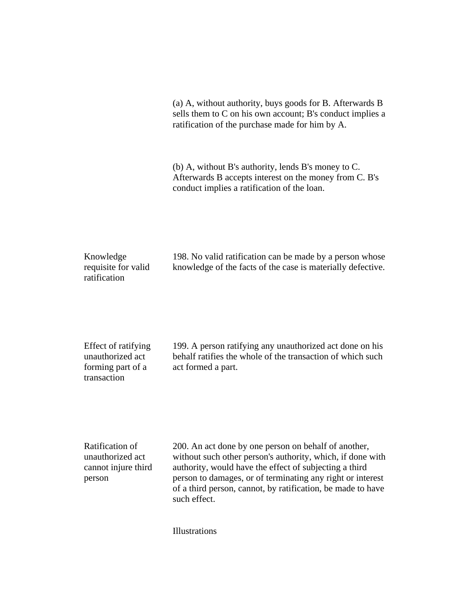(a) A, without authority, buys goods for B. Afterwards B sells them to C on his own account; B's conduct implies a ratification of the purchase made for him by A.

(b) A, without B's authority, lends B's money to C. Afterwards B accepts interest on the money from C. B's conduct implies a ratification of the loan.

 Knowledge requisite for valid ratification 198. No valid ratification can be made by a person whose knowledge of the facts of the case is materially defective.

 Effect of ratifying unauthorized act forming part of a transaction

199. A person ratifying any unauthorized act done on his behalf ratifies the whole of the transaction of which such act formed a part.

 Ratification of unauthorized act cannot injure third person 200. An act done by one person on behalf of another, without such other person's authority, which, if done with authority, would have the effect of subjecting a third person to damages, or of terminating any right or interest of a third person, cannot, by ratification, be made to have such effect.

Illustrations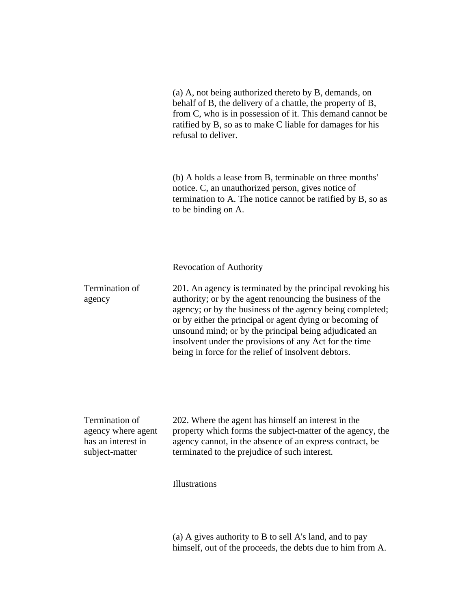(a) A, not being authorized thereto by B, demands, on behalf of B, the delivery of a chattle, the property of B, from C, who is in possession of it. This demand cannot be ratified by B, so as to make C liable for damages for his refusal to deliver.

(b) A holds a lease from B, terminable on three months' notice. C, an unauthorized person, gives notice of termination to A. The notice cannot be ratified by B, so as to be binding on A.

Revocation of Authority

 Termination of agency 201. An agency is terminated by the principal revoking his authority; or by the agent renouncing the business of the agency; or by the business of the agency being completed; or by either the principal or agent dying or becoming of unsound mind; or by the principal being adjudicated an insolvent under the provisions of any Act for the time being in force for the relief of insolvent debtors.

| Termination of     | 202. Where the agent has himself an interest in the        |
|--------------------|------------------------------------------------------------|
| agency where agent | property which forms the subject-matter of the agency, the |
| has an interest in | agency cannot, in the absence of an express contract, be   |
| subject-matter     | terminated to the prejudice of such interest.              |

Illustrations

(a) A gives authority to B to sell A's land, and to pay himself, out of the proceeds, the debts due to him from A.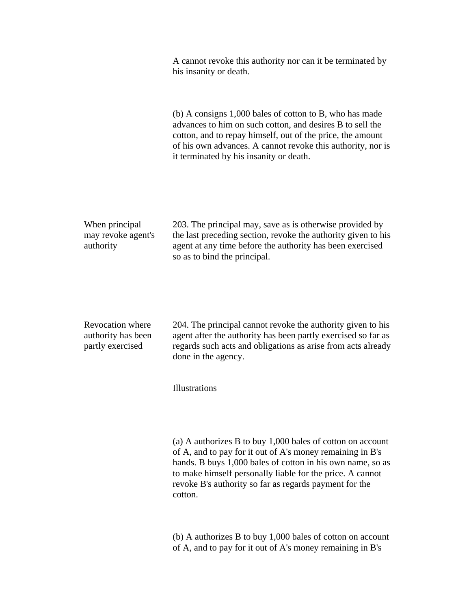|                                                            | A cannot revoke this authority nor can it be terminated by<br>his insanity or death.                                                                                                                                                                                                                                      |
|------------------------------------------------------------|---------------------------------------------------------------------------------------------------------------------------------------------------------------------------------------------------------------------------------------------------------------------------------------------------------------------------|
|                                                            | (b) A consigns 1,000 bales of cotton to B, who has made<br>advances to him on such cotton, and desires B to sell the<br>cotton, and to repay himself, out of the price, the amount<br>of his own advances. A cannot revoke this authority, nor is<br>it terminated by his insanity or death.                              |
| When principal<br>may revoke agent's<br>authority          | 203. The principal may, save as is otherwise provided by<br>the last preceding section, revoke the authority given to his<br>agent at any time before the authority has been exercised<br>so as to bind the principal.                                                                                                    |
| Revocation where<br>authority has been<br>partly exercised | 204. The principal cannot revoke the authority given to his<br>agent after the authority has been partly exercised so far as<br>regards such acts and obligations as arise from acts already<br>done in the agency.                                                                                                       |
|                                                            | Illustrations                                                                                                                                                                                                                                                                                                             |
|                                                            | (a) A authorizes B to buy $1,000$ bales of cotton on account<br>of A, and to pay for it out of A's money remaining in B's<br>hands. B buys 1,000 bales of cotton in his own name, so as<br>to make himself personally liable for the price. A cannot<br>revoke B's authority so far as regards payment for the<br>cotton. |

(b) A authorizes B to buy 1,000 bales of cotton on account of A, and to pay for it out of A's money remaining in B's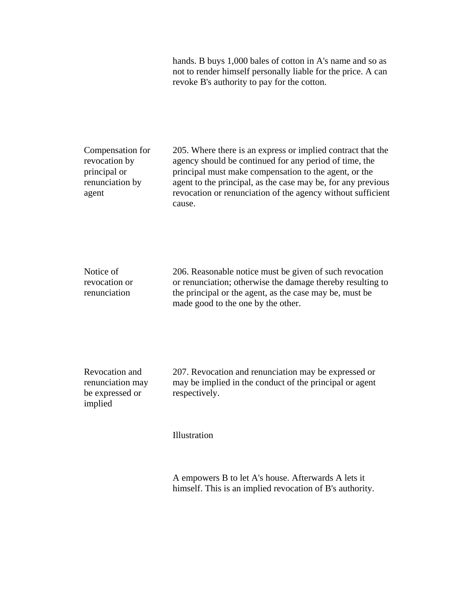hands. B buys 1,000 bales of cotton in A's name and so as not to render himself personally liable for the price. A can revoke B's authority to pay for the cotton.

 Compensation for revocation by principal or renunciation by agent

205. Where there is an express or implied contract that the agency should be continued for any period of time, the principal must make compensation to the agent, or the agent to the principal, as the case may be, for any previous revocation or renunciation of the agency without sufficient cause.

 Notice of revocation or renunciation

206. Reasonable notice must be given of such revocation or renunciation; otherwise the damage thereby resulting to the principal or the agent, as the case may be, must be made good to the one by the other.

 Revocation and renunciation may be expressed or implied

207. Revocation and renunciation may be expressed or may be implied in the conduct of the principal or agent respectively.

Illustration

A empowers B to let A's house. Afterwards A lets it himself. This is an implied revocation of B's authority.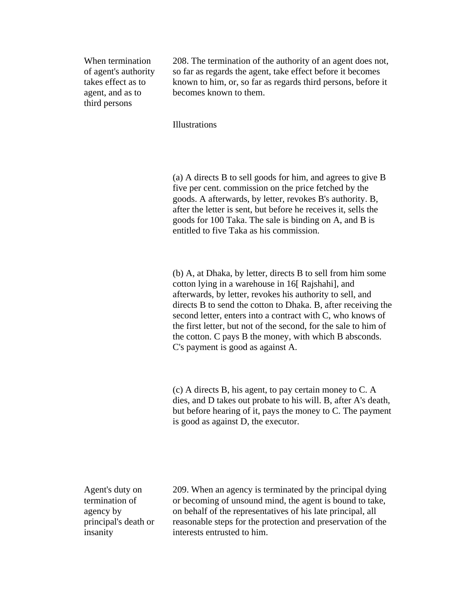When termination of agent's authority takes effect as to agent, and as to third persons

208. The termination of the authority of an agent does not, so far as regards the agent, take effect before it becomes known to him, or, so far as regards third persons, before it becomes known to them.

Illustrations

(a) A directs B to sell goods for him, and agrees to give B five per cent. commission on the price fetched by the goods. A afterwards, by letter, revokes B's authority. B, after the letter is sent, but before he receives it, sells the goods for 100 Taka. The sale is binding on A, and B is entitled to five Taka as his commission.

(b) A, at Dhaka, by letter, directs B to sell from him some cotton lying in a warehouse in [16\[](http://www.bdlaws.gov.bd/print_sections.php?id=26&vol=§ions_id=353) Rajshahi], and afterwards, by letter, revokes his authority to sell, and directs B to send the cotton to Dhaka. B, after receiving the second letter, enters into a contract with C, who knows of the first letter, but not of the second, for the sale to him of the cotton. C pays B the money, with which B absconds. C's payment is good as against A.

(c) A directs B, his agent, to pay certain money to C. A dies, and D takes out probate to his will. B, after A's death, but before hearing of it, pays the money to C. The payment is good as against D, the executor.

 Agent's duty on termination of agency by principal's death or insanity

209. When an agency is terminated by the principal dying or becoming of unsound mind, the agent is bound to take, on behalf of the representatives of his late principal, all reasonable steps for the protection and preservation of the interests entrusted to him.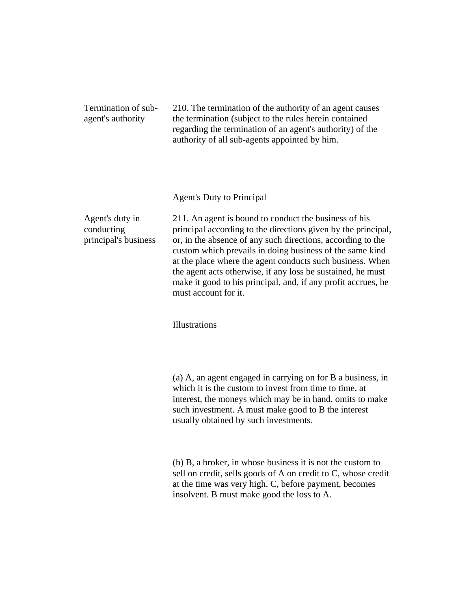| Termination of sub-<br>agent's authority              | 210. The termination of the authority of an agent causes<br>the termination (subject to the rules herein contained<br>regarding the termination of an agent's authority) of the<br>authority of all sub-agents appointed by him.                                                                                                                                                                                                                                       |
|-------------------------------------------------------|------------------------------------------------------------------------------------------------------------------------------------------------------------------------------------------------------------------------------------------------------------------------------------------------------------------------------------------------------------------------------------------------------------------------------------------------------------------------|
|                                                       | <b>Agent's Duty to Principal</b>                                                                                                                                                                                                                                                                                                                                                                                                                                       |
| Agent's duty in<br>conducting<br>principal's business | 211. An agent is bound to conduct the business of his<br>principal according to the directions given by the principal,<br>or, in the absence of any such directions, according to the<br>custom which prevails in doing business of the same kind<br>at the place where the agent conducts such business. When<br>the agent acts otherwise, if any loss be sustained, he must<br>make it good to his principal, and, if any profit accrues, he<br>must account for it. |

Illustrations

(a) A, an agent engaged in carrying on for B a business, in which it is the custom to invest from time to time, at interest, the moneys which may be in hand, omits to make such investment. A must make good to B the interest usually obtained by such investments.

(b) B, a broker, in whose business it is not the custom to sell on credit, sells goods of A on credit to C, whose credit at the time was very high. C, before payment, becomes insolvent. B must make good the loss to A.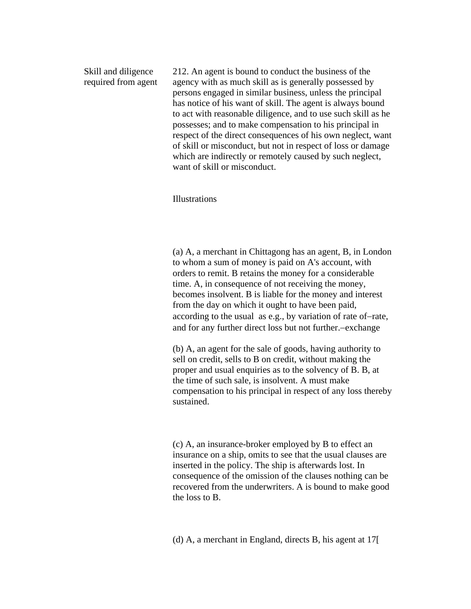# Skill and diligence required from agent

212. An agent is bound to conduct the business of the agency with as much skill as is generally possessed by persons engaged in similar business, unless the principal has notice of his want of skill. The agent is always bound to act with reasonable diligence, and to use such skill as he possesses; and to make compensation to his principal in respect of the direct consequences of his own neglect, want of skill or misconduct, but not in respect of loss or damage which are indirectly or remotely caused by such neglect, want of skill or misconduct.

Illustrations

(a) A, a merchant in Chittagong has an agent, B, in London to whom a sum of money is paid on A's account, with orders to remit. B retains the money for a considerable time. A, in consequence of not receiving the money, becomes insolvent. B is liable for the money and interest from the day on which it ought to have been paid, according to the usual as e.g., by variation of rate of−rate, and for any further direct loss but not further.−exchange

(b) A, an agent for the sale of goods, having authority to sell on credit, sells to B on credit, without making the proper and usual enquiries as to the solvency of B. B, at the time of such sale, is insolvent. A must make compensation to his principal in respect of any loss thereby sustained.

(c) A, an insurance-broker employed by B to effect an insurance on a ship, omits to see that the usual clauses are inserted in the policy. The ship is afterwards lost. In consequence of the omission of the clauses nothing can be recovered from the underwriters. A is bound to make good the loss to B.

(d) A, a merchant in England, directs B, his agent at [17\[](http://www.bdlaws.gov.bd/print_sections.php?id=26&vol=§ions_id=357)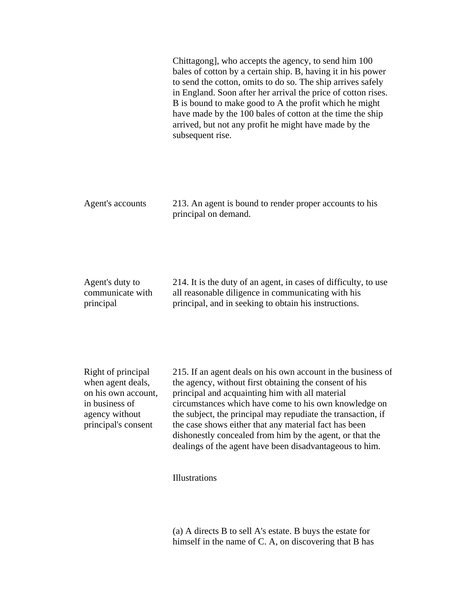|                                                                                                                           | Chittagong], who accepts the agency, to send him 100<br>bales of cotton by a certain ship. B, having it in his power<br>to send the cotton, omits to do so. The ship arrives safely<br>in England. Soon after her arrival the price of cotton rises.<br>B is bound to make good to A the profit which he might<br>have made by the 100 bales of cotton at the time the ship<br>arrived, but not any profit he might have made by the<br>subsequent rise.                           |
|---------------------------------------------------------------------------------------------------------------------------|------------------------------------------------------------------------------------------------------------------------------------------------------------------------------------------------------------------------------------------------------------------------------------------------------------------------------------------------------------------------------------------------------------------------------------------------------------------------------------|
| Agent's accounts                                                                                                          | 213. An agent is bound to render proper accounts to his<br>principal on demand.                                                                                                                                                                                                                                                                                                                                                                                                    |
| Agent's duty to<br>communicate with<br>principal                                                                          | 214. It is the duty of an agent, in cases of difficulty, to use<br>all reasonable diligence in communicating with his<br>principal, and in seeking to obtain his instructions.                                                                                                                                                                                                                                                                                                     |
| Right of principal<br>when agent deals,<br>on his own account,<br>in business of<br>agency without<br>principal's consent | 215. If an agent deals on his own account in the business of<br>the agency, without first obtaining the consent of his<br>principal and acquainting him with all material<br>circumstances which have come to his own knowledge on<br>the subject, the principal may repudiate the transaction, if<br>the case shows either that any material fact has been<br>dishonestly concealed from him by the agent, or that the<br>dealings of the agent have been disadvantageous to him. |
|                                                                                                                           | Illustrations                                                                                                                                                                                                                                                                                                                                                                                                                                                                      |

(a) A directs B to sell A's estate. B buys the estate for himself in the name of C. A, on discovering that B has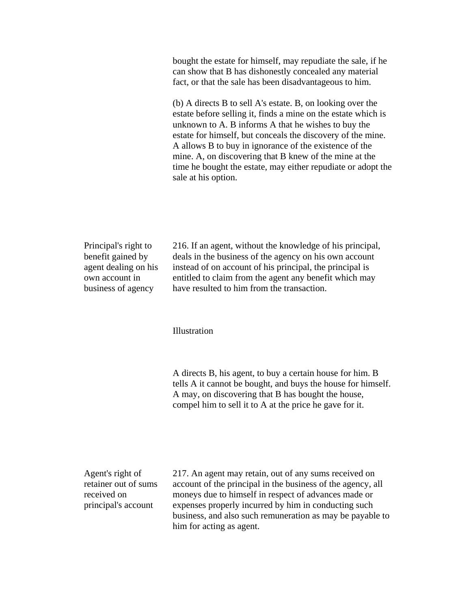bought the estate for himself, may repudiate the sale, if he can show that B has dishonestly concealed any material fact, or that the sale has been disadvantageous to him.

(b) A directs B to sell A's estate. B, on looking over the estate before selling it, finds a mine on the estate which is unknown to A. B informs A that he wishes to buy the estate for himself, but conceals the discovery of the mine. A allows B to buy in ignorance of the existence of the mine. A, on discovering that B knew of the mine at the time he bought the estate, may either repudiate or adopt the sale at his option.

 Principal's right to benefit gained by agent dealing on his own account in business of agency

216. If an agent, without the knowledge of his principal, deals in the business of the agency on his own account instead of on account of his principal, the principal is entitled to claim from the agent any benefit which may have resulted to him from the transaction.

Illustration

A directs B, his agent, to buy a certain house for him. B tells A it cannot be bought, and buys the house for himself. A may, on discovering that B has bought the house, compel him to sell it to A at the price he gave for it.

 Agent's right of retainer out of sums received on principal's account

217. An agent may retain, out of any sums received on account of the principal in the business of the agency, all moneys due to himself in respect of advances made or expenses properly incurred by him in conducting such business, and also such remuneration as may be payable to him for acting as agent.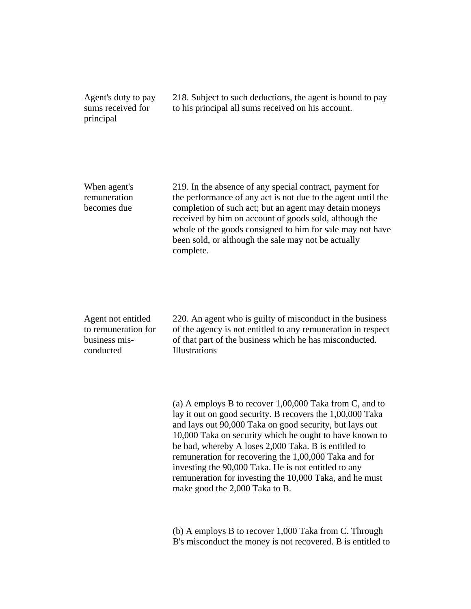Agent's duty to pay sums received for principal 218. Subject to such deductions, the agent is bound to pay to his principal all sums received on his account.

 When agent's remuneration becomes due

219. In the absence of any special contract, payment for the performance of any act is not due to the agent until the completion of such act; but an agent may detain moneys received by him on account of goods sold, although the whole of the goods consigned to him for sale may not have been sold, or although the sale may not be actually complete.

 Agent not entitled to remuneration for business misconducted

220. An agent who is guilty of misconduct in the business of the agency is not entitled to any remuneration in respect of that part of the business which he has misconducted. Illustrations

(a) A employs B to recover 1,00,000 Taka from C, and to lay it out on good security. B recovers the 1,00,000 Taka and lays out 90,000 Taka on good security, but lays out 10,000 Taka on security which he ought to have known to be bad, whereby A loses 2,000 Taka. B is entitled to remuneration for recovering the 1,00,000 Taka and for investing the 90,000 Taka. He is not entitled to any remuneration for investing the 10,000 Taka, and he must make good the 2,000 Taka to B.

(b) A employs B to recover 1,000 Taka from C. Through B's misconduct the money is not recovered. B is entitled to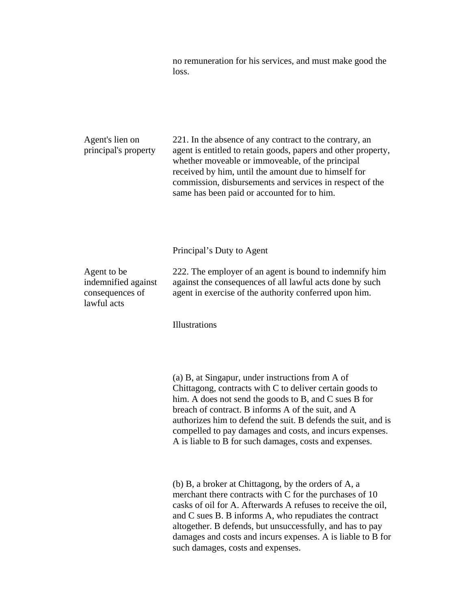no remuneration for his services, and must make good the loss.

 Agent's lien on principal's property 221. In the absence of any contract to the contrary, an agent is entitled to retain goods, papers and other property, whether moveable or immoveable, of the principal received by him, until the amount due to himself for commission, disbursements and services in respect of the same has been paid or accounted for to him.

#### Principal's Duty to Agent

| Agent to be         | 222. The employer of an agent is bound to indemnify him  |
|---------------------|----------------------------------------------------------|
| indemnified against | against the consequences of all lawful acts done by such |
| consequences of     | agent in exercise of the authority conferred upon him.   |
| lawful acts         |                                                          |

Illustrations

(a) B, at Singapur, under instructions from A of Chittagong, contracts with C to deliver certain goods to him. A does not send the goods to B, and C sues B for breach of contract. B informs A of the suit, and A authorizes him to defend the suit. B defends the suit, and is compelled to pay damages and costs, and incurs expenses. A is liable to B for such damages, costs and expenses.

(b) B, a broker at Chittagong, by the orders of A, a merchant there contracts with C for the purchases of 10 casks of oil for A. Afterwards A refuses to receive the oil, and C sues B. B informs A, who repudiates the contract altogether. B defends, but unsuccessfully, and has to pay damages and costs and incurs expenses. A is liable to B for such damages, costs and expenses.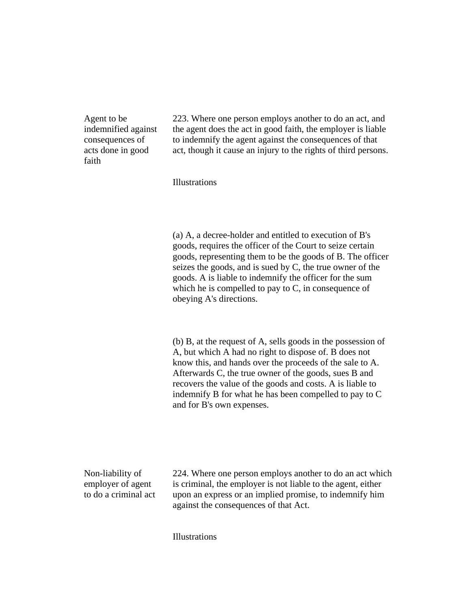Agent to be indemnified against consequences of acts done in good faith

223. Where one person employs another to do an act, and the agent does the act in good faith, the employer is liable to indemnify the agent against the consequences of that act, though it cause an injury to the rights of third persons.

## Illustrations

(a) A, a decree-holder and entitled to execution of B's goods, requires the officer of the Court to seize certain goods, representing them to be the goods of B. The officer seizes the goods, and is sued by C, the true owner of the goods. A is liable to indemnify the officer for the sum which he is compelled to pay to C, in consequence of obeying A's directions.

(b) B, at the request of A, sells goods in the possession of A, but which A had no right to dispose of. B does not know this, and hands over the proceeds of the sale to A. Afterwards C, the true owner of the goods, sues B and recovers the value of the goods and costs. A is liable to indemnify B for what he has been compelled to pay to C and for B's own expenses.

 Non-liability of employer of agent to do a criminal act 224. Where one person employs another to do an act which is criminal, the employer is not liable to the agent, either upon an express or an implied promise, to indemnify him against the consequences of that Act.

Illustrations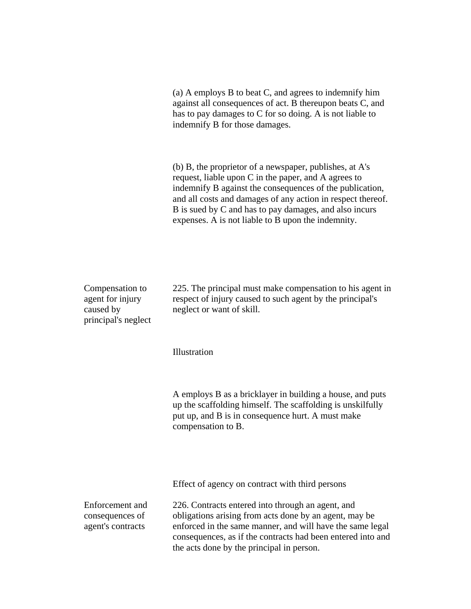(a) A employs B to beat C, and agrees to indemnify him against all consequences of act. B thereupon beats C, and has to pay damages to C for so doing. A is not liable to indemnify B for those damages.

(b) B, the proprietor of a newspaper, publishes, at A's request, liable upon C in the paper, and A agrees to indemnify B against the consequences of the publication, and all costs and damages of any action in respect thereof. B is sued by C and has to pay damages, and also incurs expenses. A is not liable to B upon the indemnity.

 Compensation to agent for injury caused by principal's neglect 225. The principal must make compensation to his agent in respect of injury caused to such agent by the principal's neglect or want of skill.

Illustration

A employs B as a bricklayer in building a house, and puts up the scaffolding himself. The scaffolding is unskilfully put up, and B is in consequence hurt. A must make compensation to B.

Effect of agency on contract with third persons

 Enforcement and consequences of agent's contracts 226. Contracts entered into through an agent, and obligations arising from acts done by an agent, may be enforced in the same manner, and will have the same legal consequences, as if the contracts had been entered into and the acts done by the principal in person.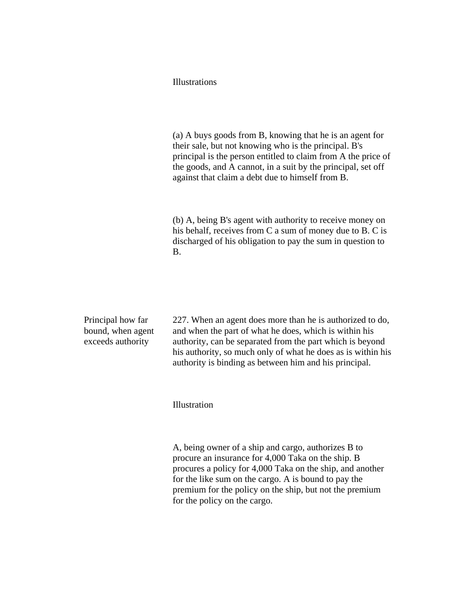#### Illustrations

(a) A buys goods from B, knowing that he is an agent for their sale, but not knowing who is the principal. B's principal is the person entitled to claim from A the price of the goods, and A cannot, in a suit by the principal, set off against that claim a debt due to himself from B.

(b) A, being B's agent with authority to receive money on his behalf, receives from C a sum of money due to B. C is discharged of his obligation to pay the sum in question to B.

 Principal how far bound, when agent exceeds authority

227. When an agent does more than he is authorized to do, and when the part of what he does, which is within his authority, can be separated from the part which is beyond his authority, so much only of what he does as is within his authority is binding as between him and his principal.

#### Illustration

A, being owner of a ship and cargo, authorizes B to procure an insurance for 4,000 Taka on the ship. B procures a policy for 4,000 Taka on the ship, and another for the like sum on the cargo. A is bound to pay the premium for the policy on the ship, but not the premium for the policy on the cargo.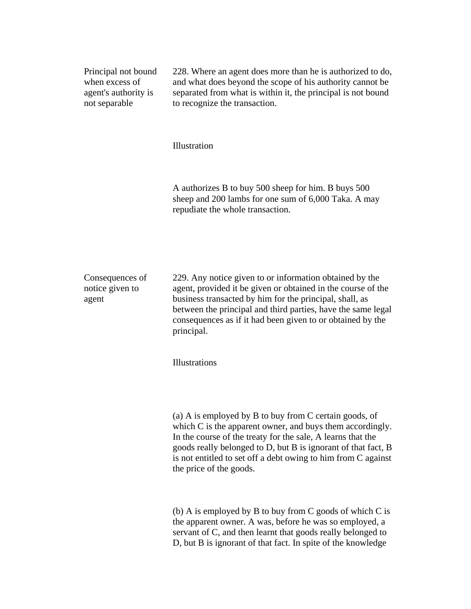| Principal not bound<br>when excess of<br>agent's authority is<br>not separable | 228. Where an agent does more than he is authorized to do,<br>and what does beyond the scope of his authority cannot be<br>separated from what is within it, the principal is not bound<br>to recognize the transaction.                                                                                                                        |
|--------------------------------------------------------------------------------|-------------------------------------------------------------------------------------------------------------------------------------------------------------------------------------------------------------------------------------------------------------------------------------------------------------------------------------------------|
|                                                                                | Illustration                                                                                                                                                                                                                                                                                                                                    |
|                                                                                | A authorizes B to buy 500 sheep for him. B buys 500<br>sheep and 200 lambs for one sum of 6,000 Taka. A may<br>repudiate the whole transaction.                                                                                                                                                                                                 |
| Consequences of<br>notice given to<br>agent                                    | 229. Any notice given to or information obtained by the<br>agent, provided it be given or obtained in the course of the<br>business transacted by him for the principal, shall, as<br>between the principal and third parties, have the same legal<br>consequences as if it had been given to or obtained by the<br>principal.                  |
|                                                                                | Illustrations                                                                                                                                                                                                                                                                                                                                   |
|                                                                                | (a) A is employed by B to buy from C certain goods, of<br>which C is the apparent owner, and buys them accordingly.<br>In the course of the treaty for the sale, A learns that the<br>goods really belonged to D, but B is ignorant of that fact, B<br>is not entitled to set off a debt owing to him from C against<br>the price of the goods. |
|                                                                                | (b) A is employed by B to buy from C goods of which C is<br>the apparent owner. A was, before he was so employed, a<br>servant of C, and then learnt that goods really belonged to<br>D, but B is ignorant of that fact. In spite of the knowledge                                                                                              |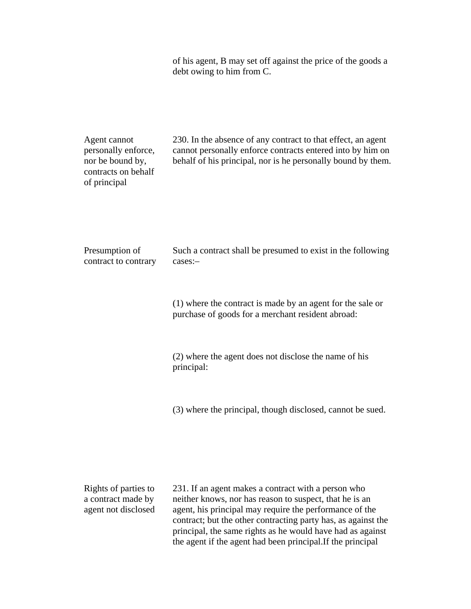of his agent, B may set off against the price of the goods a debt owing to him from C.

 Agent cannot personally enforce, nor be bound by, contracts on behalf of principal 230. In the absence of any contract to that effect, an agent cannot personally enforce contracts entered into by him on behalf of his principal, nor is he personally bound by them. Presumption of contract to contrary Such a contract shall be presumed to exist in the following cases:– (1) where the contract is made by an agent for the sale or purchase of goods for a merchant resident abroad: (2) where the agent does not disclose the name of his principal: (3) where the principal, though disclosed, cannot be sued. Rights of parties to a contract made by agent not disclosed 231. If an agent makes a contract with a person who neither knows, nor has reason to suspect, that he is an agent, his principal may require the performance of the contract; but the other contracting party has, as against the principal, the same rights as he would have had as against

the agent if the agent had been principal.If the principal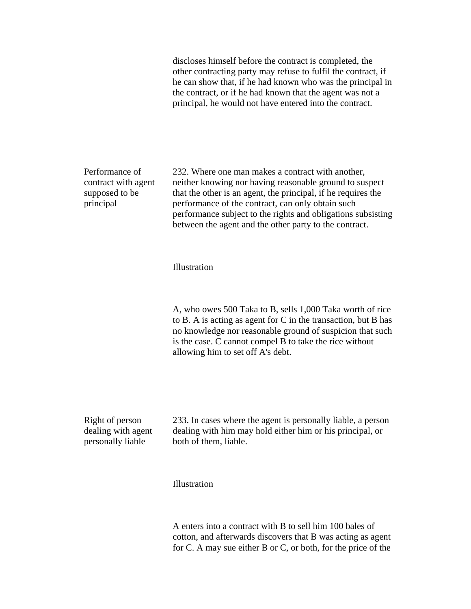discloses himself before the contract is completed, the other contracting party may refuse to fulfil the contract, if he can show that, if he had known who was the principal in the contract, or if he had known that the agent was not a principal, he would not have entered into the contract.

## Performance of contract with agent supposed to be principal

232. Where one man makes a contract with another, neither knowing nor having reasonable ground to suspect that the other is an agent, the principal, if he requires the performance of the contract, can only obtain such performance subject to the rights and obligations subsisting between the agent and the other party to the contract.

## Illustration

A, who owes 500 Taka to B, sells 1,000 Taka worth of rice to B. A is acting as agent for C in the transaction, but B has no knowledge nor reasonable ground of suspicion that such is the case. C cannot compel B to take the rice without allowing him to set off A's debt.

 Right of person dealing with agent personally liable

233. In cases where the agent is personally liable, a person dealing with him may hold either him or his principal, or both of them, liable.

Illustration

A enters into a contract with B to sell him 100 bales of cotton, and afterwards discovers that B was acting as agent for C. A may sue either B or C, or both, for the price of the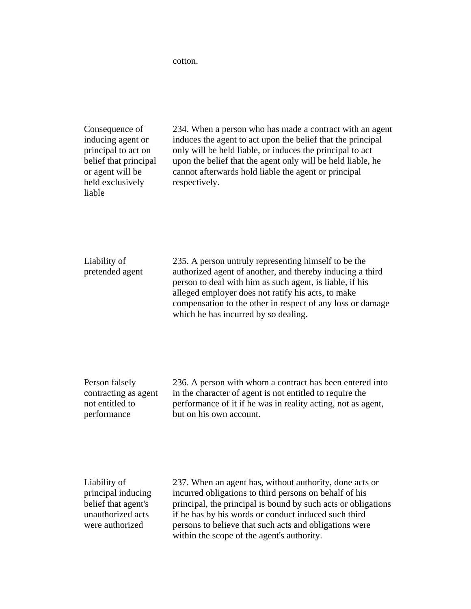cotton.

 Consequence of inducing agent or principal to act on belief that principal or agent will be held exclusively liable

234. When a person who has made a contract with an agent induces the agent to act upon the belief that the principal only will be held liable, or induces the principal to act upon the belief that the agent only will be held liable, he cannot afterwards hold liable the agent or principal respectively.

 Liability of pretended agent 235. A person untruly representing himself to be the authorized agent of another, and thereby inducing a third person to deal with him as such agent, is liable, if his alleged employer does not ratify his acts, to make compensation to the other in respect of any loss or damage which he has incurred by so dealing.

 Person falsely contracting as agent not entitled to performance 236. A person with whom a contract has been entered into in the character of agent is not entitled to require the performance of it if he was in reality acting, not as agent, but on his own account.

 Liability of principal inducing belief that agent's unauthorized acts were authorized

237. When an agent has, without authority, done acts or incurred obligations to third persons on behalf of his principal, the principal is bound by such acts or obligations if he has by his words or conduct induced such third persons to believe that such acts and obligations were within the scope of the agent's authority.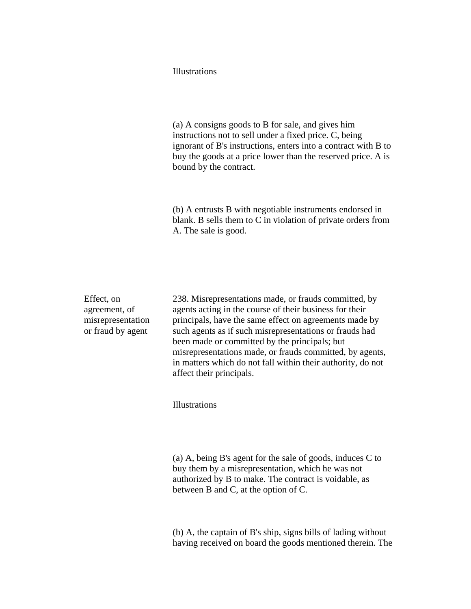Illustrations

(a) A consigns goods to B for sale, and gives him instructions not to sell under a fixed price. C, being ignorant of B's instructions, enters into a contract with B to buy the goods at a price lower than the reserved price. A is bound by the contract.

(b) A entrusts B with negotiable instruments endorsed in blank. B sells them to C in violation of private orders from A. The sale is good.

 Effect, on agreement, of misrepresentation or fraud by agent

238. Misrepresentations made, or frauds committed, by agents acting in the course of their business for their principals, have the same effect on agreements made by such agents as if such misrepresentations or frauds had been made or committed by the principals; but misrepresentations made, or frauds committed, by agents, in matters which do not fall within their authority, do not affect their principals.

**Illustrations** 

(a) A, being B's agent for the sale of goods, induces C to buy them by a misrepresentation, which he was not authorized by B to make. The contract is voidable, as between B and C, at the option of C.

(b) A, the captain of B's ship, signs bills of lading without having received on board the goods mentioned therein. The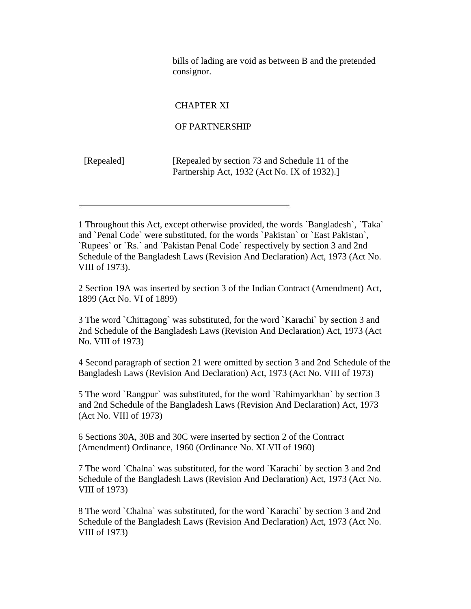bills of lading are void as between B and the pretended consignor.

## CHAPTER XI

# OF PARTNERSHIP

 [Repealed] [Repealed by section 73 and Schedule 11 of th[e](http://www.bdlaws.gov.bd/pdf_part.php?id=157) [Partnership Act,](http://www.bdlaws.gov.bd/pdf_part.php?id=157) 1932 (Act No. IX of 1932).]

1 Throughout this Act, except otherwise provided, the words `Bangladesh`, `Taka` and `Penal Code` were substituted, for the words `Pakistan` or `East Pakistan`, `Rupees` or `Rs.` and `Pakistan [Penal Code`](http://www.bdlaws.gov.bd/pdf_part.php?id=11) respectively by section 3 and 2nd Schedule of th[e Bangladesh Laws \(Revision And Declaration\) Act,](http://www.bdlaws.gov.bd/pdf_part.php?id=430) 1973 (Act No. VIII of 1973).

2 Section 19A was inserted by section 3 of the India[n Contract \(Amendment\) Act](http://www.bdlaws.gov.bd/pdf_part.php?id=26), 1899 (Act No. VI of 1899)

3 The word `Chittagong` was substituted, for the word `Karachi` by section 3 and 2nd Schedule of th[e Bangladesh Laws \(Revision And Declaration\) Act,](http://www.bdlaws.gov.bd/pdf_part.php?id=430) 1973 (Act No. VIII of 1973)

4 Second paragraph of section 21 were omitted by section 3 and 2nd Schedule of the [Bangladesh Laws \(Revision And Declaration\) Act,](http://www.bdlaws.gov.bd/pdf_part.php?id=430) 1973 (Act No. VIII of 1973)

5 The word `Rangpur` was substituted, for the word `Rahimyarkhan` by section 3 and 2nd Schedule of the [Bangladesh Laws \(Revision And Declaration\) Act](http://www.bdlaws.gov.bd/pdf_part.php?id=430), 1973 (Act No. VIII of 1973)

6 Sections 30A, 30B and 30C were inserted by section 2 of the Contract (Amendment) Ordinance, 1960 (Ordinance No. XLVII of 1960)

7 The word `Chalna` was substituted, for the word `Karachi` by section 3 and 2nd Schedule of th[e Bangladesh Laws \(Revision And Declaration\) Act,](http://www.bdlaws.gov.bd/pdf_part.php?id=430) 1973 (Act No. VIII of 1973)

8 The word `Chalna` was substituted, for the word `Karachi` by section 3 and 2nd Schedule of th[e Bangladesh Laws \(Revision And Declaration\) Act,](http://www.bdlaws.gov.bd/pdf_part.php?id=430) 1973 (Act No. VIII of 1973)